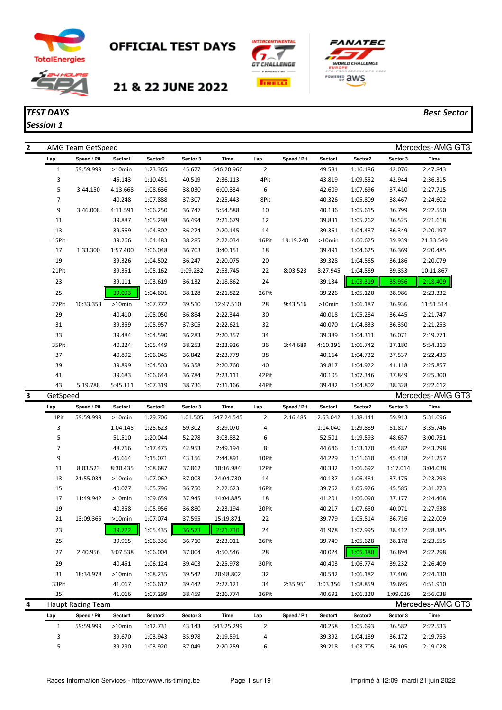

# **OFFICIAL TEST DAYS**



*Session 1*

# 21 & 22 JUNE 2022





### *TEST DAYS Best Sector*

| 2 |                | AMG Team GetSpeed        |           |          |          |            |                |             |           |          |          | Mercedes-AMG GT3 |
|---|----------------|--------------------------|-----------|----------|----------|------------|----------------|-------------|-----------|----------|----------|------------------|
|   | Lap            | Speed / Pit              | Sector1   | Sector2  | Sector 3 | Time       | Lap            | Speed / Pit | Sector1   | Sector2  | Sector 3 | Time             |
|   | $\mathbf 1$    | 59:59.999                | $>10$ min | 1:23.365 | 45.677   | 546:20.966 | $\overline{2}$ |             | 49.581    | 1:16.186 | 42.076   | 2:47.843         |
|   | 3              |                          | 45.143    | 1:10.451 | 40.519   | 2:36.113   | 4Pit           |             | 43.819    | 1:09.552 | 42.944   | 2:36.315         |
|   | 5              | 3:44.150                 | 4:13.668  | 1:08.636 | 38.030   | 6:00.334   | 6              |             | 42.609    | 1:07.696 | 37.410   | 2:27.715         |
|   | 7              |                          | 40.248    | 1:07.888 | 37.307   | 2:25.443   | 8Pit           |             | 40.326    | 1:05.809 | 38.467   | 2:24.602         |
|   | 9              | 3:46.008                 | 4:11.591  | 1:06.250 | 36.747   | 5:54.588   | 10             |             | 40.136    | 1:05.615 | 36.799   | 2:22.550         |
|   | 11             |                          | 39.887    | 1:05.298 | 36.494   | 2:21.679   | 12             |             | 39.831    | 1:05.262 | 36.525   | 2:21.618         |
|   | 13             |                          | 39.569    | 1:04.302 | 36.274   | 2:20.145   | 14             |             | 39.361    | 1:04.487 | 36.349   | 2:20.197         |
|   | 15Pit          |                          | 39.266    | 1:04.483 | 38.285   | 2:22.034   | 16Pit          | 19:19.240   | >10min    | 1:06.625 | 39.939   | 21:33.549        |
|   | 17             | 1:33.300                 | 1:57.400  | 1:06.048 | 36.703   | 3:40.151   | 18             |             | 39.491    | 1:04.625 | 36.369   | 2:20.485         |
|   | 19             |                          | 39.326    | 1:04.502 | 36.247   | 2:20.075   | 20             |             | 39.328    | 1:04.565 | 36.186   | 2:20.079         |
|   | 21Pit          |                          | 39.351    | 1:05.162 | 1:09.232 | 2:53.745   | 22             | 8:03.523    | 8:27.945  | 1:04.569 | 39.353   | 10:11.867        |
|   | 23             |                          | 39.111    | 1:03.619 | 36.132   | 2:18.862   | 24             |             | 39.134    | 1:03.319 | 35.956   | 2:18.409         |
|   | 25             |                          | 39.093    | 1:04.601 | 38.128   | 2:21.822   | 26Pit          |             | 39.226    | 1:05.120 | 38.986   | 2:23.332         |
|   | 27Pit          | 10:33.353                | $>10$ min | 1:07.772 | 39.510   | 12:47.510  | 28             | 9:43.516    | $>10$ min | 1:06.187 | 36.936   | 11:51.514        |
|   | 29             |                          | 40.410    | 1:05.050 | 36.884   | 2:22.344   | 30             |             | 40.018    | 1:05.284 | 36.445   | 2:21.747         |
|   | 31             |                          | 39.359    | 1:05.957 | 37.305   | 2:22.621   | 32             |             | 40.070    | 1:04.833 | 36.350   | 2:21.253         |
|   | 33             |                          | 39.484    | 1:04.590 | 36.283   | 2:20.357   | 34             |             | 39.389    | 1:04.311 | 36.071   | 2:19.771         |
|   | 35Pit          |                          | 40.224    | 1:05.449 | 38.253   | 2:23.926   | 36             | 3:44.689    | 4:10.391  | 1:06.742 | 37.180   | 5:54.313         |
|   | 37             |                          | 40.892    | 1:06.045 | 36.842   | 2:23.779   | 38             |             | 40.164    | 1:04.732 | 37.537   | 2:22.433         |
|   | 39             |                          | 39.899    | 1:04.503 | 36.358   | 2:20.760   | 40             |             | 39.817    | 1:04.922 | 41.118   | 2:25.857         |
|   | 41             |                          | 39.683    | 1:06.644 | 36.784   | 2:23.111   | 42Pit          |             | 40.105    | 1:07.346 | 37.849   | 2:25.300         |
|   | 43             | 5:19.788                 | 5:45.111  | 1:07.319 | 38.736   | 7:31.166   | 44Pit          |             | 39.482    | 1:04.802 | 38.328   | 2:22.612         |
| 3 | GetSpeed       |                          |           |          |          |            |                |             |           |          |          | Mercedes-AMG GT3 |
|   | Lap            | Speed / Pit              | Sector1   | Sector2  | Sector 3 | Time       | Lap            | Speed / Pit | Sector1   | Sector2  | Sector 3 | Time             |
|   | 1Pit           | 59:59.999                | >10min    | 1:29.706 | 1:01.505 | 547:24.545 | $\overline{2}$ | 2:16.485    | 2:53.042  | 1:38.141 | 59.913   | 5:31.096         |
|   | 3              |                          | 1:04.145  | 1:25.623 |          |            |                |             |           |          |          |                  |
|   |                |                          |           |          | 59.302   | 3:29.070   | 4              |             | 1:14.040  | 1:29.889 | 51.817   | 3:35.746         |
|   | 5              |                          | 51.510    | 1:20.044 | 52.278   | 3:03.832   | 6              |             | 52.501    | 1:19.593 | 48.657   | 3:00.751         |
|   | $\overline{7}$ |                          | 48.766    | 1:17.475 | 42.953   | 2:49.194   | 8              |             | 44.646    | 1:13.170 | 45.482   | 2:43.298         |
|   | 9              |                          | 46.664    | 1:15.071 | 43.156   | 2:44.891   | 10Pit          |             | 44.229    | 1:11.610 | 45.418   | 2:41.257         |
|   | 11             | 8:03.523                 | 8:30.435  | 1:08.687 | 37.862   | 10:16.984  | 12Pit          |             | 40.332    | 1:06.692 | 1:17.014 | 3:04.038         |
|   | 13             | 21:55.034                | >10min    | 1:07.062 | 37.003   | 24:04.730  | 14             |             | 40.137    | 1:06.481 | 37.175   | 2:23.793         |
|   | 15             |                          | 40.077    | 1:05.796 | 36.750   | 2:22.623   | 16Pit          |             | 39.762    | 1:05.926 | 45.585   | 2:31.273         |
|   | 17             | 11:49.942                | $>10$ min | 1:09.659 | 37.945   | 14:04.885  | 18             |             | 41.201    | 1:06.090 | 37.177   | 2:24.468         |
|   | 19             |                          | 40.358    | 1:05.956 | 36.880   | 2:23.194   | 20Pit          |             | 40.217    | 1:07.650 | 40.071   | 2:27.938         |
|   | $21\,$         | 13:09.365                | >10min    | 1:07.074 | 37.595   | 15:19.871  | 22             |             | 39.779    | 1:05.514 | 36.716   | 2:22.009         |
|   | 23             |                          | 39.722    | 1:05.435 | 36.573   | 2:21.730   | 24             |             | 41.978    | 1:07.995 | 38.412   | 2:28.385         |
|   | 25             |                          | 39.965    | 1:06.336 | 36.710   | 2:23.011   | 26Pit          |             | 39.749    | 1:05.628 | 38.178   | 2:23.555         |
|   | 27             | 2:40.956                 | 3:07.538  | 1:06.004 | 37.004   | 4:50.546   | 28             |             | 40.024    | 1:05.380 | 36.894   | 2:22.298         |
|   | 29             |                          | 40.451    | 1:06.124 | 39.403   | 2:25.978   | 30Pit          |             | 40.403    | 1:06.774 | 39.232   | 2:26.409         |
|   | 31             | 18:34.978                | >10min    | 1:08.235 | 39.542   | 20:48.802  | 32             |             | 40.542    | 1:06.182 | 37.406   | 2:24.130         |
|   | 33Pit          |                          | 41.067    | 1:06.612 | 39.442   | 2:27.121   | 34             | 2:35.951    | 3:03.356  | 1:08.859 | 39.695   | 4:51.910         |
|   | 35             |                          | 41.016    | 1:07.299 | 38.459   | 2:26.774   | 36Pit          |             | 40.692    | 1:06.320 | 1:09.026 | 2:56.038         |
|   |                | <b>Haupt Racing Team</b> |           |          |          |            |                |             |           |          |          | Mercedes-AMG GT3 |
|   | Lap            | Speed / Pit              | Sector1   | Sector2  | Sector 3 | Time       | Lap            | Speed / Pit | Sector1   | Sector2  | Sector 3 | Time             |
| 4 | $\mathbf{1}$   | 59:59.999                | >10min    | 1:12.731 | 43.143   | 543:25.299 | $\overline{2}$ |             | 40.258    | 1:05.693 | 36.582   | 2:22.533         |
|   | 3              |                          | 39.670    | 1:03.943 | 35.978   | 2:19.591   | 4              |             | 39.392    | 1:04.189 | 36.172   | 2:19.753         |
|   | 5              |                          | 39.290    | 1:03.920 | 37.049   | 2:20.259   | 6              |             | 39.218    | 1:03.705 | 36.105   | 2:19.028         |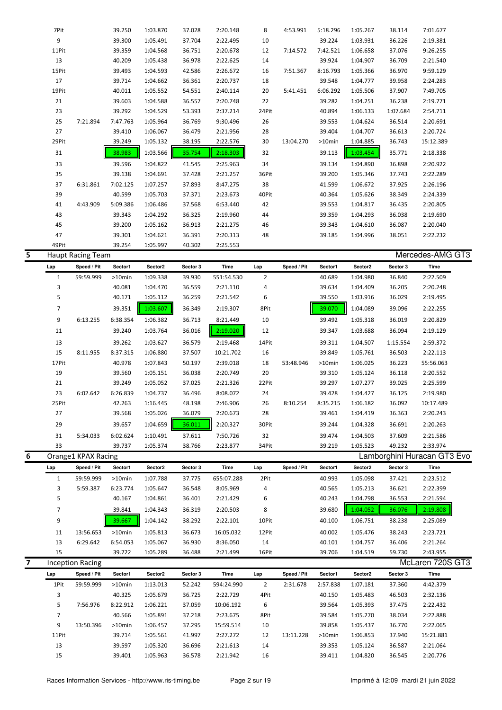|   | 7Pit           |                          | 39.250           | 1:03.870             | 37.028           | 2:20.148             | 8              | 4:53.991    | 5:18.296         | 1:05.267             | 38.114           | 7:01.677                    |  |
|---|----------------|--------------------------|------------------|----------------------|------------------|----------------------|----------------|-------------|------------------|----------------------|------------------|-----------------------------|--|
|   | 9              |                          | 39.300           | 1:05.491             | 37.704           | 2:22.495             | 10             |             | 39.224           | 1:03.931             | 36.226           | 2:19.381                    |  |
|   | 11Pit          |                          | 39.359           | 1:04.568             | 36.751           | 2:20.678             | 12             | 7:14.572    | 7:42.521         | 1:06.658             | 37.076           | 9:26.255                    |  |
|   | 13             |                          | 40.209           | 1:05.438             | 36.978           | 2:22.625             | 14             |             | 39.924           | 1:04.907             | 36.709           | 2:21.540                    |  |
|   | 15Pit          |                          | 39.493           | 1:04.593             | 42.586           | 2:26.672             | 16             | 7:51.367    | 8:16.793         | 1:05.366             | 36.970           | 9:59.129                    |  |
|   | 17             |                          | 39.714           | 1:04.662             | 36.361           | 2:20.737             | 18             |             | 39.548           | 1:04.777             | 39.958           | 2:24.283                    |  |
|   | 19Pit          |                          | 40.011           | 1:05.552             | 54.551           | 2:40.114             | 20             | 5:41.451    | 6:06.292         | 1:05.506             | 37.907           | 7:49.705                    |  |
|   | 21             |                          | 39.603           | 1:04.588             | 36.557           | 2:20.748             | 22             |             | 39.282           | 1:04.251             | 36.238           | 2:19.771                    |  |
|   | 23             |                          | 39.292           | 1:04.529             | 53.393           | 2:37.214             | 24Pit          |             | 40.894           | 1:06.133             | 1:07.684         | 2:54.711                    |  |
|   | 25             | 7:21.894                 | 7:47.763         | 1:05.964             | 36.769           | 9:30.496             | 26             |             | 39.553           | 1:04.624             | 36.514           | 2:20.691                    |  |
|   | 27             |                          | 39.410           | 1:06.067             | 36.479           | 2:21.956             | 28             |             | 39.404           | 1:04.707             | 36.613           | 2:20.724                    |  |
|   | 29Pit          |                          | 39.249           | 1:05.132             | 38.195           | 2:22.576             | 30             | 13:04.270   | >10min           | 1:04.885             | 36.743           | 15:12.389                   |  |
|   | 31             |                          | 38.983           | 1:03.566             | 35.754           | 2:18.303             | 32             |             | 39.113           | 1:03.454             | 35.771           | 2:18.338                    |  |
|   | 33             |                          | 39.596           | 1:04.822             | 41.545           | 2:25.963             | 34             |             | 39.134           | 1:04.890             | 36.898           | 2:20.922                    |  |
|   | 35             |                          | 39.138           | 1:04.691             | 37.428           | 2:21.257             | 36Pit          |             | 39.200           | 1:05.346             | 37.743           | 2:22.289                    |  |
|   | 37             | 6:31.861                 | 7:02.125         | 1:07.257             | 37.893           | 8:47.275             | 38             |             | 41.599           | 1:06.672             | 37.925           | 2:26.196                    |  |
|   | 39             |                          | 40.599           | 1:05.703             | 37.371           | 2:23.673             | 40Pit          |             | 40.364           | 1:05.626             | 38.349           | 2:24.339                    |  |
|   | 41             | 4:43.909                 | 5:09.386         | 1:06.486             | 37.568           | 6:53.440             | 42             |             | 39.553           | 1:04.817             | 36.435           | 2:20.805                    |  |
|   | 43             |                          | 39.343           | 1:04.292             | 36.325           | 2:19.960             | 44             |             | 39.359           | 1:04.293             | 36.038           | 2:19.690                    |  |
|   | 45             |                          | 39.200           | 1:05.162             | 36.913           | 2:21.275             | 46             |             | 39.343           | 1:04.610             | 36.087           | 2:20.040                    |  |
|   | 47             |                          | 39.301           | 1:04.621             | 36.391           | 2:20.313             | 48             |             | 39.185           | 1:04.996             | 38.051           | 2:22.232                    |  |
|   | 49Pit          |                          | 39.254           | 1:05.997             | 40.302           | 2:25.553             |                |             |                  |                      |                  |                             |  |
| 5 |                | <b>Haupt Racing Team</b> |                  |                      |                  |                      |                |             |                  |                      |                  | Mercedes-AMG GT3            |  |
|   | Lap            | Speed / Pit              | Sector1          | Sector2              | Sector 3         | Time                 | Lap            | Speed / Pit | Sector1          | Sector2              | Sector 3         | Time                        |  |
|   | $\mathbf{1}$   | 59:59.999                | >10min           | 1:09.338             | 39.930           | 551:54.530           | $\overline{2}$ |             | 40.689           | 1:04.980             | 36.840           | 2:22.509                    |  |
|   | 3              |                          | 40.081           | 1:04.470             | 36.559           | 2:21.110             | 4              |             | 39.634           | 1:04.409             | 36.205           | 2:20.248                    |  |
|   | 5              |                          | 40.171           | 1:05.112             | 36.259           | 2:21.542             | 6              |             | 39.550           | 1:03.916             | 36.029           | 2:19.495                    |  |
|   | $\overline{7}$ |                          | 39.351           | 1:03.607             | 36.349           | 2:19.307             | 8Pit           |             | 39.070           | 1:04.089             | 39.096           | 2:22.255                    |  |
|   | 9              | 6:13.255                 | 6:38.354         | 1:06.382             | 36.713           | 8:21.449             | 10             |             | 39.492           | 1:05.318             | 36.019           | 2:20.829                    |  |
|   | 11             |                          | 39.240           | 1:03.764             | 36.016           | 2:19.020             | 12             |             | 39.347           | 1:03.688             | 36.094           | 2:19.129                    |  |
|   | 13             |                          |                  |                      |                  |                      |                |             |                  |                      |                  |                             |  |
|   | 15             | 8:11.955                 | 39.262           | 1:03.627             | 36.579<br>37.507 | 2:19.468             | 14Pit<br>16    |             | 39.311           | 1:04.507<br>1:05.761 | 1:15.554         | 2:59.372                    |  |
|   |                |                          | 8:37.315         | 1:06.880             |                  | 10:21.702            | 18             | 53:48.946   | 39.849           | 1:06.025             | 36.503           | 2:22.113                    |  |
|   | 17Pit<br>19    |                          | 40.978<br>39.560 | 1:07.843             | 50.197<br>36.038 | 2:39.018<br>2:20.749 | 20             |             | >10min<br>39.310 | 1:05.124             | 36.223<br>36.118 | 55:56.063<br>2:20.552       |  |
|   | 21             |                          | 39.249           | 1:05.151<br>1:05.052 | 37.025           | 2:21.326             | 22Pit          |             | 39.297           | 1:07.277             | 39.025           | 2:25.599                    |  |
|   | 23             | 6:02.642                 | 6:26.839         | 1:04.737             | 36.496           | 8:08.072             | 24             |             | 39.428           | 1:04.427             | 36.125           | 2:19.980                    |  |
|   | 25Pit          |                          | 42.263           | 1:16.445             | 48.198           | 2:46.906             | 26             | 8:10.254    | 8:35.215         | 1:06.182             | 36.092           | 10:17.489                   |  |
|   | 27             |                          | 39.568           | 1:05.026             | 36.079           | 2:20.673             | 28             |             | 39.461           | 1:04.419             | 36.363           | 2:20.243                    |  |
|   |                |                          |                  | 1:04.659             |                  |                      |                |             |                  |                      |                  |                             |  |
|   | 29             |                          | 39.657           |                      | 36.011           | 2:20.327             | 30Pit          |             | 39.244           | 1:04.328             | 36.691           | 2:20.263                    |  |
|   | 31             | 5:34.033                 | 6:02.624         | 1:10.491             | 37.611           | 7:50.726             | 32             |             | 39.474           | 1:04.503             | 37.609           | 2:21.586                    |  |
|   | 33             |                          | 39.737           | 1:05.374             | 38.766           | 2:23.877             | 34Pit          |             | 39.219           | 1:05.523             | 49.232           | 2:33.974                    |  |
| 6 |                | Orange1 KPAX Racing      |                  |                      |                  |                      |                |             |                  |                      |                  | Lamborghini Huracan GT3 Evo |  |
|   | Lap            | Speed / Pit              | Sector1          | Sector2              | Sector 3         | Time                 | Lap            | Speed / Pit | Sector1          | Sector2              | Sector 3         | Time                        |  |
|   | $\mathbf{1}$   | 59:59.999                | $>10$ min        | 1:07.788             | 37.775           | 655:07.288           | 2Pit           |             | 40.993           | 1:05.098             | 37.421           | 2:23.512                    |  |
|   | 3<br>5         | 5:59.387                 | 6:23.774         | 1:05.647             | 36.548           | 8:05.969             | 4              |             | 40.565           | 1:05.213             | 36.621           | 2:22.399                    |  |
|   |                |                          | 40.167           | 1:04.861             | 36.401           | 2:21.429             | 6              |             | 40.243           | 1:04.798             | 36.553           | 2:21.594                    |  |
|   | 7              |                          | 39.841           | 1:04.343             | 36.319           | 2:20.503             | 8              |             | 39.680           | 1:04.052             | 36.076           | 2:19.808                    |  |
|   | 9              |                          | 39.667           | 1:04.142             | 38.292           | 2:22.101             | 10Pit          |             | 40.100           | 1:06.751             | 38.238           | 2:25.089                    |  |
|   | 11             | 13:56.653                | $>10$ min        | 1:05.813             | 36.673           | 16:05.032            | 12Pit          |             | 40.002           | 1:05.476             | 38.243           | 2:23.721                    |  |
|   | 13             | 6:29.642                 | 6:54.053         | 1:05.067             | 36.930           | 8:36.050             | 14             |             | 40.101           | 1:04.757             | 36.406           | 2:21.264                    |  |
|   | 15             |                          | 39.722           | 1:05.289             | 36.488           | 2:21.499             | 16Pit          |             | 39.706           | 1:04.519             | 59.730           | 2:43.955                    |  |
| 7 |                | <b>Inception Racing</b>  |                  |                      |                  |                      |                |             |                  |                      |                  | McLaren 720S GT3            |  |
|   | Lap            | Speed / Pit              | Sector1          | Sector2              | Sector 3         | Time                 | Lap            | Speed / Pit | Sector1          | Sector2              | Sector 3         | Time                        |  |
|   | 1Pit           | 59:59.999                | $>10$ min        | 1:13.013             | 52.242           | 594:24.990           | $\overline{2}$ | 2:31.678    | 2:57.838         | 1:07.181             | 37.360           | 4:42.379                    |  |

| Lap   | Speed / Pit | эестогт   | Sector <sub>4</sub> | Sector 3 | тите       | Lap  | Speed / Pit | <b>Sector</b> I | sectorz  | Sector 3 | типе      |
|-------|-------------|-----------|---------------------|----------|------------|------|-------------|-----------------|----------|----------|-----------|
| 1Pit  | 59:59.999   | $>10$ min | 1:13.013            | 52.242   | 594:24.990 | 2    | 2:31.678    | 2:57.838        | 1:07.181 | 37.360   | 4:42.379  |
| 3     |             | 40.325    | 1:05.679            | 36.725   | 2:22.729   | 4Pit |             | 40.150          | 1:05.483 | 46.503   | 2:32.136  |
| 5.    | 7:56.976    | 8:22.912  | 1:06.221            | 37.059   | 10:06.192  | 6    |             | 39.564          | 1:05.393 | 37.475   | 2:22.432  |
|       |             | 40.566    | 1:05.891            | 37.218   | 2:23.675   | 8Pit |             | 39.584          | 1:05.270 | 38.034   | 2:22.888  |
| 9     | 13:50.396   | $>10$ min | 1:06.457            | 37.295   | 15:59.514  | 10   |             | 39.858          | 1:05.437 | 36.770   | 2:22.065  |
| 11Pit |             | 39.714    | 1:05.561            | 41.997   | 2:27.272   | 12   | 13:11.228   | $>10$ min       | 1:06.853 | 37.940   | 15:21.881 |
| 13    |             | 39.597    | 1:05.320            | 36.696   | 2:21.613   | 14   |             | 39.353          | 1:05.124 | 36.587   | 2:21.064  |
| 15    |             | 39.401    | 1:05.963            | 36.578   | 2:21.942   | 16   |             | 39.411          | 1:04.820 | 36.545   | 2:20.776  |
|       |             |           |                     |          |            |      |             |                 |          |          |           |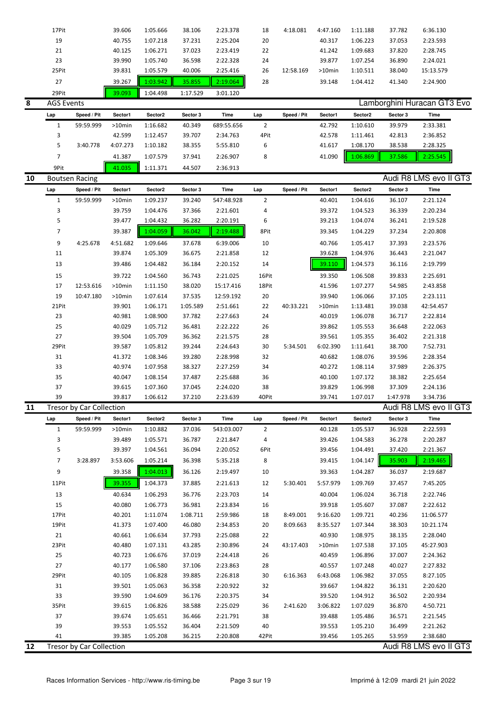|    | 17Pit             |                          | 39.606    | 1:05.666 | 38.106   | 2:23.378    | 18             | 4:18.081    | 4:47.160  | 1:11.188 | 37.782   | 6:36.130                    |  |
|----|-------------------|--------------------------|-----------|----------|----------|-------------|----------------|-------------|-----------|----------|----------|-----------------------------|--|
|    | $19\,$            |                          | 40.755    | 1:07.218 | 37.231   | 2:25.204    | 20             |             | 40.317    | 1:06.223 | 37.053   | 2:23.593                    |  |
|    | 21                |                          | 40.125    | 1:06.271 | 37.023   | 2:23.419    | 22             |             | 41.242    | 1:09.683 | 37.820   | 2:28.745                    |  |
|    | 23                |                          | 39.990    | 1:05.740 | 36.598   | 2:22.328    | 24             |             | 39.877    | 1:07.254 | 36.890   | 2:24.021                    |  |
|    | 25Pit             |                          | 39.831    | 1:05.579 | 40.006   | 2:25.416    | 26             | 12:58.169   | >10min    | 1:10.511 | 38.040   | 15:13.579                   |  |
|    | 27                |                          | 39.267    | 1:03.942 | 35.855   | 2:19.064    | 28             |             | 39.148    | 1:04.412 | 41.340   | 2:24.900                    |  |
|    | 29Pit             |                          | 39.093    | 1:04.498 | 1:17.529 | 3:01.120    |                |             |           |          |          |                             |  |
| 8  | <b>AGS Events</b> |                          |           |          |          |             |                |             |           |          |          | Lamborghini Huracan GT3 Evo |  |
|    |                   |                          |           |          |          |             |                |             |           |          |          |                             |  |
|    | Lap               | Speed / Pit              | Sector1   | Sector2  | Sector 3 | <b>Time</b> | Lap            | Speed / Pit | Sector1   | Sector2  | Sector 3 | <b>Time</b>                 |  |
|    | $\mathbf{1}$      | 59:59.999                | >10min    | 1:16.682 | 40.349   | 689:55.656  | $\overline{2}$ |             | 42.792    | 1:10.610 | 39.979   | 2:33.381                    |  |
|    | 3                 |                          | 42.599    | 1:12.457 | 39.707   | 2:34.763    | 4Pit           |             | 42.578    | 1:11.461 | 42.813   | 2:36.852                    |  |
|    | 5                 | 3:40.778                 | 4:07.273  | 1:10.182 | 38.355   | 5:55.810    | 6              |             | 41.617    | 1:08.170 | 38.538   | 2:28.325                    |  |
|    | $\overline{7}$    |                          | 41.387    | 1:07.579 | 37.941   | 2:26.907    | 8              |             | 41.090    | 1:06.869 | 37.586   | 2:25.545                    |  |
|    | 9Pit              |                          | 41.035    | 1:11.371 | 44.507   | 2:36.913    |                |             |           |          |          |                             |  |
| 10 |                   | <b>Boutsen Racing</b>    |           |          |          |             |                |             |           |          |          | Audi R8 LMS evo II GT3      |  |
|    | Lap               | Speed / Pit              | Sector1   | Sector2  | Sector 3 | Time        | Lap            | Speed / Pit | Sector1   | Sector2  | Sector 3 | <b>Time</b>                 |  |
|    | $\mathbf{1}$      | 59:59.999                | >10min    | 1:09.237 | 39.240   | 547:48.928  | $\overline{2}$ |             | 40.401    | 1:04.616 | 36.107   | 2:21.124                    |  |
|    | 3                 |                          | 39.759    | 1:04.476 | 37.366   | 2:21.601    | 4              |             | 39.372    | 1:04.523 | 36.339   | 2:20.234                    |  |
|    | 5                 |                          | 39.477    | 1:04.432 | 36.282   | 2:20.191    | 6              |             | 39.213    | 1:04.074 | 36.241   | 2:19.528                    |  |
|    | $\overline{7}$    |                          | 39.387    | 1:04.059 | 36.042   | 2:19.488    | 8Pit           |             | 39.345    | 1:04.229 | 37.234   | 2:20.808                    |  |
|    | 9                 | 4:25.678                 | 4:51.682  | 1:09.646 | 37.678   | 6:39.006    | 10             |             | 40.766    | 1:05.417 | 37.393   | 2:23.576                    |  |
|    | 11                |                          | 39.874    | 1:05.309 | 36.675   | 2:21.858    | 12             |             | 39.628    | 1:04.976 | 36.443   | 2:21.047                    |  |
|    | 13                |                          | 39.486    | 1:04.482 | 36.184   | 2:20.152    | 14             |             | 39.110    | 1:04.573 | 36.116   | 2:19.799                    |  |
|    |                   |                          |           |          |          |             |                |             |           |          |          |                             |  |
|    | 15                |                          | 39.722    | 1:04.560 | 36.743   | 2:21.025    | 16Pit          |             | 39.350    | 1:06.508 | 39.833   | 2:25.691                    |  |
|    | 17                | 12:53.616                | $>10$ min | 1:11.150 | 38.020   | 15:17.416   | 18Pit          |             | 41.596    | 1:07.277 | 54.985   | 2:43.858                    |  |
|    | 19                | 10:47.180                | >10min    | 1:07.614 | 37.535   | 12:59.192   | 20             |             | 39.940    | 1:06.066 | 37.105   | 2:23.111                    |  |
|    | 21Pit             |                          | 39.901    | 1:06.171 | 1:05.589 | 2:51.661    | 22             | 40:33.221   | >10min    | 1:13.481 | 39.038   | 42:54.457                   |  |
|    | 23                |                          | 40.981    | 1:08.900 | 37.782   | 2:27.663    | 24             |             | 40.019    | 1:06.078 | 36.717   | 2:22.814                    |  |
|    | 25                |                          | 40.029    | 1:05.712 | 36.481   | 2:22.222    | 26             |             | 39.862    | 1:05.553 | 36.648   | 2:22.063                    |  |
|    | 27                |                          | 39.504    | 1:05.709 | 36.362   | 2:21.575    | 28             |             | 39.561    | 1:05.355 | 36.402   | 2:21.318                    |  |
|    | 29Pit             |                          | 39.587    | 1:05.812 | 39.244   | 2:24.643    | 30             | 5:34.501    | 6:02.390  | 1:11.641 | 38.700   | 7:52.731                    |  |
|    | 31                |                          | 41.372    | 1:08.346 | 39.280   | 2:28.998    | 32             |             | 40.682    | 1:08.076 | 39.596   | 2:28.354                    |  |
|    | 33                |                          | 40.974    | 1:07.958 | 38.327   | 2:27.259    | 34             |             | 40.272    | 1:08.114 | 37.989   | 2:26.375                    |  |
|    | 35                |                          | 40.047    | 1:08.154 | 37.487   | 2:25.688    | 36             |             | 40.100    | 1:07.172 | 38.382   | 2:25.654                    |  |
|    | 37                |                          | 39.615    | 1:07.360 | 37.045   | 2:24.020    | 38             |             | 39.829    | 1:06.998 | 37.309   | 2:24.136                    |  |
|    | 39                |                          | 39.817    | 1:06.612 | 37.210   | 2:23.639    | 40Pit          |             | 39.741    | 1:07.017 | 1:47.978 | 3:34.736                    |  |
| 11 |                   | Tresor by Car Collection |           |          |          |             |                |             |           |          |          | Audi R8 LMS evo II GT3      |  |
|    | Lap               | Speed / Pit              | Sector1   | Sector2  | Sector 3 | <b>Time</b> | Lap            | Speed / Pit | Sector1   | Sector2  | Sector 3 | Time                        |  |
|    | $\mathbf{1}$      | 59:59.999                | >10min    | 1:10.882 | 37.036   | 543:03.007  | $\overline{2}$ |             | 40.128    | 1:05.537 | 36.928   | 2:22.593                    |  |
|    | 3                 |                          | 39.489    | 1:05.571 | 36.787   | 2:21.847    | 4              |             | 39.426    | 1:04.583 | 36.278   | 2:20.287                    |  |
|    | 5                 |                          | 39.397    | 1:04.561 | 36.094   | 2:20.052    | 6Pit           |             | 39.456    | 1:04.491 | 37.420   | 2:21.367                    |  |
|    | 7                 | 3:28.897                 | 3:53.606  | 1:05.214 | 36.398   | 5:35.218    | 8              |             | 39.415    | 1:04.147 | 35.903   | 2:19.465                    |  |
|    | 9                 |                          | 39.358    | 1:04.013 | 36.126   | 2:19.497    | 10             |             | 39.363    | 1:04.287 | 36.037   | 2:19.687                    |  |
|    | 11Pit             |                          | 39.355    | 1:04.373 | 37.885   | 2:21.613    | 12             | 5:30.401    | 5:57.979  | 1:09.769 | 37.457   | 7:45.205                    |  |
|    | 13                |                          | 40.634    | 1:06.293 | 36.776   | 2:23.703    | 14             |             | 40.004    | 1:06.024 | 36.718   | 2:22.746                    |  |
|    | 15                |                          | 40.080    | 1:06.773 | 36.981   | 2:23.834    | 16             |             | 39.918    | 1:05.607 | 37.087   | 2:22.612                    |  |
|    | 17Pit             |                          |           |          |          |             |                | 8:49.001    |           |          |          |                             |  |
|    |                   |                          | 40.201    | 1:11.074 | 1:08.711 | 2:59.986    | 18             |             | 9:16.620  | 1:09.721 | 40.236   | 11:06.577                   |  |
|    | 19Pit             |                          | 41.373    | 1:07.400 | 46.080   | 2:34.853    | 20             | 8:09.663    | 8:35.527  | 1:07.344 | 38.303   | 10:21.174                   |  |
|    | 21                |                          | 40.661    | 1:06.634 | 37.793   | 2:25.088    | 22             |             | 40.930    | 1:08.975 | 38.135   | 2:28.040                    |  |
|    | 23Pit             |                          | 40.480    | 1:07.131 | 43.285   | 2:30.896    | 24             | 43:17.403   | $>10$ min | 1:07.538 | 37.105   | 45:27.903                   |  |
|    | 25                |                          | 40.723    | 1:06.676 | 37.019   | 2:24.418    | 26             |             | 40.459    | 1:06.896 | 37.007   | 2:24.362                    |  |
|    | 27                |                          | 40.177    | 1:06.580 | 37.106   | 2:23.863    | 28             |             | 40.557    | 1:07.248 | 40.027   | 2:27.832                    |  |
|    | 29Pit             |                          | 40.105    | 1:06.828 | 39.885   | 2:26.818    | 30             | 6:16.363    | 6:43.068  | 1:06.982 | 37.055   | 8:27.105                    |  |
|    | 31                |                          | 39.501    | 1:05.063 | 36.358   | 2:20.922    | 32             |             | 39.667    | 1:04.822 | 36.131   | 2:20.620                    |  |
|    | 33                |                          | 39.590    | 1:04.609 | 36.176   | 2:20.375    | 34             |             | 39.520    | 1:04.912 | 36.502   | 2:20.934                    |  |
|    | 35Pit             |                          | 39.615    | 1:06.826 | 38.588   | 2:25.029    | 36             | 2:41.620    | 3:06.822  | 1:07.029 | 36.870   | 4:50.721                    |  |
|    | 37                |                          | 39.674    | 1:05.651 | 36.466   | 2:21.791    | 38             |             | 39.488    | 1:05.486 | 36.571   | 2:21.545                    |  |
|    | 39                |                          | 39.553    | 1:05.552 | 36.404   | 2:21.509    | 40             |             | 39.553    | 1:05.210 | 36.499   | 2:21.262                    |  |
|    | 41                |                          | 39.385    | 1:05.208 | 36.215   | 2:20.808    | 42Pit          |             | 39.456    | 1:05.265 | 53.959   | 2:38.680                    |  |
| 12 |                   | Tresor by Car Collection |           |          |          |             |                |             |           |          |          | Audi R8 LMS evo II GT3      |  |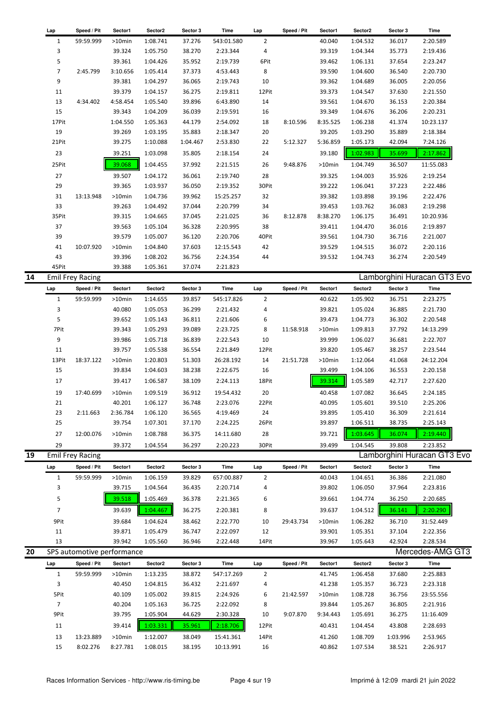| Lap            | Speed / Pit                | Sector1   | Sector2  | Sector 3 | Time       | Lap            | Speed / Pit | Sector1  | Sector2  | Sector 3 | Time                        |
|----------------|----------------------------|-----------|----------|----------|------------|----------------|-------------|----------|----------|----------|-----------------------------|
| 1              | 59:59.999                  | >10min    | 1:08.741 | 37.276   | 543:01.580 | $\overline{2}$ |             | 40.040   | 1:04.532 | 36.017   | 2:20.589                    |
| 3              |                            | 39.324    | 1:05.750 | 38.270   | 2:23.344   | 4              |             | 39.319   | 1:04.344 | 35.773   | 2:19.436                    |
| 5              |                            | 39.361    | 1:04.426 | 35.952   | 2:19.739   | 6Pit           |             | 39.462   | 1:06.131 | 37.654   | 2:23.247                    |
| $\overline{7}$ | 2:45.799                   | 3:10.656  | 1:05.414 | 37.373   | 4:53.443   | 8              |             | 39.590   | 1:04.600 | 36.540   | 2:20.730                    |
| 9              |                            | 39.381    | 1:04.297 | 36.065   | 2:19.743   | 10             |             | 39.362   | 1:04.689 | 36.005   | 2:20.056                    |
| 11             |                            | 39.379    | 1:04.157 | 36.275   | 2:19.811   | 12Pit          |             | 39.373   | 1:04.547 | 37.630   | 2:21.550                    |
| 13             | 4:34.402                   | 4:58.454  | 1:05.540 | 39.896   | 6:43.890   | 14             |             | 39.561   | 1:04.670 | 36.153   | 2:20.384                    |
| 15             |                            | 39.343    | 1:04.209 | 36.039   | 2:19.591   | 16             |             | 39.349   | 1:04.676 | 36.206   | 2:20.231                    |
| 17Pit          |                            | 1:04.550  | 1:05.363 | 44.179   | 2:54.092   | 18             | 8:10.596    | 8:35.525 | 1:06.238 | 41.374   | 10:23.137                   |
| 19             |                            | 39.269    | 1:03.195 | 35.883   | 2:18.347   | 20             |             | 39.205   | 1:03.290 | 35.889   | 2:18.384                    |
| 21Pit          |                            | 39.275    | 1:10.088 | 1:04.467 | 2:53.830   | 22             | 5:12.327    | 5:36.859 | 1:05.173 | 42.094   | 7:24.126                    |
| 23             |                            | 39.251    | 1:03.098 | 35.805   | 2:18.154   | 24             |             | 39.180   | 1:02.983 | 35.699   | 2:17.862                    |
| 25Pit          |                            | 39.068    | 1:04.455 | 37.992   | 2:21.515   | 26             | 9:48.876    | >10min   | 1:04.749 | 36.507   | 11:55.083                   |
|                |                            |           |          |          |            |                |             |          |          |          |                             |
| 27             |                            | 39.507    | 1:04.172 | 36.061   | 2:19.740   | 28             |             | 39.325   | 1:04.003 | 35.926   | 2:19.254                    |
| 29             |                            | 39.365    | 1:03.937 | 36.050   | 2:19.352   | 30Pit          |             | 39.222   | 1:06.041 | 37.223   | 2:22.486                    |
| 31             | 13:13.948                  | >10min    | 1:04.736 | 39.962   | 15:25.257  | 32             |             | 39.382   | 1:03.898 | 39.196   | 2:22.476                    |
| 33             |                            | 39.263    | 1:04.492 | 37.044   | 2:20.799   | 34             |             | 39.453   | 1:03.762 | 36.083   | 2:19.298                    |
| 35Pit          |                            | 39.315    | 1:04.665 | 37.045   | 2:21.025   | 36             | 8:12.878    | 8:38.270 | 1:06.175 | 36.491   | 10:20.936                   |
| 37             |                            | 39.563    | 1:05.104 | 36.328   | 2:20.995   | 38             |             | 39.411   | 1:04.470 | 36.016   | 2:19.897                    |
| 39             |                            | 39.579    | 1:05.007 | 36.120   | 2:20.706   | 40Pit          |             | 39.561   | 1:04.730 | 36.716   | 2:21.007                    |
| 41             | 10:07.920                  | >10min    | 1:04.840 | 37.603   | 12:15.543  | 42             |             | 39.529   | 1:04.515 | 36.072   | 2:20.116                    |
| 43             |                            | 39.396    | 1:08.202 | 36.756   | 2:24.354   | 44             |             | 39.532   | 1:04.743 | 36.274   | 2:20.549                    |
| 45Pit          |                            | 39.388    | 1:05.361 | 37.074   | 2:21.823   |                |             |          |          |          |                             |
|                | <b>Emil Frey Racing</b>    |           |          |          |            |                |             |          |          |          | Lamborghini Huracan GT3 Evo |
| Lap            | Speed / Pit                | Sector1   | Sector2  | Sector 3 | Time       | Lap            | Speed / Pit | Sector1  | Sector2  | Sector 3 | Time                        |
| $\mathbf{1}$   | 59:59.999                  | >10min    | 1:14.655 | 39.857   | 545:17.826 | 2              |             | 40.622   | 1:05.902 | 36.751   | 2:23.275                    |
| 3              |                            | 40.080    | 1:05.053 | 36.299   | 2:21.432   | 4              |             | 39.821   | 1:05.024 | 36.885   | 2:21.730                    |
| 5              |                            | 39.652    | 1:05.143 | 36.811   | 2:21.606   | 6              |             | 39.473   | 1:04.773 | 36.302   | 2:20.548                    |
| 7Pit           |                            | 39.343    | 1:05.293 | 39.089   | 2:23.725   | 8              | 11:58.918   | >10min   | 1:09.813 | 37.792   | 14:13.299                   |
| 9              |                            | 39.986    | 1:05.718 | 36.839   | 2:22.543   | 10             |             | 39.999   | 1:06.027 | 36.681   | 2:22.707                    |
| 11             |                            | 39.757    | 1:05.538 | 36.554   | 2:21.849   | 12Pit          |             | 39.820   | 1:05.467 | 38.257   | 2:23.544                    |
| 13Pit          | 18:37.122                  | >10min    | 1:20.803 | 51.303   | 26:28.192  | 14             | 21:51.728   | >10min   | 1:12.064 | 41.068   | 24:12.204                   |
| 15             |                            | 39.834    | 1:04.603 | 38.238   | 2:22.675   | 16             |             | 39.499   | 1:04.106 | 36.553   | 2:20.158                    |
| 17             |                            | 39.417    | 1:06.587 | 38.109   | 2:24.113   | 18Pit          |             | 39.314   | 1:05.589 | 42.717   | 2:27.620                    |
| 19             | 17:40.699                  | $>10$ min | 1:09.519 | 36.912   | 19:54.432  | 20             |             | 40.458   | 1:07.082 | 36.645   | 2:24.185                    |
| 21             |                            | 40.201    | 1:06.127 | 36.748   | 2:23.076   | 22Pit          |             | 40.095   | 1:05.601 | 39.510   | 2:25.206                    |
| 23             | 2:11.663                   | 2:36.784  | 1:06.120 | 36.565   | 4:19.469   | 24             |             | 39.895   | 1:05.410 | 36.309   | 2:21.614                    |
| 25             |                            | 39.754    | 1:07.301 | 37.170   | 2:24.225   | 26Pit          |             | 39.897   | 1:06.511 | 38.735   | 2:25.143                    |
| 27             | 12:00.076                  | >10min    | 1:08.788 | 36.375   | 14:11.680  | 28             |             | 39.721   | 1:03.645 | 36.074   | 2:19.440                    |
|                |                            |           |          |          |            |                |             |          |          |          |                             |
| 29             |                            | 39.372    | 1:04.554 | 36.297   | 2:20.223   | 30Pit          |             | 39.499   | 1:04.545 | 39.808   | 2:23.852                    |
|                | <b>Emil Frey Racing</b>    |           |          |          |            |                |             |          |          |          | Lamborghini Huracan GT3 Evo |
| Lap            | Speed / Pit                | Sector1   | Sector2  | Sector 3 | Time       | Lap            | Speed / Pit | Sector1  | Sector2  | Sector 3 | Time                        |
| $\mathbf{1}$   | 59:59.999                  | >10min    | 1:06.159 | 39.829   | 657:00.887 | 2              |             | 40.043   | 1:04.651 | 36.386   | 2:21.080                    |
| 3              |                            | 39.715    | 1:04.564 | 36.435   | 2:20.714   | 4              |             | 39.802   | 1:06.050 | 37.964   | 2:23.816                    |
| 5              |                            | 39.518    | 1:05.469 | 36.378   | 2:21.365   | 6              |             | 39.661   | 1:04.774 | 36.250   | 2:20.685                    |
| $\overline{7}$ |                            | 39.639    | 1:04.467 | 36.275   | 2:20.381   | 8              |             | 39.637   | 1:04.512 | 36.141   | 2:20.290                    |
| 9Pit           |                            | 39.684    | 1:04.624 | 38.462   | 2:22.770   | 10             | 29:43.734   | >10min   | 1:06.282 | 36.710   | 31:52.449                   |
| 11             |                            | 39.871    | 1:05.479 | 36.747   | 2:22.097   | 12             |             | 39.901   | 1:05.351 | 37.104   | 2:22.356                    |
| 13             |                            | 39.942    | 1:05.560 | 36.946   | 2:22.448   | 14Pit          |             | 39.967   | 1:05.643 | 42.924   | 2:28.534                    |
|                | SPS automotive performance |           |          |          |            |                |             |          |          |          | Mercedes-AMG GT3            |
| Lap            | Speed / Pit                | Sector1   | Sector2  | Sector 3 | Time       | Lap            | Speed / Pit | Sector1  | Sector2  | Sector 3 | Time                        |
|                |                            |           |          |          |            |                |             |          |          |          |                             |
| $\mathbf{1}$   | 59:59.999                  | >10min    | 1:13.235 | 38.872   | 547:17.269 | 2              |             | 41.745   | 1:06.458 | 37.680   | 2:25.883                    |
| 3              |                            | 40.450    | 1:04.815 | 36.432   | 2:21.697   | 4              |             | 41.238   | 1:05.357 | 36.723   | 2:23.318                    |
| 5Pit           |                            | 40.109    | 1:05.002 | 39.815   | 2:24.926   | 6              | 21:42.597   | >10min   | 1:08.728 | 36.756   | 23:55.556                   |
| $\overline{7}$ |                            | 40.204    | 1:05.163 | 36.725   | 2:22.092   | 8              |             | 39.844   | 1:05.267 | 36.805   | 2:21.916                    |
| 9Pit           |                            | 39.795    | 1:05.904 | 44.629   | 2:30.328   | 10             | 9:07.870    | 9:34.443 | 1:05.691 | 36.275   | 11:16.409                   |
| 11             |                            | 39.414    | 1:03.331 | 35.961   | 2:18.706   | 12Pit          |             | 40.431   | 1:04.454 | 43.808   | 2:28.693                    |
| 13             | 13:23.889                  | >10min    | 1:12.007 | 38.049   | 15:41.361  | 14Pit          |             | 41.260   | 1:08.709 | 1:03.996 | 2:53.965                    |
| 15             | 8:02.276                   | 8:27.781  | 1:08.015 | 38.195   | 10:13.991  | 16             |             | 40.862   | 1:07.534 | 38.521   | 2:26.917                    |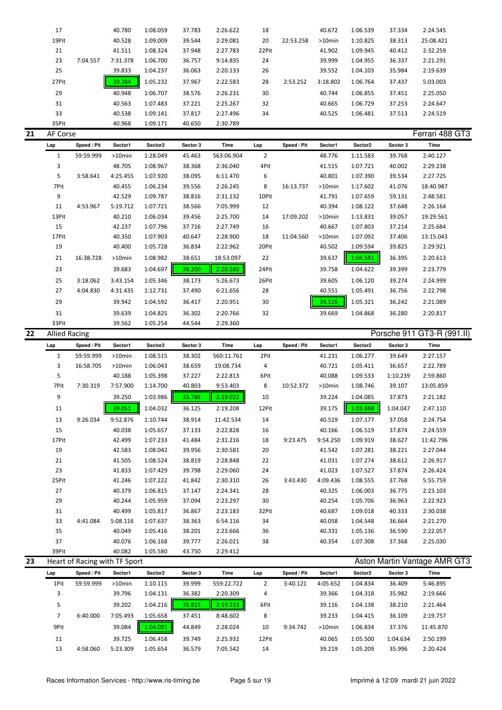| 17    |          | 40.780   | 1:08.059 | 37.783 | 2:26.622 | 18    |           | 40.672    | 1:06.539 | 37.334 | 2:24.545  |
|-------|----------|----------|----------|--------|----------|-------|-----------|-----------|----------|--------|-----------|
| 19Pit |          | 40.528   | 1:09.009 | 39.544 | 2:29.081 | 20    | 22:53.258 | $>10$ min | 1:10.825 | 38.313 | 25:08.421 |
| 21    |          | 41.511   | 1:08.324 | 37.948 | 2:27.783 | 22Pit |           | 41.902    | 1:09.945 | 40.412 | 2:32.259  |
| 23    | 7:04.557 | 7:31.378 | 1:06.700 | 36.757 | 9:14.835 | 24    |           | 39.999    | 1:04.955 | 36.337 | 2:21.291  |
| 25    |          | 39.833   | 1:04.237 | 36.063 | 2:20.133 | 26    |           | 39.552    | 1:04.103 | 35.984 | 2:19.639  |
| 27Pit |          | 39.384   | 1:05.232 | 37.967 | 2:22.583 | 28    | 2:53.252  | 3:18.802  | 1:06.764 | 37.437 | 5:03.003  |
| 29    |          | 40.948   | 1:06.707 | 38.576 | 2:26.231 | 30    |           | 40.744    | 1:06.855 | 37.451 | 2:25.050  |
| 31    |          | 40.563   | 1:07.483 | 37.221 | 2:25.267 | 32    |           | 40.665    | 1:06.729 | 37.253 | 2:24.647  |
| 33    |          | 40.538   | 1:09.141 | 37.817 | 2:27.496 | 34    |           | 40.525    | 1:06.481 | 37.513 | 2:24.519  |
| 35Pit |          | 40.968   | 1:09.171 | 40.650 | 2:30.789 |       |           |           |          |        |           |

#### **21** AF Corse **Ferrari 488 GT3**

| Lap   | Speed / Pit | Sector1   | Sector2  | Sector 3 | Time       | Lap   | Speed / Pit | Sector1 | Sector2  | Sector 3 | Time      |
|-------|-------------|-----------|----------|----------|------------|-------|-------------|---------|----------|----------|-----------|
| 1     | 59:59.999   | $>10$ min | 1:28.049 | 45.463   | 563:06.904 | 2     |             | 48.776  | 1:11.583 | 39.768   | 2:40.127  |
| 3     |             | 48.705    | 1:08.967 | 38.368   | 2:36.040   | 4Pit  |             | 41.515  | 1:07.721 | 40.002   | 2:29.238  |
| 5     | 3:58.641    | 4:25.455  | 1:07.920 | 38.095   | 6:11.470   | 6     |             | 40.801  | 1:07.390 | 39.534   | 2:27.725  |
| 7Pit  |             | 40.455    | 1:06.234 | 39.556   | 2:26.245   | 8     | 16:13.737   | >10min  | 1:17.602 | 41.076   | 18:40.987 |
| 9     |             | 42.529    | 1:09.787 | 38.816   | 2:31.132   | 10Pit |             | 41.791  | 1:07.659 | 59.131   | 2:48.581  |
| 11    | 4:53.967    | 5:19.712  | 1:07.721 | 38.566   | 7:05.999   | 12    |             | 40.394  | 1:08.122 | 37.648   | 2:26.164  |
| 13Pit |             | 40.210    | 1:06.034 | 39.456   | 2:25.700   | 14    | 17:09.202   | >10min  | 1:13.831 | 39.057   | 19:29.561 |
| 15    |             | 42.237    | 1:07.796 | 37.716   | 2:27.749   | 16    |             | 40.667  | 1:07.803 | 37.214   | 2:25.684  |
| 17Pit |             | 40.350    | 1:07.903 | 40.647   | 2:28.900   | 18    | 11:04.560   | >10min  | 1:07.092 | 37.406   | 13:15.043 |
| 19    |             | 40.400    | 1:05.728 | 36.834   | 2:22.962   | 20Pit |             | 40.502  | 1:09.594 | 39.825   | 2:29.921  |
| 21    | 16:38.728   | $>10$ min | 1:08.982 | 38.651   | 18:53.097  | 22    |             | 39.637  | 1:04.581 | 36.395   | 2:20.613  |
| 23    |             | 39.683    | 1:04.697 | 36.200   | 2:20.580   | 24Pit |             | 39.758  | 1:04.622 | 39.399   | 2:23.779  |
| 25    | 3:18.062    | 3:43.154  | 1:05.346 | 38.173   | 5:26.673   | 26Pit |             | 39.605  | 1:06.120 | 39.274   | 2:24.999  |
| 27    | 4:04.830    | 4:31.435  | 1:12.731 | 37.490   | 6:21.656   | 28    |             | 40.551  | 1:05.491 | 36.756   | 2:22.798  |
| 29    |             | 39.942    | 1:04.592 | 36.417   | 2:20.951   | 30    |             | 39.526  | 1:05.321 | 36.242   | 2:21.089  |
| 31    |             | 39.639    | 1:04.825 | 36.302   | 2:20.766   | 32    |             | 39.669  | 1:04.868 | 36.280   | 2:20.817  |
| 33Pit |             | 39.562    | 1:05.254 | 44.544   | 2:29.360   |       |             |         |          |          |           |

| 22 | <b>Allied Racing</b> |             |           |          |          |            |       |             |           |          |          | Porsche 911 GT3-R (991.II) |  |
|----|----------------------|-------------|-----------|----------|----------|------------|-------|-------------|-----------|----------|----------|----------------------------|--|
|    | Lap                  | Speed / Pit | Sector1   | Sector2  | Sector 3 | Time       | Lap   | Speed / Pit | Sector1   | Sector2  | Sector 3 | Time                       |  |
|    | 1                    | 59:59.999   | $>10$ min | 1:08.515 | 38.302   | 560:11.761 | 2Pit  |             | 41.231    | 1:06.277 | 39.649   | 2:27.157                   |  |
|    | 3                    | 16:58.705   | $>10$ min | 1:06.043 | 38.659   | 19:08.734  | 4     |             | 40.721    | 1:05.411 | 36.657   | 2:22.789                   |  |
|    | 5                    |             | 40.188    | 1:05.398 | 37.227   | 2:22.813   | 6Pit  |             | 40.088    | 1:09.533 | 1:10.239 | 2:59.860                   |  |
|    | 7Pit                 | 7:30.319    | 7:57.900  | 1:14.700 | 40.803   | 9:53.403   | 8     | 10:52.372   | $>10$ min | 1:08.746 | 39.107   | 13:05.859                  |  |
|    | 9                    |             | 39.250    | 1:03.986 | 35.786   | 2:19.022   | 10    |             | 39.224    | 1:04.085 | 37.873   | 2:21.182                   |  |
|    | 11                   |             | 39.051    | 1:04.032 | 36.125   | 2:19.208   | 12Pit |             | 39.175    | 1:03.888 | 1:04.047 | 2:47.110                   |  |
|    | 13                   | 9:26.034    | 9:52.876  | 1:10.744 | 38.914   | 11:42.534  | 14    |             | 40.519    | 1:07.177 | 37.058   | 2:24.754                   |  |
|    | 15                   |             | 40.038    | 1:05.657 | 37.133   | 2:22.828   | 16    |             | 40.166    | 1:06.519 | 37.874   | 2:24.559                   |  |
|    | 17Pit                |             | 42.499    | 1:07.233 | 41.484   | 2:31.216   | 18    | 9:23.475    | 9:54.250  | 1:09.919 | 38.627   | 11:42.796                  |  |
|    | 19                   |             | 42.583    | 1:08.042 | 39.956   | 2:30.581   | 20    |             | 41.542    | 1:07.281 | 38.221   | 2:27.044                   |  |
|    | 21                   |             | 41.505    | 1:08.524 | 38.819   | 2:28.848   | 22    |             | 41.031    | 1:07.274 | 38.612   | 2:26.917                   |  |
|    | 23                   |             | 41.833    | 1:07.429 | 39.798   | 2:29.060   | 24    |             | 41.023    | 1:07.527 | 37.874   | 2:26.424                   |  |
|    | 25Pit                |             | 41.246    | 1:07.222 | 41.842   | 2:30.310   | 26    | 3:43.430    | 4:09.436  | 1:08.555 | 37.768   | 5:55.759                   |  |
|    | 27                   |             | 40.379    | 1:06.815 | 37.147   | 2:24.341   | 28    |             | 40.325    | 1:06.003 | 36.775   | 2:23.103                   |  |
|    | 29                   |             | 40.244    | 1:05.959 | 37.094   | 2:23.297   | 30    |             | 40.254    | 1:05.706 | 36.963   | 2:22.923                   |  |
|    | 31                   |             | 40.499    | 1:05.817 | 36.867   | 2:23.183   | 32Pit |             | 40.687    | 1:09.018 | 40.333   | 2:30.038                   |  |
|    | 33                   | 4:41.084    | 5:08.116  | 1:07.637 | 38.363   | 6:54.116   | 34    |             | 40.058    | 1:04.548 | 36.664   | 2:21.270                   |  |
|    | 35                   |             | 40.049    | 1:05.416 | 38.201   | 2:23.666   | 36    |             | 40.331    | 1:05.136 | 36.590   | 2:22.057                   |  |
|    | 37                   |             | 40.076    | 1:06.168 | 39.777   | 2:26.021   | 38    |             | 40.354    | 1:07.308 | 37.368   | 2:25.030                   |  |
|    | 39Pit                |             | 40.082    | 1:05.580 | 43.750   | 2:29.412   |       |             |           |          |          |                            |  |

| 23 |      | Heart of Racing with TF Sport |           |          |          |            |       |             |           |          |          | Aston Martin Vantage AMR GT3 |  |
|----|------|-------------------------------|-----------|----------|----------|------------|-------|-------------|-----------|----------|----------|------------------------------|--|
|    | Lap  | Speed / Pit                   | Sector1   | Sector2  | Sector 3 | Time       | Lap   | Speed / Pit | Sector1   | Sector2  | Sector 3 | Time                         |  |
|    | 1Pit | 59:59.999                     | $>10$ min | 1:10.115 | 39.999   | 559:22.722 | 2     | 3:40.121    | 4:05.652  | 1:04.834 | 36.409   | 5:46.895                     |  |
|    |      |                               | 39.796    | 1:04.131 | 36.382   | 2:20.309   | 4     |             | 39.366    | 1:04.318 | 35.982   | 2:19.666                     |  |
|    | 5    |                               | 39.202    | 1:04.216 | 35.815   | 2:19.233   | 6Pit  |             | 39.116    | 1:04.138 | 38.210   | 2:21.464                     |  |
|    |      | 6:40.000                      | 7:05.493  | 1:05.658 | 37.451   | 8:48.602   | 8     |             | 39.233    | 1:04.415 | 36.109   | 2:19.757                     |  |
|    | 9Pit |                               | 39.084    | 1:04.091 | 44.849   | 2:28.024   | 10    | 9:34.742    | $>10$ min | 1:06.834 | 37.376   | 11:45.870                    |  |
|    | 11   |                               | 39.725    | 1:06.458 | 39.749   | 2:25.932   | 12Pit |             | 40.065    | 1:05.500 | 1:04.634 | 2:50.199                     |  |
|    | 13   | 4:58.060                      | 5:23.309  | 1:05.654 | 36.579   | 7:05.542   | 14    |             | 39.219    | 1:05.209 | 35.996   | 2:20.424                     |  |
|    |      |                               |           |          |          |            |       |             |           |          |          |                              |  |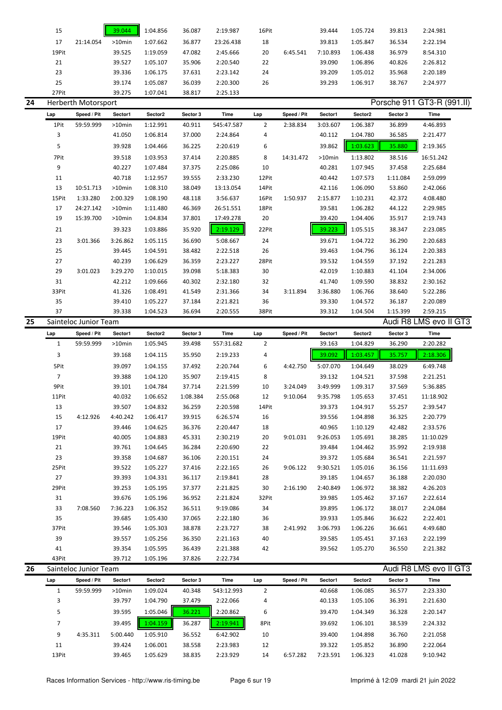| 15    |           | 39.044    | 1:04.856 | 36.087 | 2:19.987  | 16Pit |          | 39.444   | 1:05.724 | 39.813 | 2:24.981 |
|-------|-----------|-----------|----------|--------|-----------|-------|----------|----------|----------|--------|----------|
| 17    | 21:14.054 | $>10$ min | 1:07.662 | 36.877 | 23:26.438 | 18    |          | 39.813   | 1:05.847 | 36.534 | 2:22.194 |
| 19Pit |           | 39.525    | 1:19.059 | 47.082 | 2:45.666  | 20    | 6:45.541 | 7:10.893 | 1:06.438 | 36.979 | 8:54.310 |
| 21    |           | 39.527    | 1:05.107 | 35.906 | 2:20.540  | 22    |          | 39.090   | 1:06.896 | 40.826 | 2:26.812 |
| 23    |           | 39.336    | 1:06.175 | 37.631 | 2:23.142  | 24    |          | 39.209   | 1:05.012 | 35.968 | 2:20.189 |
| 25    |           | 39.174    | 1:05.087 | 36.039 | 2:20.300  | 26    |          | 39.293   | 1:06.917 | 38.767 | 2:24.977 |
| 27Pit |           | 39.275    | 1:07.041 | 38.817 | 2:25.133  |       |          |          |          |        |          |

| 24 |                | Herberth Motorsport   |          |          |          |            |                |             |          |          |          | Porsche 911 GT3-R (991.II) |  |
|----|----------------|-----------------------|----------|----------|----------|------------|----------------|-------------|----------|----------|----------|----------------------------|--|
|    | Lap            | Speed / Pit           | Sector1  | Sector2  | Sector 3 | Time       | Lap            | Speed / Pit | Sector1  | Sector2  | Sector 3 | Time                       |  |
|    | 1Pit           | 59:59.999             | >10min   | 1:12.991 | 40.911   | 545:47.587 | $\overline{2}$ | 2:38.834    | 3:03.607 | 1:06.387 | 36.899   | 4:46.893                   |  |
|    | 3              |                       | 41.050   | 1:06.814 | 37.000   | 2:24.864   | 4              |             | 40.112   | 1:04.780 | 36.585   | 2:21.477                   |  |
|    | 5              |                       | 39.928   | 1:04.466 | 36.225   | 2:20.619   | 6              |             | 39.862   | 1:03.623 | 35.880   | 2:19.365                   |  |
|    | 7Pit           |                       | 39.518   | 1:03.953 | 37.414   | 2:20.885   | 8              | 14:31.472   | >10min   | 1:13.802 | 38.516   | 16:51.242                  |  |
|    | 9              |                       | 40.227   | 1:07.484 | 37.375   | 2:25.086   | 10             |             | 40.281   | 1:07.945 | 37.458   | 2:25.684                   |  |
|    | 11             |                       | 40.718   | 1:12.957 | 39.555   | 2:33.230   | 12Pit          |             | 40.442   | 1:07.573 | 1:11.084 | 2:59.099                   |  |
|    | 13             | 10:51.713             | >10min   | 1:08.310 | 38.049   | 13:13.054  | 14Pit          |             | 42.116   | 1:06.090 | 53.860   | 2:42.066                   |  |
|    | 15Pit          | 1:33.280              | 2:00.329 | 1:08.190 | 48.118   | 3:56.637   | 16Pit          | 1:50.937    | 2:15.877 | 1:10.231 | 42.372   | 4:08.480                   |  |
|    | 17             | 24:27.142             | >10min   | 1:11.480 | 46.369   | 26:51.551  | 18Pit          |             | 39.581   | 1:06.282 | 44.122   | 2:29.985                   |  |
|    | 19             | 15:39.700             | >10min   | 1:04.834 | 37.801   | 17:49.278  | 20             |             | 39.420   | 1:04.406 | 35.917   | 2:19.743                   |  |
|    | 21             |                       | 39.323   | 1:03.886 | 35.920   | 2:19.129   | 22Pit          |             | 39.223   | 1:05.515 | 38.347   | 2:23.085                   |  |
|    | 23             | 3:01.366              | 3:26.862 | 1:05.115 | 36.690   | 5:08.667   | 24             |             | 39.671   | 1:04.722 | 36.290   | 2:20.683                   |  |
|    | 25             |                       | 39.445   | 1:04.591 | 38.482   | 2:22.518   | 26             |             | 39.463   | 1:04.796 | 36.124   | 2:20.383                   |  |
|    | 27             |                       | 40.239   | 1:06.629 | 36.359   | 2:23.227   | 28Pit          |             | 39.532   | 1:04.559 | 37.192   | 2:21.283                   |  |
|    | 29             | 3:01.023              | 3:29.270 | 1:10.015 | 39.098   | 5:18.383   | 30             |             | 42.019   | 1:10.883 | 41.104   | 2:34.006                   |  |
|    | 31             |                       | 42.212   | 1:09.666 | 40.302   | 2:32.180   | 32             |             | 41.740   | 1:09.590 | 38.832   | 2:30.162                   |  |
|    | 33Pit          |                       | 41.326   | 1:08.491 | 41.549   | 2:31.366   | 34             | 3:11.894    | 3:36.880 | 1:06.766 | 38.640   | 5:22.286                   |  |
|    | 35             |                       | 39.410   | 1:05.227 | 37.184   | 2:21.821   | 36             |             | 39.330   | 1:04.572 | 36.187   | 2:20.089                   |  |
|    | 37             |                       | 39.338   | 1:04.523 | 36.694   | 2:20.555   | 38Pit          |             | 39.312   | 1:04.504 | 1:15.399 | 2:59.215                   |  |
| 25 |                | Sainteloc Junior Team |          |          |          |            |                |             |          |          |          | Audi R8 LMS evo II GT3     |  |
|    | Lap            | Speed / Pit           | Sector1  | Sector2  | Sector 3 | Time       | Lap            | Speed / Pit | Sector1  | Sector2  | Sector 3 | Time                       |  |
|    | $\mathbf{1}$   | 59:59.999             | >10min   | 1:05.945 | 39.498   | 557:31.682 | $\overline{2}$ |             | 39.163   | 1:04.829 | 36.290   | 2:20.282                   |  |
|    | 3              |                       | 39.168   | 1:04.115 | 35.950   | 2:19.233   | 4              |             | 39.092   | 1:03.457 | 35.757   | 2:18.306                   |  |
|    | 5Pit           |                       | 39.097   | 1:04.155 | 37.492   | 2:20.744   | 6              | 4:42.750    | 5:07.070 | 1:04.649 | 38.029   | 6:49.748                   |  |
|    | $\overline{7}$ |                       | 39.388   | 1:04.120 | 35.907   | 2:19.415   | 8              |             | 39.132   | 1:04.521 | 37.598   | 2:21.251                   |  |
|    | 9Pit           |                       | 39.101   | 1:04.784 | 37.714   | 2:21.599   | 10             | 3:24.049    | 3:49.999 | 1:09.317 | 37.569   | 5:36.885                   |  |
|    | 11Pit          |                       | 40.032   | 1:06.652 | 1:08.384 | 2:55.068   | 12             | 9:10.064    | 9:35.798 | 1:05.653 | 37.451   | 11:18.902                  |  |
|    | 13             |                       | 39.507   | 1:04.832 | 36.259   | 2:20.598   | 14Pit          |             | 39.373   | 1:04.917 | 55.257   | 2:39.547                   |  |
|    | 15             | 4:12.926              | 4:40.242 | 1:06.417 | 39.915   | 6:26.574   | 16             |             | 39.556   | 1:04.898 | 36.325   | 2:20.779                   |  |
|    | 17             |                       | 39.446   | 1:04.625 | 36.376   | 2:20.447   | 18             |             | 40.965   | 1:10.129 | 42.482   | 2:33.576                   |  |
|    | 19Pit          |                       | 40.005   | 1:04.883 | 45.331   | 2:30.219   | 20             | 9:01.031    | 9:26.053 | 1:05.691 | 38.285   | 11:10.029                  |  |
|    | 21             |                       | 39.761   | 1:04.645 | 36.284   | 2:20.690   | 22             |             | 39.484   | 1:04.462 | 35.992   | 2:19.938                   |  |
|    | 23             |                       | 39.358   | 1:04.687 | 36.106   | 2:20.151   | 24             |             | 39.372   | 1:05.684 | 36.541   | 2:21.597                   |  |
|    | 25Pit          |                       | 39.522   | 1:05.227 | 37.416   | 2:22.165   | 26             | 9:06.122    | 9:30.521 | 1:05.016 | 36.156   | 11:11.693                  |  |
|    | 27             |                       | 39.393   | 1:04.331 | 36.117   | 2:19.841   | 28             |             | 39.185   | 1:04.657 | 36.188   | 2:20.030                   |  |
|    | 29Pit          |                       | 39.253   | 1:05.195 | 37.377   | 2:21.825   | 30             | 2:16.190    | 2:40.849 | 1:06.972 | 38.382   | 4:26.203                   |  |
|    | 31             |                       | 39.676   | 1:05.196 | 36.952   | 2:21.824   | 32Pit          |             | 39.985   | 1:05.462 | 37.167   | 2:22.614                   |  |
|    | 33             | 7:08.560              | 7:36.223 | 1:06.352 | 36.511   | 9:19.086   | 34             |             | 39.895   | 1:06.172 | 38.017   | 2:24.084                   |  |
|    | 35             |                       | 39.685   | 1:05.430 | 37.065   | 2:22.180   | 36             |             | 39.933   | 1:05.846 | 36.622   | 2:22.401                   |  |
|    | 37Pit          |                       | 39.546   | 1:05.303 | 38.878   | 2:23.727   | 38             | 2:41.992    | 3:06.793 | 1:06.226 | 36.661   | 4:49.680                   |  |
|    | 39             |                       | 39.557   | 1:05.256 | 36.350   | 2:21.163   | 40             |             | 39.585   | 1:05.451 | 37.163   | 2:22.199                   |  |
|    |                |                       | 39.354   |          |          |            |                |             |          |          |          |                            |  |
|    | 41             |                       |          | 1:05.595 | 36.439   | 2:21.388   | 42             |             | 39.562   | 1:05.270 | 36.550   | 2:21.382                   |  |

| 26 |       | Sainteloc Junior Team |           |                     |          |            |      |             |          |                     |          | Audi R8 LMS evo II GT3 |  |
|----|-------|-----------------------|-----------|---------------------|----------|------------|------|-------------|----------|---------------------|----------|------------------------|--|
|    | Lap   | Speed / Pit           | Sector1   | Sector <sub>2</sub> | Sector 3 | Time       | Lap  | Speed / Pit | Sector1  | Sector <sub>2</sub> | Sector 3 | Time                   |  |
|    |       | 59:59.999             | $>10$ min | 1:09.024            | 40.348   | 543:12.993 | 2    |             | 40.668   | 1:06.085            | 36.577   | 2:23.330               |  |
|    | 3     |                       | 39.797    | 1:04.790            | 37.479   | 2:22.066   | 4    |             | 40.133   | 1:05.106            | 36.391   | 2:21.630               |  |
|    | 5     |                       | 39.595    | 1:05.046            | 36.221   | 2:20.862   | 6    |             | 39.470   | 1:04.349            | 36.328   | 2:20.147               |  |
|    |       |                       | 39.495    | 1:04.159            | 36.287   | 2:19.941   | 8Pit |             | 39.692   | 1:06.101            | 38.539   | 2:24.332               |  |
|    | 9     | 4:35.311              | 5:00.440  | 1:05.910            | 36.552   | 6:42.902   | 10   |             | 39.400   | 1:04.898            | 36.760   | 2:21.058               |  |
|    | 11    |                       | 39.424    | 1:06.001            | 38.558   | 2:23.983   | 12   |             | 39.322   | 1:05.852            | 36.890   | 2:22.064               |  |
|    | 13Pit |                       | 39.465    | 1:05.629            | 38.835   | 2:23.929   | 14   | 6:57.282    | 7:23.591 | 1:06.323            | 41.028   | 9:10.942               |  |
|    |       |                       |           |                     |          |            |      |             |          |                     |          |                        |  |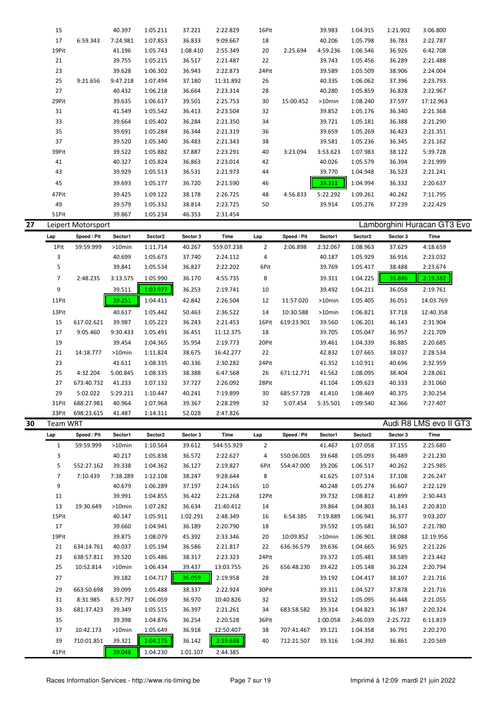|    | 15             |                    | 40.397    | 1:05.211 | 37.221   | 2:22.829   | 16Pit          |             | 39.983   | 1:04.915 | 1:21.902 | 3:06.800                    |  |
|----|----------------|--------------------|-----------|----------|----------|------------|----------------|-------------|----------|----------|----------|-----------------------------|--|
|    | 17             | 6:59.343           | 7:24.981  | 1:07.853 | 36.833   | 9:09.667   | 18             |             | 40.206   | 1:05.798 | 36.783   | 2:22.787                    |  |
|    |                |                    |           |          |          |            |                |             |          |          |          |                             |  |
|    | 19Pit          |                    | 41.196    | 1:05.743 | 1:08.410 | 2:55.349   | 20             | 2:25.694    | 4:59.236 | 1:06.546 | 36.926   | 6:42.708                    |  |
|    | 21             |                    | 39.755    | 1:05.215 | 36.517   | 2:21.487   | 22             |             | 39.743   | 1:05.456 | 36.289   | 2:21.488                    |  |
|    | 23             |                    | 39.628    | 1:06.302 | 36.943   | 2:22.873   | 24Pit          |             | 39.589   | 1:05.509 | 38.906   | 2:24.004                    |  |
|    | 25             | 9:21.656           | 9:47.218  | 1:07.494 | 37.180   | 11:31.892  | 26             |             | 40.335   | 1:06.062 | 37.396   | 2:23.793                    |  |
|    | 27             |                    | 40.432    | 1:06.218 | 36.664   | 2:23.314   | 28             |             | 40.280   | 1:05.859 | 36.828   | 2:22.967                    |  |
|    | 29Pit          |                    | 39.635    | 1:06.617 | 39.501   | 2:25.753   | 30             | 15:00.452   | >10min   | 1:08.240 | 37.597   | 17:12.963                   |  |
|    | 31             |                    | 41.549    | 1:05.542 | 36.413   | 2:23.504   | 32             |             | 39.852   | 1:05.176 | 36.340   | 2:21.368                    |  |
|    | 33             |                    | 39.664    | 1:05.402 | 36.284   | 2:21.350   | 34             |             | 39.721   | 1:05.181 | 36.388   | 2:21.290                    |  |
|    |                |                    |           |          |          |            |                |             |          |          |          |                             |  |
|    | 35             |                    | 39.691    | 1:05.284 | 36.344   | 2:21.319   | 36             |             | 39.659   | 1:05.269 | 36.423   | 2:21.351                    |  |
|    | 37             |                    | 39.520    | 1:05.340 | 36.483   | 2:21.343   | 38             |             | 39.581   | 1:05.236 | 36.345   | 2:21.162                    |  |
|    | 39Pit          |                    | 39.522    | 1:05.882 | 37.887   | 2:23.291   | 40             | 3:23.094    | 3:53.623 | 1:07.983 | 38.122   | 5:39.728                    |  |
|    | 41             |                    | 40.327    | 1:05.824 | 36.863   | 2:23.014   | 42             |             | 40.026   | 1:05.579 | 36.394   | 2:21.999                    |  |
|    | 43             |                    | 39.929    | 1:05.513 | 36.531   | 2:21.973   | 44             |             | 39.770   | 1:04.948 | 36.523   | 2:21.241                    |  |
|    | 45             |                    | 39.693    | 1:05.177 | 36.720   | 2:21.590   | 46             |             | 39.311   | 1:04.994 | 36.332   | 2:20.637                    |  |
|    |                |                    |           |          |          |            |                |             |          |          |          |                             |  |
|    | 47Pit          |                    | 39.425    | 1:09.122 | 38.178   | 2:26.725   | 48             | 4:56.833    | 5:22.292 | 1:09.261 | 40.242   | 7:11.795                    |  |
|    | 49             |                    | 39.579    | 1:05.332 | 38.814   | 2:23.725   | 50             |             | 39.914   | 1:05.276 | 37.239   | 2:22.429                    |  |
|    | 51Pit          |                    | 39.867    | 1:05.234 | 46.353   | 2:31.454   |                |             |          |          |          |                             |  |
| 27 |                | Leipert Motorsport |           |          |          |            |                |             |          |          |          | Lamborghini Huracan GT3 Evo |  |
|    | Lap            | Speed / Pit        | Sector1   | Sector2  | Sector 3 | Time       | Lap            | Speed / Pit | Sector1  | Sector2  | Sector 3 | Time                        |  |
|    | 1Pit           | 59:59.999          | >10min    | 1:11.714 | 40.267   | 559:07.238 | $\overline{2}$ | 2:06.898    | 2:32.067 | 1:08.963 | 37.629   | 4:18.659                    |  |
|    |                |                    |           |          |          |            |                |             |          |          |          |                             |  |
|    | 3              |                    | 40.699    | 1:05.673 | 37.740   | 2:24.112   | $\overline{a}$ |             | 40.187   | 1:05.929 | 36.916   | 2:23.032                    |  |
|    | 5              |                    | 39.841    | 1:05.534 | 36.827   | 2:22.202   | 6Pit           |             | 39.769   | 1:05.417 | 38.488   | 2:23.674                    |  |
|    | $\overline{7}$ | 2:48.235           | 3:13.575  | 1:05.990 | 36.170   | 4:55.735   | 8              |             | 39.311   | 1:04.225 | 35.846   | 2:19.382                    |  |
|    | 9              |                    | 39.511    | 1:03.977 | 36.253   | 2:19.741   | 10             |             | 39.492   | 1:04.211 | 36.058   | 2:19.761                    |  |
|    | 11Pit          |                    | 39.251    | 1:04.411 | 42.842   | 2:26.504   | 12             | 11:57.020   | >10min   | 1:05.405 | 36.051   | 14:03.769                   |  |
|    |                |                    |           |          |          |            |                |             |          |          |          |                             |  |
|    | 13Pit          |                    | 40.617    | 1:05.442 | 50.463   | 2:36.522   | 14             | 10:30.588   | >10min   | 1:06.821 | 37.718   | 12:40.358                   |  |
|    | 15             | 617:02.621         | 39.987    | 1:05.223 | 36.243   | 2:21.453   | 16Pit          | 619:23.901  | 39.560   | 1:06.201 | 46.143   | 2:31.904                    |  |
|    | 17             | 9:05.460           | 9:30.433  | 1:05.491 | 36.451   | 11:12.375  | 18             |             | 39.705   | 1:05.047 | 36.957   | 2:21.709                    |  |
|    | 19             |                    | 39.454    | 1:04.365 | 35.954   | 2:19.773   | 20Pit          |             | 39.461   | 1:04.339 | 36.885   | 2:20.685                    |  |
|    | 21             | 14:18.777          | $>10$ min | 1:11.824 | 38.675   | 16:42.277  | 22             |             | 42.832   | 1:07.665 | 38.037   | 2:28.534                    |  |
|    | 23             |                    | 41.611    | 1:08.335 | 40.336   | 2:30.282   | 24Pit          |             | 41.352   | 1:10.911 | 40.696   | 2:32.959                    |  |
|    |                |                    |           |          |          |            |                |             |          |          |          |                             |  |
|    | 25             | 4:32.204           | 5:00.845  | 1:08.335 | 38.388   | 6:47.568   | 26             | 671:12.771  | 41.562   | 1:08.095 | 38.404   | 2:28.061                    |  |
|    | 27             | 673:40.732         | 41.233    | 1:07.132 | 37.727   | 2:26.092   | 28Pit          |             | 41.104   | 1:09.623 | 40.333   | 2:31.060                    |  |
|    | 29             | 5:02.022           | 5:29.211  | 1:10.447 | 40.241   | 7:19.899   | 30             | 685:57.728  | 41.410   | 1:08.469 | 40.375   | 2:30.254                    |  |
|    | 31Pit          | 688:27.981         | 40.964    | 1:07.968 | 39.367   | 2:28.299   | 32             | 5:07.454    | 5:35.501 | 1:09.540 | 42.366   | 7:27.407                    |  |
|    | 33Pit          | 698:23.615         | 41.487    | 1:14.311 | 52.028   | 2:47.826   |                |             |          |          |          |                             |  |
| 30 | Team WRT       |                    |           |          |          |            |                |             |          |          |          | Audi R8 LMS evo II GT3      |  |
|    | Lap            | Speed / Pit        | Sector1   | Sector2  | Sector 3 | Time       | Lap            | Speed / Pit | Sector1  | Sector2  | Sector 3 | Time                        |  |
|    |                |                    |           |          |          |            |                |             |          |          |          | 2:25.680                    |  |
|    | $\mathbf{1}$   | 59:59.999          | >10min    | 1:10.564 | 39.612   | 544:55.929 | $\overline{2}$ |             | 41.467   | 1:07.058 | 37.155   |                             |  |
|    | 3              |                    | 40.217    | 1:05.838 | 36.572   | 2:22.627   | 4              | 550:06.003  | 39.648   | 1:05.093 | 36.489   | 2:21.230                    |  |
|    | 5              | 552:27.162         | 39.338    | 1:04.362 | 36.127   | 2:19.827   | 6Pit           | 554:47.000  | 39.206   | 1:06.517 | 40.262   | 2:25.985                    |  |
|    | $\overline{7}$ | 7:10.439           | 7:38.289  | 1:12.108 | 38.247   | 9:28.644   | 8              |             | 41.625   | 1:07.514 | 37.108   | 2:26.247                    |  |
|    | 9              |                    | 40.679    | 1:06.289 | 37.197   | 2:24.165   | 10             |             | 40.248   | 1:05.274 | 36.607   | 2:22.129                    |  |
|    | 11             |                    | 39.991    | 1:04.855 | 36.422   | 2:21.268   | 12Pit          |             | 39.732   | 1:08.812 | 41.899   | 2:30.443                    |  |
|    | 13             | 19:30.649          | >10min    | 1:07.282 | 36.634   | 21:40.412  | 14             |             | 39.864   | 1:04.803 | 36.143   | 2:20.810                    |  |
|    | 15Pit          |                    | 40.147    | 1:05.911 | 1:02.291 | 2:48.349   | 16             | 6:54.385    | 7:19.889 | 1:06.941 | 36.377   | 9:03.207                    |  |
|    |                |                    |           |          |          |            |                |             |          |          |          |                             |  |
|    | 17             |                    | 39.660    | 1:04.941 | 36.189   | 2:20.790   | 18             |             | 39.592   | 1:05.681 | 36.507   | 2:21.780                    |  |
|    | 19Pit          |                    | 39.875    | 1:08.079 | 45.392   | 2:33.346   | 20             | 10:09.852   | >10min   | 1:06.901 | 38.088   | 12:19.956                   |  |
|    | 21             | 634:14.761         | 40.037    | 1:05.194 | 36.586   | 2:21.817   | 22             | 636:36.579  | 39.636   | 1:04.665 | 36.925   | 2:21.226                    |  |
|    | 23             | 638:57.811         | 39.520    | 1:05.486 | 38.317   | 2:23.323   | 24Pit          |             | 39.372   | 1:05.481 | 38.589   | 2:23.442                    |  |
|    | 25             | 10:52.814          | >10min    | 1:06.434 | 39.437   | 13:03.755  | 26             | 656:48.230  | 39.422   | 1:05.148 | 36.224   | 2:20.794                    |  |
|    | 27             |                    | 39.182    | 1:04.717 | 36.059   | 2:19.958   | 28             |             | 39.192   | 1:04.417 | 38.107   | 2:21.716                    |  |
|    |                |                    |           |          |          |            |                |             |          |          |          |                             |  |
|    | 29             | 663:50.698         | 39.099    | 1:05.488 | 38.337   | 2:22.924   | 30Pit          |             | 39.311   | 1:04.527 | 37.878   | 2:21.716                    |  |
|    | 31             | 8:31.985           | 8:57.797  | 1:06.059 | 36.970   | 10:40.826  | 32             |             | 39.512   | 1:05.095 | 36.448   | 2:21.055                    |  |
|    | 33             | 681:37.423         | 39.349    | 1:05.515 | 36.397   | 2:21.261   | 34             | 683:58.582  | 39.314   | 1:04.823 | 36.187   | 2:20.324                    |  |
|    | 35             |                    | 39.398    | 1:04.876 | 36.254   | 2:20.528   | 36Pit          |             | 1:00.058 | 2:46.039 | 2:25.722 | 6:11.819                    |  |
|    | 37             | 10:42.173          | >10min    | 1:05.649 | 36.918   | 12:50.407  | 38             | 707:41.467  | 39.121   | 1:04.358 | 36.791   | 2:20.270                    |  |
|    | 39             | 710:01.851         | 39.321    | 1:04.175 | 36.142   | 2:19.638   | 40             | 712:21.507  | 39.316   | 1:04.392 | 36.861   | 2:20.569                    |  |
|    |                |                    |           |          |          |            |                |             |          |          |          |                             |  |
|    | 41Pit          |                    | 39.048    | 1:04.230 | 1:01.107 | 2:44.385   |                |             |          |          |          |                             |  |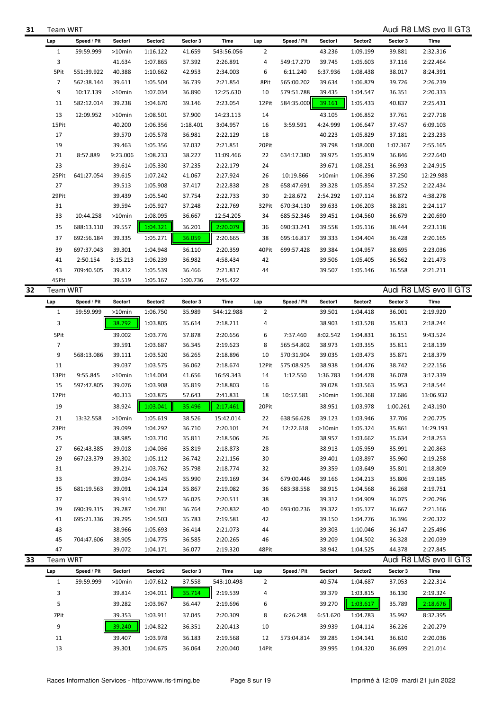| 31 | Team WRT |  |
|----|----------|--|
|    |          |  |

**31** Team WRT Audi R8 LMS evo II GT3

|                | Speed / Pit | Sector1   | Sector <sub>2</sub> | Sector 3 | Time                 | Lap            | Speed / Pit | Sector1  | Sector2  | Sector 3 | Time                   |
|----------------|-------------|-----------|---------------------|----------|----------------------|----------------|-------------|----------|----------|----------|------------------------|
| $\mathbf{1}$   | 59:59.999   | >10min    | 1:16.122            | 41.659   | 543:56.056           | 2              |             | 43.236   | 1:09.199 | 39.881   | 2:32.316               |
| 3              |             | 41.634    | 1:07.865            | 37.392   | 2:26.891             | 4              | 549:17.270  | 39.745   | 1:05.603 | 37.116   | 2:22.464               |
| 5Pit           | 551:39.922  | 40.388    | 1:10.662            | 42.953   | 2:34.003             | 6              | 6:11.240    | 6:37.936 | 1:08.438 | 38.017   | 8:24.391               |
| $\overline{7}$ | 562:38.144  | 39.611    | 1:05.504            | 36.739   | 2:21.854             | 8Pit           | 565:00.202  | 39.634   | 1:06.879 | 39.726   | 2:26.239               |
| 9              | 10:17.139   | >10min    | 1:07.034            | 36.890   | 12:25.630            | 10             | 579:51.788  | 39.435   | 1:04.547 | 36.351   | 2:20.333               |
| 11             | 582:12.014  | 39.238    | 1:04.670            | 39.146   | 2:23.054             | 12Pit          | 584:35.000  | 39.161   | 1:05.433 | 40.837   | 2:25.431               |
|                |             |           |                     |          |                      |                |             |          |          |          |                        |
| 13             | 12:09.952   | >10min    | 1:08.501            | 37.900   | 14:23.113            | 14             |             | 43.105   | 1:06.852 | 37.761   | 2:27.718               |
| 15Pit          |             | 40.200    | 1:06.356            | 1:18.401 | 3:04.957             | 16             | 3:59.591    | 4:24.999 | 1:06.647 | 37.457   | 6:09.103               |
| 17             |             | 39.570    | 1:05.578            | 36.981   | 2:22.129             | 18             |             | 40.223   | 1:05.829 | 37.181   | 2:23.233               |
| 19             |             | 39.463    | 1:05.356            | 37.032   | 2:21.851             | 20Pit          |             | 39.798   | 1:08.000 | 1:07.367 | 2:55.165               |
| 21             | 8:57.889    | 9:23.006  | 1:08.233            | 38.227   | 11:09.466            | 22             | 634:17.380  | 39.975   | 1:05.819 | 36.846   | 2:22.640               |
| 23             |             | 39.614    | 1:05.330            | 37.235   | 2:22.179             | 24             |             | 39.671   | 1:08.251 | 36.993   | 2:24.915               |
| 25Pit          | 641:27.054  | 39.615    | 1:07.242            | 41.067   | 2:27.924             | 26             | 10:19.866   | >10min   | 1:06.396 | 37.250   | 12:29.988              |
| 27             |             | 39.513    | 1:05.908            | 37.417   | 2:22.838             | 28             | 658:47.691  | 39.328   | 1:05.854 | 37.252   | 2:22.434               |
| 29Pit          |             | 39.439    | 1:05.540            | 37.754   | 2:22.733             | 30             | 2:28.672    | 2:54.292 | 1:07.114 | 36.872   | 4:38.278               |
| 31             |             | 39.594    | 1:05.927            | 37.248   | 2:22.769             | 32Pit          | 670:34.130  | 39.633   | 1:06.203 | 38.281   | 2:24.117               |
| 33             | 10:44.258   | >10min    | 1:08.095            | 36.667   | 12:54.205            | 34             | 685:52.346  | 39.451   | 1:04.560 | 36.679   | 2:20.690               |
| 35             | 688:13.110  | 39.557    | 1:04.321            | 36.201   | 2:20.079             | 36             | 690:33.241  | 39.558   | 1:05.116 | 38.444   | 2:23.118               |
| 37             | 692:56.184  | 39.335    | 1:05.271            | 36.059   | 2:20.665             | 38             | 695:16.817  | 39.333   | 1:04.404 | 36.428   | 2:20.165               |
| 39             | 697:37.043  | 39.301    | 1:04.948            | 36.110   | 2:20.359             | 40Pit          | 699:57.428  | 39.384   | 1:04.957 | 38.695   | 2:23.036               |
|                |             |           |                     |          |                      |                |             |          |          |          |                        |
| 41             | 2:50.154    | 3:15.213  | 1:06.239            | 36.982   | 4:58.434             | 42             |             | 39.506   | 1:05.405 | 36.562   | 2:21.473               |
| 43             | 709:40.505  | 39.812    | 1:05.539            | 36.466   | 2:21.817             | 44             |             | 39.507   | 1:05.146 | 36.558   | 2:21.211               |
| 45Pit          |             | 39.519    | 1:05.167            | 1:00.736 | 2:45.422             |                |             |          |          |          |                        |
| Team WRT       |             |           |                     |          |                      |                |             |          |          |          | Audi R8 LMS evo II GT3 |
| Lap            | Speed / Pit | Sector1   | Sector2             | Sector 3 | Time                 | Lap            | Speed / Pit | Sector1  | Sector2  | Sector 3 | Time                   |
| $\mathbf{1}$   | 59:59.999   | >10min    | 1:06.750            | 35.989   | 544:12.988           | $\overline{2}$ |             | 39.501   | 1:04.418 | 36.001   | 2:19.920               |
| 3              |             | 38.792    | 1:03.805            | 35.614   | 2:18.211             | 4              |             | 38.903   | 1:03.528 | 35.813   | 2:18.244               |
| 5Pit           |             | 39.002    | 1:03.776            | 37.878   | 2:20.656             | 6              | 7:37.460    | 8:02.542 | 1:04.831 | 36.151   | 9:43.524               |
| $\overline{7}$ |             | 39.591    | 1:03.687            | 36.345   | 2:19.623             | 8              | 565:54.802  | 38.973   | 1:03.355 | 35.811   | 2:18.139               |
| 9              | 568:13.086  | 39.111    | 1:03.520            | 36.265   | 2:18.896             | 10             | 570:31.904  | 39.035   | 1:03.473 | 35.871   | 2:18.379               |
| 11             |             | 39.037    | 1:03.575            | 36.062   | 2:18.674             | 12Pit          | 575:08.925  | 38.938   | 1:04.476 | 38.742   | 2:22.156               |
| 13Pit          | 9:55.845    | $>10$ min | 1:14.004            | 41.656   | 16:59.343            | 14             | 1:12.550    | 1:36.783 | 1:04.478 | 36.078   | 3:17.339               |
|                |             | 39.076    | 1:03.908            | 35.819   | 2:18.803             | 16             |             | 39.028   | 1:03.563 | 35.953   | 2:18.544               |
|                |             |           |                     |          |                      |                |             |          | 1:06.368 |          |                        |
| 15             | 597:47.805  |           |                     |          |                      |                |             |          |          |          |                        |
| 17Pit          |             | 40.313    | 1:03.875            | 57.643   | 2:41.831             | 18             | 10:57.581   | >10min   |          | 37.686   | 13:06.932              |
| 19             |             | 38.924    | 1:03.041            | 35.496   | 2:17.461             | 20Pit          |             | 38.951   | 1:03.978 | 1:00.261 | 2:43.190               |
| 21             | 13:32.558   | $>10$ min | 1:05.619            | 38.526   | 15:42.014            | 22             | 638:56.628  | 39.123   | 1:03.946 | 37.706   | 2:20.775               |
| 23Pit          |             | 39.099    | 1:04.292            | 36.710   | 2:20.101             | 24             | 12:22.618   | >10min   | 1:05.324 | 35.861   | 14:29.193              |
| 25             |             | 38.985    | 1:03.710            | 35.811   | 2:18.506             | 26             |             | 38.957   | 1:03.662 | 35.634   | 2:18.253               |
| 27             | 662:43.385  | 39.018    | 1:04.036            | 35.819   | 2:18.873             | 28             |             | 38.913   | 1:05.959 | 35.991   | 2:20.863               |
| 29             | 667:23.379  | 39.302    | 1:05.112            | 36.742   | 2:21.156             | 30             |             | 39.401   | 1:03.897 | 35.960   | 2:19.258               |
| 31             |             | 39.214    | 1:03.762            | 35.798   | 2:18.774             | 32             |             | 39.359   | 1:03.649 | 35.801   | 2:18.809               |
| 33             |             | 39.034    | 1:04.145            | 35.990   | 2:19.169             | 34             | 679:00.446  | 39.166   | 1:04.213 | 35.806   | 2:19.185               |
| 35             | 681:19.563  | 39.091    | 1:04.124            | 35.867   | 2:19.082             | 36             | 683:38.558  | 38.915   | 1:04.568 | 36.268   | 2:19.751               |
| 37             |             | 39.914    | 1:04.572            | 36.025   | 2:20.511             | 38             |             | 39.312   | 1:04.909 | 36.075   | 2:20.296               |
| 39             | 690:39.315  | 39.287    | 1:04.781            | 36.764   | 2:20.832             | 40             | 693:00.236  | 39.322   | 1:05.177 | 36.667   | 2:21.166               |
| 41             | 695:21.336  | 39.295    | 1:04.503            | 35.783   | 2:19.581             | 42             |             | 39.150   | 1:04.776 | 36.396   | 2:20.322               |
| 43             |             | 38.966    | 1:05.693            | 36.414   | 2:21.073             | 44             |             | 39.303   | 1:10.046 | 36.147   | 2:25.496               |
| 45             | 704:47.606  | 38.905    | 1:04.775            | 36.585   |                      | 46             |             | 39.209   | 1:04.502 | 36.328   | 2:20.039               |
| 47             |             | 39.072    | 1:04.171            | 36.077   | 2:20.265<br>2:19.320 | 48Pit          |             | 38.942   | 1:04.525 | 44.378   | 2:27.845               |
|                |             |           |                     |          |                      |                |             |          |          |          |                        |
| Team WRT       |             |           |                     |          |                      |                |             |          |          |          | Audi R8 LMS evo II GT3 |
| Lap            | Speed / Pit | Sector1   | Sector2             | Sector 3 | Time                 | Lap            | Speed / Pit | Sector1  | Sector2  | Sector 3 | Time                   |
| $\mathbf{1}$   | 59:59.999   | >10min    | 1:07.612            | 37.558   | 543:10.498           | $\overline{2}$ |             | 40.574   | 1:04.687 | 37.053   | 2:22.314               |
| 3              |             | 39.814    | 1:04.011            | 35.714   | 2:19.539             | 4              |             | 39.379   | 1:03.815 | 36.130   | 2:19.324               |
| 5              |             | 39.282    | 1:03.967            | 36.447   | 2:19.696             | 6              |             | 39.270   | 1:03.617 | 35.789   | 2:18.676               |
| 7Pit           |             | 39.353    | 1:03.911            | 37.045   | 2:20.309             | 8              | 6:26.248    | 6:51.620 | 1:04.783 | 35.992   | 8:32.395               |
|                |             |           |                     |          |                      |                |             |          |          |          |                        |
| 9              |             | 39.240    | 1:04.822            | 36.351   | 2:20.413             | 10             |             | 39.939   | 1:04.114 | 36.226   | 2:20.279               |
| 11             |             | 39.407    | 1:03.978            | 36.183   | 2:19.568             | 12             | 573:04.814  | 39.285   | 1:04.141 | 36.610   | 2:20.036               |
| 13             |             | 39.301    | 1:04.675            | 36.064   | 2:20.040             | 14Pit          |             | 39.995   | 1:04.320 | 36.699   | 2:21.014               |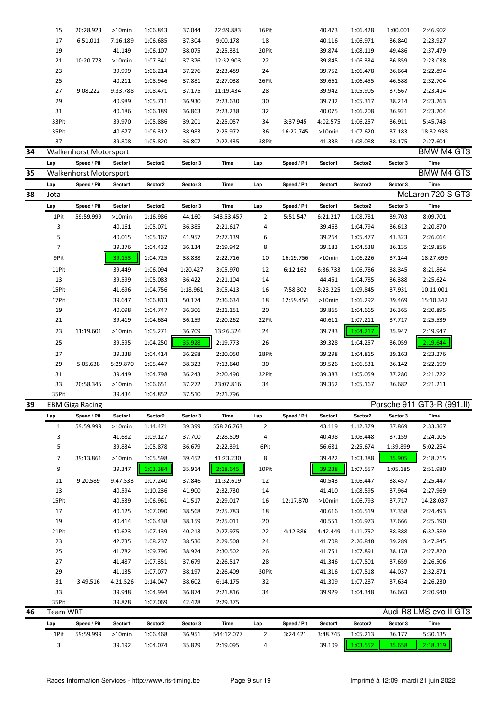|    | 15             | 20:28.923                     | $>10$ min        | 1:06.843             | 37.044           | 22:39.883              | 16Pit          |             | 40.473             | 1:06.428             | 1:00.001         | 2:46.902                   |  |
|----|----------------|-------------------------------|------------------|----------------------|------------------|------------------------|----------------|-------------|--------------------|----------------------|------------------|----------------------------|--|
|    | 17             | 6:51.011                      | 7:16.189         | 1:06.685             | 37.304           | 9:00.178               | 18             |             | 40.116             | 1:06.971             | 36.840           | 2:23.927                   |  |
|    | 19             |                               | 41.149           | 1:06.107             | 38.075           | 2:25.331               | 20Pit          |             | 39.874             | 1:08.119             | 49.486           | 2:37.479                   |  |
|    | 21             | 10:20.773                     | >10min           | 1:07.341             | 37.376           | 12:32.903              | 22             |             | 39.845             | 1:06.334             | 36.859           | 2:23.038                   |  |
|    | 23             |                               | 39.999           | 1:06.214             | 37.276           | 2:23.489               | 24             |             | 39.752             | 1:06.478             | 36.664           | 2:22.894                   |  |
|    | 25             |                               | 40.211           | 1:08.946             | 37.881           | 2:27.038               | 26Pit          |             | 39.661             | 1:06.455             | 46.588           | 2:32.704                   |  |
|    | 27             | 9:08.222                      | 9:33.788         | 1:08.471             | 37.175           | 11:19.434              | 28             |             | 39.942             | 1:05.905             | 37.567           | 2:23.414                   |  |
|    | 29             |                               | 40.989           | 1:05.711             | 36.930           | 2:23.630               | 30             |             | 39.732             | 1:05.317             | 38.214           | 2:23.263                   |  |
|    | 31             |                               | 40.186           | 1:06.189             | 36.863           | 2:23.238               | 32             |             | 40.075             | 1:06.208             | 36.921           | 2:23.204                   |  |
|    | 33Pit          |                               | 39.970           | 1:05.886             | 39.201           | 2:25.057               | 34             | 3:37.945    | 4:02.575           | 1:06.257             | 36.911           | 5:45.743                   |  |
|    | 35Pit          |                               | 40.677           | 1:06.312             | 38.983           | 2:25.972               | 36             | 16:22.745   | >10min             | 1:07.620             | 37.183           | 18:32.938                  |  |
|    | 37             |                               | 39.808           | 1:05.820             | 36.807           | 2:22.435               | 38Pit          |             | 41.338             | 1:08.088             | 38.175           | 2:27.601                   |  |
| 34 |                | <b>Walkenhorst Motorsport</b> |                  |                      |                  |                        |                |             |                    |                      |                  | BMW M4 GT3                 |  |
|    | Lap            | Speed / Pit                   | Sector1          | Sector2              | Sector 3         | Time                   | Lap            | Speed / Pit | Sector1            | Sector2              | Sector 3         | <b>Time</b>                |  |
| 35 |                | Walkenhorst Motorsport        |                  |                      |                  |                        |                |             |                    |                      |                  | BMW M4 GT3                 |  |
|    |                |                               |                  |                      |                  |                        |                |             |                    |                      |                  |                            |  |
|    | Lap            | Speed / Pit                   | Sector1          | Sector2              | Sector 3         | Time                   | Lap            | Speed / Pit | Sector1            | Sector2              | Sector 3         | <b>Time</b>                |  |
| 38 | Jota           |                               |                  |                      |                  |                        |                |             |                    |                      |                  | McLaren 720 S GT3          |  |
|    | Lap            | Speed / Pit                   | Sector1          | Sector2              | Sector 3         | Time                   | Lap            | Speed / Pit | Sector1            | Sector2              | Sector 3         | Time                       |  |
|    | 1Pit           | 59:59.999                     | >10min           | 1:16.986             | 44.160           | 543:53.457             | $\overline{2}$ | 5:51.547    | 6:21.217           | 1:08.781             | 39.703           | 8:09.701                   |  |
|    | 3              |                               | 40.161           | 1:05.071             | 36.385           | 2:21.617               | 4              |             | 39.463             | 1:04.794             | 36.613           | 2:20.870                   |  |
|    | 5              |                               | 40.015           | 1:05.167             | 41.957           | 2:27.139               | 6              |             | 39.264             | 1:05.477             | 41.323           | 2:26.064                   |  |
|    | 7              |                               | 39.376           | 1:04.432             | 36.134           | 2:19.942               | 8              |             | 39.183             | 1:04.538             | 36.135           | 2:19.856                   |  |
|    | 9Pit           |                               | 39.153           | 1:04.725             | 38.838           | 2:22.716               | 10             | 16:19.756   | >10min             | 1:06.226             | 37.144           | 18:27.699                  |  |
|    | 11Pit          |                               | 39.449           | 1:06.094             | 1:20.427         | 3:05.970               | 12             | 6:12.162    | 6:36.733           | 1:06.786             | 38.345           | 8:21.864                   |  |
|    | 13             |                               | 39.599           | 1:05.083             | 36.422           | 2:21.104               | 14             |             | 44.451             | 1:04.785             | 36.388           | 2:25.624                   |  |
|    | 15Pit          |                               | 41.696           | 1:04.756             | 1:18.961         | 3:05.413               | 16             | 7:58.302    | 8:23.225           | 1:09.845             | 37.931           | 10:11.001                  |  |
|    | 17Pit          |                               | 39.647           | 1:06.813             | 50.174           | 2:36.634               | 18             | 12:59.454   | >10min             | 1:06.292             | 39.469           | 15:10.342                  |  |
|    | 19             |                               | 40.098           | 1:04.747             | 36.306           | 2:21.151               | 20             |             | 39.865             | 1:04.665             | 36.365           | 2:20.895                   |  |
|    | 21             |                               | 39.419           | 1:04.684             | 36.159           | 2:20.262               | 22Pit          |             | 40.611             | 1:07.211             | 37.717           | 2:25.539                   |  |
|    | 23             | 11:19.601                     | >10min           | 1:05.271             | 36.709           | 13:26.324              | 24             |             | 39.783             | 1:04.217             | 35.947           | 2:19.947                   |  |
|    | 25             |                               | 39.595           | 1:04.250             | 35.928           | 2:19.773               | 26             |             | 39.328             | 1:04.257             | 36.059           | 2:19.644                   |  |
|    |                |                               |                  |                      |                  |                        |                |             |                    |                      |                  |                            |  |
|    | 27             |                               | 39.338           | 1:04.414             | 36.298           | 2:20.050               | 28Pit          |             | 39.298             | 1:04.815             | 39.163           | 2:23.276                   |  |
|    | 29             | 5:05.638                      | 5:29.870         | 1:05.447             | 38.323           | 7:13.640               | 30             |             | 39.526             | 1:06.531             | 36.142           | 2:22.199                   |  |
|    | 31             |                               | 39.449           | 1:04.798             | 36.243           | 2:20.490               | 32Pit          |             | 39.383             | 1:05.059             | 37.280           | 2:21.722                   |  |
|    | 33             | 20:58.345                     | >10min           | 1:06.651             | 37.272           | 23:07.816              | 34             |             | 39.362             | 1:05.167             | 36.682           | 2:21.211                   |  |
|    | 35Pit          |                               | 39.434           | 1:04.852             | 37.510           | 2:21.796               |                |             |                    |                      |                  |                            |  |
| 39 |                | <b>EBM Giga Racing</b>        |                  |                      |                  |                        |                |             |                    |                      |                  | Porsche 911 GT3-R (991.II) |  |
|    | Lap            | Speed / Pit                   | Sector1          | Sector2              | Sector 3         | Time                   | Lap            | Speed / Pit | Sector1            | Sector2              | Sector 3         | Time                       |  |
|    | $\mathbf{1}$   | 59:59.999                     | >10min           | 1:14.471             | 39.399           | 558:26.763             | $\overline{2}$ |             | 43.119             | 1:12.379             | 37.869           | 2:33.367                   |  |
|    | 3              |                               | 41.682           | 1:09.127             | 37.700           | 2:28.509               | 4              |             | 40.498             | 1:06.448             | 37.159           | 2:24.105                   |  |
|    | 5              |                               | 39.834           | 1:05.878             | 36.679           | 2:22.391               | 6Pit           |             | 56.681             | 2:25.674             | 1:39.899         | 5:02.254                   |  |
|    | $\overline{7}$ | 39:13.861                     | $>10$ min        | 1:05.598             | 39.452           | 41:23.230              | 8              |             | 39.422             | 1:03.388             | 35.905           | 2:18.715                   |  |
|    | 9              |                               | 39.347           | 1:03.384             | 35.914           | 2:18.645               | 10Pit          |             | 39.238             | 1:07.557             | 1:05.185         | 2:51.980                   |  |
|    | 11             | 9:20.589                      | 9:47.533         | 1:07.240             | 37.846           | 11:32.619              | 12             |             | 40.543             | 1:06.447             | 38.457           | 2:25.447                   |  |
|    | 13             |                               | 40.594           | 1:10.236             | 41.900           | 2:32.730               | 14             |             | 41.410             | 1:08.595             | 37.964           | 2:27.969                   |  |
|    | 15Pit          |                               | 40.539           | 1:06.961             | 41.517           | 2:29.017               | 16             | 12:17.870   | $>10$ min          | 1:06.793             | 37.717           | 14:28.037                  |  |
|    | 17             |                               | 40.125           | 1:07.090             | 38.568           | 2:25.783               | 18             |             | 40.616             | 1:06.519             | 37.358           | 2:24.493                   |  |
|    | 19             |                               | 40.414           | 1:06.438             | 38.159           | 2:25.011               | 20             |             | 40.551             | 1:06.973             | 37.666           | 2:25.190                   |  |
|    | 21Pit          |                               | 40.623           | 1:07.139             | 40.213           | 2:27.975               | 22             | 4:12.386    | 4:42.449           | 1:11.752             | 38.388           | 6:32.589                   |  |
|    | 23             |                               | 42.735           | 1:08.237             | 38.536           | 2:29.508               | 24             |             | 41.708             | 2:26.848             | 39.289           | 3:47.845                   |  |
|    | 25             |                               | 41.782           | 1:09.796             | 38.924           | 2:30.502               | 26             |             | 41.751             | 1:07.891             | 38.178           | 2:27.820                   |  |
|    | 27             |                               | 41.487           | 1:07.351             | 37.679           | 2:26.517               | 28             |             | 41.346             | 1:07.501             | 37.659           | 2:26.506                   |  |
|    | 29             |                               | 41.135           | 1:07.077             | 38.197           | 2:26.409               | 30Pit          |             | 41.316             | 1:07.518             | 44.037           | 2:32.871                   |  |
|    |                |                               |                  |                      |                  |                        |                |             |                    |                      |                  |                            |  |
|    | 31             | 3:49.516                      | 4:21.526         | 1:14.047             | 38.602           | 6:14.175               | 32             |             | 41.309             | 1:07.287             | 37.634           | 2:26.230                   |  |
|    | 33             |                               | 39.948           | 1:04.994             | 36.874           | 2:21.816               | 34             |             | 39.929             | 1:04.348             | 36.663           | 2:20.940                   |  |
|    |                |                               | 39.878           | 1:07.069             | 42.428           | 2:29.375               |                |             |                    |                      |                  |                            |  |
|    | 35Pit          |                               |                  |                      |                  |                        |                |             |                    |                      |                  |                            |  |
| 46 | Team WRT       |                               |                  |                      |                  |                        |                |             |                    |                      |                  | Audi R8 LMS evo II GT3     |  |
|    | Lap            | Speed / Pit                   | Sector1          | Sector2              | Sector 3         | Time                   | Lap            | Speed / Pit | Sector1            | Sector2              | Sector 3         | Time                       |  |
|    | 1Pit<br>3      | 59:59.999                     | >10min<br>39.192 | 1:06.468<br>1:04.074 | 36.951<br>35.829 | 544:12.077<br>2:19.095 | $\overline{2}$ | 3:24.421    | 3:48.745<br>39.109 | 1:05.213<br>1:03.552 | 36.177<br>35.658 | 5:30.135<br>2:18.319       |  |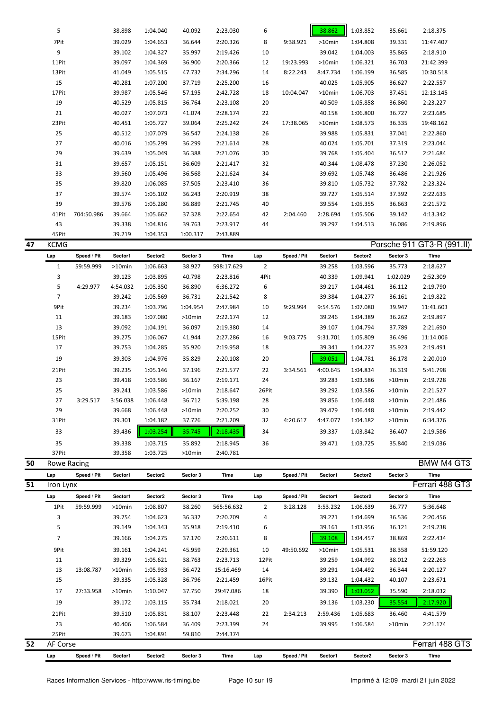| 5     |            | 38.898 | 1:04.040 | 40.092   | 2:23.030 | 6  |           | 38.862    | 1:03.852 | 35.661 | 2:18.375  |  |
|-------|------------|--------|----------|----------|----------|----|-----------|-----------|----------|--------|-----------|--|
| 7Pit  |            | 39.029 | 1:04.653 | 36.644   | 2:20.326 | 8  | 9:38.921  | $>10$ min | 1:04.808 | 39.331 | 11:47.407 |  |
| 9     |            | 39.102 | 1:04.327 | 35.997   | 2:19.426 | 10 |           | 39.042    | 1:04.003 | 35.865 | 2:18.910  |  |
| 11Pit |            | 39.097 | 1:04.369 | 36.900   | 2:20.366 | 12 | 19:23.993 | $>10$ min | 1:06.321 | 36.703 | 21:42.399 |  |
| 13Pit |            | 41.049 | 1:05.515 | 47.732   | 2:34.296 | 14 | 8:22.243  | 8:47.734  | 1:06.199 | 36.585 | 10:30.518 |  |
| 15    |            | 40.281 | 1:07.200 | 37.719   | 2:25.200 | 16 |           | 40.025    | 1:05.905 | 36.627 | 2:22.557  |  |
| 17Pit |            | 39.987 | 1:05.546 | 57.195   | 2:42.728 | 18 | 10:04.047 | $>10$ min | 1:06.703 | 37.451 | 12:13.145 |  |
| 19    |            | 40.529 | 1:05.815 | 36.764   | 2:23.108 | 20 |           | 40.509    | 1:05.858 | 36.860 | 2:23.227  |  |
| 21    |            | 40.027 | 1:07.073 | 41.074   | 2:28.174 | 22 |           | 40.158    | 1:06.800 | 36.727 | 2:23.685  |  |
| 23Pit |            | 40.451 | 1:05.727 | 39.064   | 2:25.242 | 24 | 17:38.065 | $>10$ min | 1:08.573 | 36.335 | 19:48.162 |  |
| 25    |            | 40.512 | 1:07.079 | 36.547   | 2:24.138 | 26 |           | 39.988    | 1:05.831 | 37.041 | 2:22.860  |  |
| 27    |            | 40.016 | 1:05.299 | 36.299   | 2:21.614 | 28 |           | 40.024    | 1:05.701 | 37.319 | 2:23.044  |  |
| 29    |            | 39.639 | 1:05.049 | 36.388   | 2:21.076 | 30 |           | 39.768    | 1:05.404 | 36.512 | 2:21.684  |  |
| 31    |            | 39.657 | 1:05.151 | 36.609   | 2:21.417 | 32 |           | 40.344    | 1:08.478 | 37.230 | 2:26.052  |  |
| 33    |            | 39.560 | 1:05.496 | 36.568   | 2:21.624 | 34 |           | 39.692    | 1:05.748 | 36.486 | 2:21.926  |  |
| 35    |            | 39.820 | 1:06.085 | 37.505   | 2:23.410 | 36 |           | 39.810    | 1:05.732 | 37.782 | 2:23.324  |  |
| 37    |            | 39.574 | 1:05.102 | 36.243   | 2:20.919 | 38 |           | 39.727    | 1:05.514 | 37.392 | 2:22.633  |  |
| 39    |            | 39.576 | 1:05.280 | 36.889   | 2:21.745 | 40 |           | 39.554    | 1:05.355 | 36.663 | 2:21.572  |  |
| 41Pit | 704:50.986 | 39.664 | 1:05.662 | 37.328   | 2:22.654 | 42 | 2:04.460  | 2:28.694  | 1:05.506 | 39.142 | 4:13.342  |  |
| 43    |            | 39.338 | 1:04.816 | 39.763   | 2:23.917 | 44 |           | 39.297    | 1:04.513 | 36.086 | 2:19.896  |  |
| 45Pit |            | 39.219 | 1:04.353 | 1:00.317 | 2:43.889 |    |           |           |          |        |           |  |

| <b>KCMG</b>    |             |           |          |           |            |                |             |          |          |           | Porsche 911 GT3-R (991.II) |
|----------------|-------------|-----------|----------|-----------|------------|----------------|-------------|----------|----------|-----------|----------------------------|
| Lap            | Speed / Pit | Sector1   | Sector2  | Sector 3  | Time       | Lap            | Speed / Pit | Sector1  | Sector2  | Sector 3  | Time                       |
| 1              | 59:59.999   | $>10$ min | 1:06.663 | 38.927    | 598:17.629 | $\overline{2}$ |             | 39.258   | 1:03.596 | 35.773    | 2:18.627                   |
| 3              |             | 39.123    | 1:03.895 | 40.798    | 2:23.816   | 4Pit           |             | 40.339   | 1:09.941 | 1:02.029  | 2:52.309                   |
| 5              | 4:29.977    | 4:54.032  | 1:05.350 | 36.890    | 6:36.272   | 6              |             | 39.217   | 1:04.461 | 36.112    | 2:19.790                   |
| $\overline{7}$ |             | 39.242    | 1:05.569 | 36.731    | 2:21.542   | 8              |             | 39.384   | 1:04.277 | 36.161    | 2:19.822                   |
| 9Pit           |             | 39.234    | 1:03.796 | 1:04.954  | 2:47.984   | 10             | 9:29.994    | 9:54.576 | 1:07.080 | 39.947    | 11:41.603                  |
| 11             |             | 39.183    | 1:07.080 | $>10$ min | 2:22.174   | 12             |             | 39.246   | 1:04.389 | 36.262    | 2:19.897                   |
| 13             |             | 39.092    | 1:04.191 | 36.097    | 2:19.380   | 14             |             | 39.107   | 1:04.794 | 37.789    | 2:21.690                   |
| 15Pit          |             | 39.275    | 1:06.067 | 41.944    | 2:27.286   | 16             | 9:03.775    | 9:31.701 | 1:05.809 | 36.496    | 11:14.006                  |
| 17             |             | 39.753    | 1:04.285 | 35.920    | 2:19.958   | 18             |             | 39.341   | 1:04.227 | 35.923    | 2:19.491                   |
| 19             |             | 39.303    | 1:04.976 | 35.829    | 2:20.108   | 20             |             | 39.051   | 1:04.781 | 36.178    | 2:20.010                   |
| 21Pit          |             | 39.235    | 1:05.146 | 37.196    | 2:21.577   | 22             | 3:34.561    | 4:00.645 | 1:04.834 | 36.319    | 5:41.798                   |
| 23             |             | 39.418    | 1:03.586 | 36.167    | 2:19.171   | 24             |             | 39.283   | 1:03.586 | $>10$ min | 2:19.728                   |
| 25             |             | 39.241    | 1:03.586 | $>10$ min | 2:18.647   | 26Pit          |             | 39.292   | 1:03.586 | $>10$ min | 2:21.527                   |
| 27             | 3:29.517    | 3:56.038  | 1:06.448 | 36.712    | 5:39.198   | 28             |             | 39.856   | 1:06.448 | $>10$ min | 2:21.486                   |
| 29             |             | 39.668    | 1:06.448 | $>10$ min | 2:20.252   | 30             |             | 39.479   | 1:06.448 | $>10$ min | 2:19.442                   |
| 31Pit          |             | 39.301    | 1:04.182 | 37.726    | 2:21.209   | 32             | 4:20.617    | 4:47.077 | 1:04.182 | $>10$ min | 6:34.376                   |
| 33             |             | 39.436    | 1:03.254 | 35.745    | 2:18.435   | 34             |             | 39.337   | 1:03.842 | 36.407    | 2:19.586                   |
| 35             |             | 39.338    | 1:03.715 | 35.892    | 2:18.945   | 36             |             | 39.471   | 1:03.725 | 35.840    | 2:19.036                   |
| 37Pit          |             | 39.358    | 1:03.725 | $>10$ min | 2:40.781   |                |             |          |          |           |                            |

| 50 | Rowe Racing    |             |           |          |          |            |                |             |           |                     |           | <b>BMW M4 GT3</b> |
|----|----------------|-------------|-----------|----------|----------|------------|----------------|-------------|-----------|---------------------|-----------|-------------------|
|    | Lap            | Speed / Pit | Sector1   | Sector2  | Sector 3 | Time       | Lap            | Speed / Pit | Sector1   | Sector <sub>2</sub> | Sector 3  | Time              |
| 51 | Iron Lynx      |             |           |          |          |            |                |             |           |                     |           | Ferrari 488 GT3   |
|    | Lap            | Speed / Pit | Sector1   | Sector2  | Sector 3 | Time       | Lap            | Speed / Pit | Sector1   | Sector <sub>2</sub> | Sector 3  | Time              |
|    | 1Pit           | 59:59.999   | $>10$ min | 1:08.807 | 38.260   | 565:56.632 | $\overline{2}$ | 3:28.128    | 3:53.232  | 1:06.639            | 36.777    | 5:36.648          |
|    | 3              |             | 39.754    | 1:04.623 | 36.332   | 2:20.709   | 4              |             | 39.221    | 1:04.699            | 36.536    | 2:20.456          |
|    | 5              |             | 39.149    | 1:04.343 | 35.918   | 2:19.410   | 6              |             | 39.161    | 1:03.956            | 36.121    | 2:19.238          |
|    | $\overline{7}$ |             | 39.166    | 1:04.275 | 37.170   | 2:20.611   | 8              |             | 39.108    | 1:04.457            | 38.869    | 2:22.434          |
|    | 9Pit           |             | 39.161    | 1:04.241 | 45.959   | 2:29.361   | 10             | 49:50.692   | $>10$ min | 1:05.531            | 38.358    | 51:59.120         |
|    | 11             |             | 39.329    | 1:05.621 | 38.763   | 2:23.713   | 12Pit          |             | 39.259    | 1:04.992            | 38.012    | 2:22.263          |
|    | 13             | 13:08.787   | $>10$ min | 1:05.933 | 36.472   | 15:16.469  | 14             |             | 39.291    | 1:04.492            | 36.344    | 2:20.127          |
|    | 15             |             | 39.335    | 1:05.328 | 36.796   | 2:21.459   | 16Pit          |             | 39.132    | 1:04.432            | 40.107    | 2:23.671          |
|    | 17             | 27:33.958   | $>10$ min | 1:10.047 | 37.750   | 29:47.086  | 18             |             | 39.390    | 1:03.052            | 35.590    | 2:18.032          |
|    | 19             |             | 39.172    | 1:03.115 | 35.734   | 2:18.021   | 20             |             | 39.136    | 1:03.230            | 35.554    | 2:17.920          |
|    | 21Pit          |             | 39.510    | 1:05.831 | 38.107   | 2:23.448   | 22             | 2:34.213    | 2:59.436  | 1:05.683            | 36.460    | 4:41.579          |
|    | 23             |             | 40.406    | 1:06.584 | 36.409   | 2:23.399   | 24             |             | 39.995    | 1:06.584            | $>10$ min | 2:21.174          |
|    | 25Pit          |             | 39.673    | 1:04.891 | 59.810   | 2:44.374   |                |             |           |                     |           |                   |
| 52 | AF Corse       |             |           |          |          |            |                |             |           |                     |           | Ferrari 488 GT3   |

Races Information Services - http://www.ris-timing.be Page 10 sur 19 Imprimé à 12:09 mardi 21 juin 2022

**Lap Speed / Pit Sector1 Sector2 Sector 3 Time Lap Speed / Pit Sector1 Sector2 Sector 3 Time**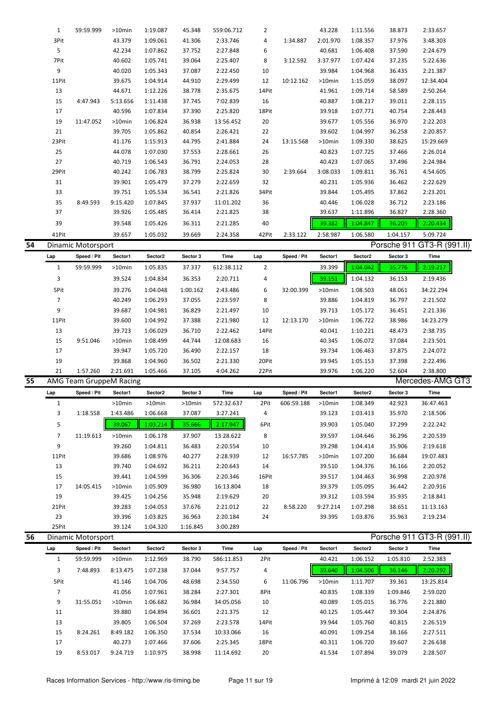|    | $\mathbf{1}$   | 59:59.999                      | >10min             | 1:19.087             | 45.348           | 559:06.712             | 2           |             | 43.228           | 1:11.556             | 38.873           | 2:33.657                   |  |
|----|----------------|--------------------------------|--------------------|----------------------|------------------|------------------------|-------------|-------------|------------------|----------------------|------------------|----------------------------|--|
|    | 3Pit           |                                | 43.379             | 1:09.061             | 41.306           | 2:33.746               | 4           | 1:34.887    | 2:01.970         | 1:08.357             | 37.976           | 3:48.303                   |  |
|    | 5              |                                | 42.234             | 1:07.862             | 37.752           | 2:27.848               | 6           |             | 40.681           | 1:06.408             | 37.590           | 2:24.679                   |  |
|    | 7Pit           |                                | 40.602             | 1:05.741             | 39.064           | 2:25.407               | 8           | 3:12.592    | 3:37.977         | 1:07.424             | 37.235           | 5:22.636                   |  |
|    | 9              |                                | 40.020             | 1:05.343             | 37.087           | 2:22.450               | 10          |             | 39.984           | 1:04.968             | 36.435           | 2:21.387                   |  |
|    | 11Pit          |                                | 39.675             | 1:04.914             | 44.910           | 2:29.499               | 12          | 10:12.162   | >10min           | 1:15.059             | 38.097           | 12:34.404                  |  |
|    | 13             |                                | 44.671             | 1:12.226             | 38.778           | 2:35.675               | 14Pit       |             | 41.961           | 1:09.714             | 58.589           | 2:50.264                   |  |
|    | 15             | 4:47.943                       | 5:13.656           | 1:11.438             | 37.745           | 7:02.839               | 16          |             | 40.887           | 1:08.217             | 39.011           | 2:28.115                   |  |
|    | 17             |                                | 40.596             | 1:07.834             | 37.390           | 2:25.820               | 18Pit       |             | 39.918           | 1:07.771             | 40.754           | 2:28.443                   |  |
|    | 19             | 11:47.052                      | >10min             | 1:06.824             | 36.938           | 13:56.452              | 20          |             | 39.677           | 1:05.556             | 36.970           | 2:22.203                   |  |
|    | 21             |                                |                    |                      |                  |                        |             |             |                  |                      |                  |                            |  |
|    |                |                                | 39.705             | 1:05.862             | 40.854           | 2:26.421               | 22          |             | 39.602           | 1:04.997             | 36.258           | 2:20.857                   |  |
|    | 23Pit          |                                | 41.176             | 1:15.913             | 44.795           | 2:41.884               | 24          | 13:15.568   | >10min           | 1:09.330             | 38.625           | 15:29.669                  |  |
|    | 25             |                                | 44.078             | 1:07.030             | 37.553           | 2:28.661               | 26          |             | 40.823           | 1:07.725             | 37.466           | 2:26.014                   |  |
|    | 27             |                                | 40.719             | 1:06.543             | 36.791           | 2:24.053               | 28          |             | 40.423           | 1:07.065             | 37.496           | 2:24.984                   |  |
|    | 29Pit          |                                | 40.242             | 1:06.783             | 38.799           | 2:25.824               | 30          | 2:39.664    | 3:08.033         | 1:09.811             | 36.761           | 4:54.605                   |  |
|    | 31             |                                | 39.901             | 1:05.479             | 37.279           | 2:22.659               | 32          |             | 40.231           | 1:05.936             | 36.462           | 2:22.629                   |  |
|    | 33             |                                | 39.751             | 1:05.534             | 36.541           | 2:21.826               | 34Pit       |             | 39.844           | 1:05.495             | 37.862           | 2:23.201                   |  |
|    | 35             | 8:49.593                       | 9:15.420           | 1:07.845             | 37.937           | 11:01.202              | 36          |             | 40.446           | 1:06.028             | 36.712           | 2:23.186                   |  |
|    | 37             |                                | 39.926             | 1:05.485             | 36.414           | 2:21.825               | 38          |             | 39.637           | 1:11.896             | 36.827           | 2:28.360                   |  |
|    | 39             |                                | 39.548             | 1:05.426             | 36.311           | 2:21.285               | 40          |             | 39.382           | 1:04.847             | 36.205           | 2:20.434                   |  |
|    | 41Pit          |                                | 39.657             | 1:05.032             | 39.669           | 2:24.358               | 42Pit       | 2:33.122    | 2:58.987         | 1:06.580             | 1:04.157         | 5:09.724                   |  |
| 54 |                | <b>Dinamic Motorsport</b>      |                    |                      |                  |                        |             |             |                  |                      | Porsche 911      | GT3-R (991.II)             |  |
|    | Lap            | Speed / Pit                    | Sector1            | Sector2              | Sector 3         | Time                   | Lap         | Speed / Pit | Sector1          | Sector2              | Sector 3         | Time                       |  |
|    | $\mathbf{1}$   | 59:59.999                      | $>10$ min          |                      | 37.337           | 612:38.112             | 2           |             | 39.399           | 1:04.042             | 35.776           | 2:19.217                   |  |
|    |                |                                |                    | 1:05.835             |                  |                        |             |             |                  |                      |                  |                            |  |
|    | 3              |                                | 39.524             | 1:04.834             | 36.353           | 2:20.711               | 4           |             | 39.151           | 1:04.132             | 36.153           | 2:19.436                   |  |
|    | 5Pit           |                                | 39.276             | 1:04.048             | 1:00.162         | 2:43.486               | 6           | 32:00.399   | >10min           | 1:08.503             | 48.061           | 34:22.294                  |  |
|    | $\overline{7}$ |                                | 40.249             | 1:06.293             | 37.055           | 2:23.597               | 8           |             | 39.886           | 1:04.819             | 36.797           | 2:21.502                   |  |
|    | 9              |                                | 39.687             | 1:04.981             | 36.829           | 2:21.497               | 10          |             | 39.713           | 1:05.172             | 36.451           | 2:21.336                   |  |
|    | 11Pit          |                                | 39.600             | 1:04.992             | 37.388           | 2:21.980               | 12          | 12:13.170   | >10min           | 1:06.722             | 38.986           | 14:23.279                  |  |
|    | 13             |                                | 39.723             | 1:06.029             | 36.710           | 2:22.462               | 14Pit       |             | 40.041           | 1:10.221             | 48.473           | 2:38.735                   |  |
|    |                |                                |                    |                      |                  |                        |             |             |                  |                      |                  |                            |  |
|    | 15             | 9:51.046                       | >10min             | 1:08.499             | 44.744           | 12:08.683              | 16          |             | 40.345           | 1:06.072             | 37.084           | 2:23.501                   |  |
|    | 17             |                                | 39.947             | 1:05.720             | 36.490           | 2:22.157               | 18          |             | 39.734           | 1:06.463             | 37.875           | 2:24.072                   |  |
|    | 19             |                                | 39.868             | 1:04.960             | 36.502           | 2:21.330               | 20Pit       |             | 39.945           | 1:05.153             | 37.398           | 2:22.496                   |  |
|    | 21             | 1:57.260                       | 2:21.691           | 1:05.466             | 37.105           | 4:04.262               | 22Pit       |             | 39.976           | 1:06.220             | 52.604           | 2:38.800                   |  |
| 55 |                | <b>AMG Team GruppeM Racing</b> |                    |                      |                  |                        |             |             |                  |                      |                  | Mercedes-AMG GT3           |  |
|    | Lap            | Speed / Pit                    | Sector1            | Sector2              | Sector 3         | Time                   | Lap         | Speed / Pit | Sector1          | Sector2              | Sector 3         | Time                       |  |
|    | 1              |                                |                    |                      |                  |                        | 2Pit        |             |                  |                      |                  |                            |  |
|    | 3              |                                | >10min<br>1:43.486 | >10min<br>1:06.668   | >10min<br>37.087 | 572:32.637<br>3:27.241 |             | 606:59.188  | >10min           | 1:08.349             | 42.923           | 36:47.463                  |  |
|    |                | 1:18.558                       |                    |                      |                  |                        | 4           |             | 39.123           | 1:03.413             | 35.970           | 2:18.506                   |  |
|    | 5              |                                | 39.067             | 1:03.214             | 35.666           | 2:17.947               | 6Pit        |             | 39.903           | 1:05.040             | 37.299           | 2:22.242                   |  |
|    | $\overline{7}$ | 11:19.613                      | >10min             | 1:06.178             | 37.907           | 13:28.622              | 8           |             | 39.597           | 1:04.646             | 36.296           | 2:20.539                   |  |
|    | 9              |                                | 39.260             | 1:04.811             | 36.483           | 2:20.554               | 10          |             | 39.298           | 1:04.414             | 35.906           | 2:19.618                   |  |
|    | 11Pit          |                                | 39.686             | 1:08.976             | 40.277           | 2:28.939               | 12          | 16:57.785   | >10min           | 1:07.200             | 36.684           | 19:07.483                  |  |
|    | 13             |                                | 39.740             | 1:04.692             | 36.211           | 2:20.643               | 14          |             | 39.510           | 1:04.376             | 36.166           | 2:20.052                   |  |
|    | 15             |                                | 39.441             | 1:04.599             | 36.306           | 2:20.346               | 16Pit       |             | 39.517           | 1:04.463             | 36.998           | 2:20.978                   |  |
|    | 17             | 14:05.415                      | >10min             | 1:05.909             | 36.980           | 16:13.804              | 18          |             | 39.379           | 1:05.095             | 36.442           | 2:20.916                   |  |
|    | 19             |                                | 39.425             | 1:04.256             | 35.948           | 2:19.629               | 20          |             | 39.312           | 1:03.594             | 35.935           | 2:18.841                   |  |
|    | 21Pit          |                                | 39.283             | 1:04.053             | 37.676           | 2:21.012               | 22          | 8:58.220    | 9:27.214         | 1:07.298             | 38.651           | 11:13.163                  |  |
|    | 23             |                                | 39.396             | 1:03.825             | 36.963           | 2:20.184               | 24          |             | 39.395           | 1:03.876             | 35.963           | 2:19.234                   |  |
|    | 25Pit          |                                | 39.124             | 1:04.320             | 1:16.845         | 3:00.289               |             |             |                  |                      |                  |                            |  |
| 56 |                | Dinamic Motorsport             |                    |                      |                  |                        |             |             |                  |                      |                  | Porsche 911 GT3-R (991.II) |  |
|    | Lap            | Speed / Pit                    | Sector1            | Sector2              | Sector 3         | Time                   | Lap         | Speed / Pit | Sector1          | Sector2              | Sector 3         | Time                       |  |
|    | $\mathbf{1}$   | 59:59.999                      | >10min             | 1:12.969             | 38.790           | 586:11.853             | 2Pit        |             | 40.421           | 1:06.152             | 1:05.810         | 2:52.383                   |  |
|    | 3              | 7:48.893                       | 8:13.475           | 1:07.238             | 37.044           | 9:57.757               | 4           |             | 39.640           | 1:04.506             | 36.146           | 2:20.292                   |  |
|    |                |                                |                    |                      |                  |                        |             |             |                  |                      |                  |                            |  |
|    | 5Pit           |                                | 41.146             | 1:04.706             | 48.698           | 2:34.550               | 6           | 11:06.796   | >10min           | 1:11.707             | 39.361           | 13:25.814                  |  |
|    | $\overline{7}$ |                                | 41.056             | 1:07.961             | 38.284           | 2:27.301               | 8Pit        |             | 40.835           | 1:08.339             | 1:09.846         | 2:59.020                   |  |
|    | 9              | 31:55.051                      | >10min             | 1:06.682             | 36.984           | 34:05.056              | 10          |             | 40.089           | 1:05.015             | 36.776           | 2:21.880                   |  |
|    | 11             |                                | 39.880             | 1:04.894             | 36.601           | 2:21.375               | 12          |             | 40.125           | 1:05.447             | 39.304           | 2:24.876                   |  |
|    | 13             |                                | 39.805             | 1:06.504             | 37.269           | 2:23.578               | 14Pit       |             | 39.944           | 1:05.760             | 40.815           | 2:26.519                   |  |
|    | 15             | 8:24.261                       | 8:49.182           | 1:06.350             | 37.534           | 10:33.066              | 16          |             | 40.091           | 1:09.254             | 38.166           | 2:27.511                   |  |
|    | 17<br>19       | 8:53.017                       | 40.273<br>9:24.719 | 1:07.466<br>1:10.975 | 37.606<br>38.998 | 2:25.345<br>11:14.692  | 18Pit<br>20 |             | 40.311<br>41.534 | 1:06.720<br>1:07.894 | 39.607<br>39.079 | 2:26.638<br>2:28.507       |  |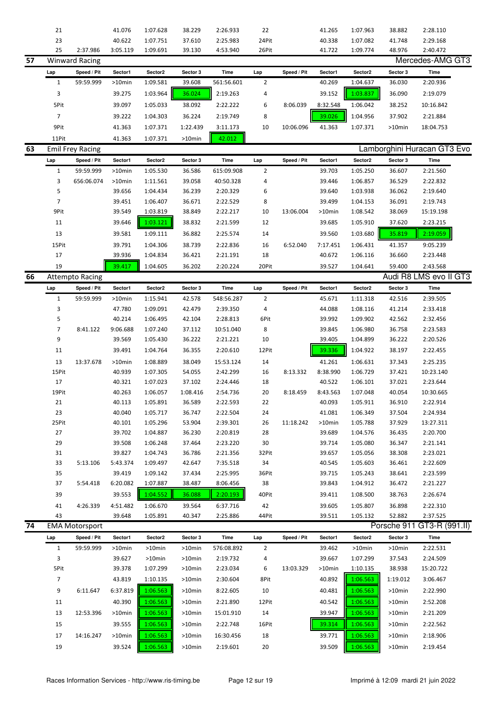|    | 21             |                         | 41.076    | 1:07.628  | 38.229    | 2:26.933    | 22             |             | 41.265    | 1:07.963  | 38.882      | 2:28.110                    |
|----|----------------|-------------------------|-----------|-----------|-----------|-------------|----------------|-------------|-----------|-----------|-------------|-----------------------------|
|    | 23             |                         | 40.622    | 1:07.751  | 37.610    | 2:25.983    | 24Pit          |             | 40.338    | 1:07.082  | 41.748      | 2:29.168                    |
|    | 25             | 2:37.986                | 3:05.119  | 1:09.691  | 39.130    | 4:53.940    | 26Pit          |             | 41.722    | 1:09.774  | 48.976      | 2:40.472                    |
| 57 |                | <b>Winward Racing</b>   |           |           |           |             |                |             |           |           |             | Mercedes-AMG GT3            |
|    | Lap            | Speed / Pit             | Sector1   | Sector2   | Sector 3  | <b>Time</b> | Lap            | Speed / Pit | Sector1   | Sector2   | Sector 3    | Time                        |
|    | $\mathbf{1}$   | 59:59.999               | >10min    | 1:09.581  | 39.608    | 561:56.601  | $\overline{2}$ |             | 40.269    | 1:04.637  | 36.030      | 2:20.936                    |
|    | 3              |                         | 39.275    | 1:03.964  | 36.024    | 2:19.263    | 4              |             | 39.152    | 1:03.837  | 36.090      | 2:19.079                    |
|    |                |                         |           |           |           |             |                |             |           |           |             |                             |
|    | 5Pit           |                         | 39.097    | 1:05.033  | 38.092    | 2:22.222    | 6              | 8:06.039    | 8:32.548  | 1:06.042  | 38.252      | 10:16.842                   |
|    | 7              |                         | 39.222    | 1:04.303  | 36.224    | 2:19.749    | 8              |             | 39.026    | 1:04.956  | 37.902      | 2:21.884                    |
|    | 9Pit           |                         | 41.363    | 1:07.371  | 1:22.439  | 3:11.173    | 10             | 10:06.096   | 41.363    | 1:07.371  | >10min      | 18:04.753                   |
|    | 11Pit          |                         | 41.363    | 1:07.371  | >10min    | 42.012      |                |             |           |           |             |                             |
| 63 |                | <b>Emil Frey Racing</b> |           |           |           |             |                |             |           |           |             | Lamborghini Huracan GT3 Evo |
|    | Lap            | Speed / Pit             | Sector1   | Sector2   | Sector 3  | Time        | Lap            | Speed / Pit | Sector1   | Sector2   | Sector 3    | Time                        |
|    | 1              | 59:59.999               | >10min    | 1:05.530  | 36.586    | 615:09.908  | $\overline{2}$ |             | 39.703    | 1:05.250  | 36.607      | 2:21.560                    |
|    | 3              | 656:06.074              | >10min    | 1:11.561  | 39.058    | 40:50.328   | 4              |             | 39.446    | 1:06.857  | 36.529      | 2:22.832                    |
|    | 5              |                         | 39.656    | 1:04.434  | 36.239    | 2:20.329    | 6              |             | 39.640    | 1:03.938  | 36.062      | 2:19.640                    |
|    | $\overline{7}$ |                         | 39.451    | 1:06.407  | 36.671    | 2:22.529    | 8              |             | 39.499    | 1:04.153  | 36.091      | 2:19.743                    |
|    | 9Pit           |                         | 39.549    | 1:03.819  | 38.849    | 2:22.217    | 10             | 13:06.004   | >10min    | 1:08.542  | 38.069      | 15:19.198                   |
|    |                |                         |           |           |           |             |                |             |           |           |             |                             |
|    | 11             |                         | 39.646    | 1:03.121  | 38.832    | 2:21.599    | 12             |             | 39.685    | 1:05.910  | 37.620      | 2:23.215                    |
|    | 13             |                         | 39.581    | 1:09.111  | 36.882    | 2:25.574    | 14             |             | 39.560    | 1:03.680  | 35.819      | 2:19.059                    |
|    | 15Pit          |                         | 39.791    | 1:04.306  | 38.739    | 2:22.836    | 16             | 6:52.040    | 7:17.451  | 1:06.431  | 41.357      | 9:05.239                    |
|    | 17             |                         | 39.936    | 1:04.834  | 36.421    | 2:21.191    | 18             |             | 40.672    | 1:06.116  | 36.660      | 2:23.448                    |
|    | 19             |                         | 39.417    | 1:04.605  | 36.202    | 2:20.224    | 20Pit          |             | 39.527    | 1:04.641  | 59.400      | 2:43.568                    |
| 66 |                | <b>Attempto Racing</b>  |           |           |           |             |                |             |           |           |             | Audi R8 LMS evo II GT3      |
|    | Lap            | Speed / Pit             | Sector1   | Sector2   | Sector 3  | Time        | Lap            | Speed / Pit | Sector1   | Sector2   | Sector 3    | Time                        |
|    | $\mathbf{1}$   | 59:59.999               | >10min    | 1:15.941  | 42.578    | 548:56.287  | $\overline{2}$ |             | 45.671    | 1:11.318  | 42.516      | 2:39.505                    |
|    | 3              |                         | 47.780    | 1:09.091  | 42.479    | 2:39.350    | 4              |             | 44.088    | 1:08.116  | 41.214      | 2:33.418                    |
|    | 5              |                         | 40.214    | 1:06.495  | 42.104    | 2:28.813    | 6Pit           |             | 39.992    | 1:09.902  | 42.562      | 2:32.456                    |
|    | 7              | 8:41.122                | 9:06.688  | 1:07.240  | 37.112    | 10:51.040   | 8              |             | 39.845    | 1:06.980  | 36.758      | 2:23.583                    |
|    | 9              |                         | 39.569    | 1:05.430  | 36.222    | 2:21.221    | 10             |             | 39.405    | 1:04.899  | 36.222      | 2:20.526                    |
|    | 11             |                         | 39.491    | 1:04.764  | 36.355    | 2:20.610    | 12Pit          |             | 39.336    | 1:04.922  | 38.197      | 2:22.455                    |
|    |                |                         |           |           |           |             |                |             |           |           |             |                             |
|    | 13             | 13:37.678               | >10min    | 1:08.889  | 38.049    | 15:53.124   | 14             |             | 41.261    | 1:06.631  | 37.343      | 2:25.235                    |
|    | 15Pit          |                         | 40.939    | 1:07.305  | 54.055    | 2:42.299    | 16             | 8:13.332    | 8:38.990  | 1:06.729  | 37.421      | 10:23.140                   |
|    | 17             |                         | 40.321    | 1:07.023  | 37.102    | 2:24.446    | 18             |             | 40.522    | 1:06.101  | 37.021      | 2:23.644                    |
|    | 19Pit          |                         | 40.263    | 1:06.057  | 1:08.416  | 2:54.736    | 20             | 8:18.459    | 8:43.563  | 1:07.048  | 40.054      | 10:30.665                   |
|    | 21             |                         | 40.113    | 1:05.891  | 36.589    | 2:22.593    | 22             |             | 40.093    | 1:05.911  | 36.910      | 2:22.914                    |
|    | 23             |                         | 40.040    | 1:05.717  | 36.747    | 2:22.504    | 24             |             | 41.081    | 1:06.349  | 37.504      | 2:24.934                    |
|    | 25Pit          |                         | 40.101    | 1:05.296  | 53.904    | 2:39.301    | 26             | 11:18.242   | >10min    | 1:05.788  | 37.929      | 13:27.311                   |
|    | 27             |                         | 39.702    | 1:04.887  | 36.230    | 2:20.819    | 28             |             | 39.689    | 1:04.576  | 36.435      | 2:20.700                    |
|    | 29             |                         | 39.508    | 1:06.248  | 37.464    | 2:23.220    | 30             |             | 39.714    | 1:05.080  | 36.347      | 2:21.141                    |
|    | 31             |                         | 39.827    | 1:04.743  | 36.786    | 2:21.356    | 32Pit          |             | 39.657    | 1:05.056  | 38.308      | 2:23.021                    |
|    | 33             | 5:13.106                | 5:43.374  | 1:09.497  | 42.647    | 7:35.518    | 34             |             | 40.545    | 1:05.603  | 36.461      | 2:22.609                    |
|    | 35             |                         | 39.419    | 1:09.142  | 37.434    | 2:25.995    | 36Pit          |             | 39.715    | 1:05.243  | 38.641      | 2:23.599                    |
|    | 37             | 5:54.418                | 6:20.082  | 1:07.887  | 38.487    | 8:06.456    | 38             |             | 39.843    | 1:04.912  | 36.472      | 2:21.227                    |
|    | 39             |                         | 39.553    | 1:04.552  | 36.088    | 2:20.193    | 40Pit          |             | 39.411    | 1:08.500  | 38.763      | 2:26.674                    |
|    | 41             | 4:26.339                | 4:51.482  | 1:06.670  | 39.564    | 6:37.716    | 42             |             | 39.605    | 1:05.807  | 36.898      | 2:22.310                    |
|    | 43             |                         | 39.648    | 1:05.891  | 40.347    | 2:25.886    | 44Pit          |             | 39.511    | 1:05.132  | 52.882      | 2:37.525                    |
| 74 |                | <b>EMA Motorsport</b>   |           |           |           |             |                |             |           |           | Porsche 911 | GT3-R (991.II)              |
|    | Lap            | Speed / Pit             | Sector1   | Sector2   | Sector 3  | Time        | Lap            | Speed / Pit | Sector1   | Sector2   | Sector 3    | Time                        |
|    | $\mathbf{1}$   | 59:59.999               | >10min    | >10min    | $>10$ min | 576:08.892  | 2              |             | 39.462    | $>10$ min | >10min      | 2:22.531                    |
|    | 3              |                         | 39.627    | $>10$ min | >10min    | 2:19.732    | 4              |             | 39.667    | 1:07.299  | 37.543      | 2:24.509                    |
|    | 5Pit           |                         | 39.378    | 1:07.299  | >10min    | 2:23.034    | 6              | 13:03.329   | $>10$ min | 1:10.135  | 38.938      | 15:20.722                   |
|    | $\overline{7}$ |                         | 43.819    | 1:10.135  | >10min    | 2:30.604    | 8Pit           |             | 40.892    | 1:06.563  | 1:19.012    | 3:06.467                    |
|    | 9              | 6:11.647                | 6:37.819  | 1:06.563  |           | 8:22.605    | 10             |             | 40.481    |           |             | 2:22.990                    |
|    |                |                         |           |           | >10min    |             |                |             |           | 1:06.563  | >10min      |                             |
|    | 11             |                         | 40.390    | 1:06.563  | >10min    | 2:21.890    | 12Pit          |             | 40.542    | 1:06.563  | >10min      | 2:52.208                    |
|    | 13             | 12:53.396               | >10min    | 1:06.563  | >10min    | 15:01.910   | 14             |             | 39.947    | 1:06.563  | >10min      | 2:21.209                    |
|    | 15             |                         | 39.555    | 1:06.563  | >10min    | 2:22.748    | 16Pit          |             | 39.314    | 1:06.563  | >10min      | 2:22.562                    |
|    | 17             | 14:16.247               | $>10$ min | 1:06.563  | >10min    | 16:30.456   | 18             |             | 39.771    | 1:06.563  | $>10$ min   | 2:18.906                    |
|    | 19             |                         | 39.524    | 1:06.563  | >10min    | 2:19.601    | 20             |             | 39.509    | 1:06.563  | $>10$ min   | 2:19.454                    |
|    |                |                         |           |           |           |             |                |             |           |           |             |                             |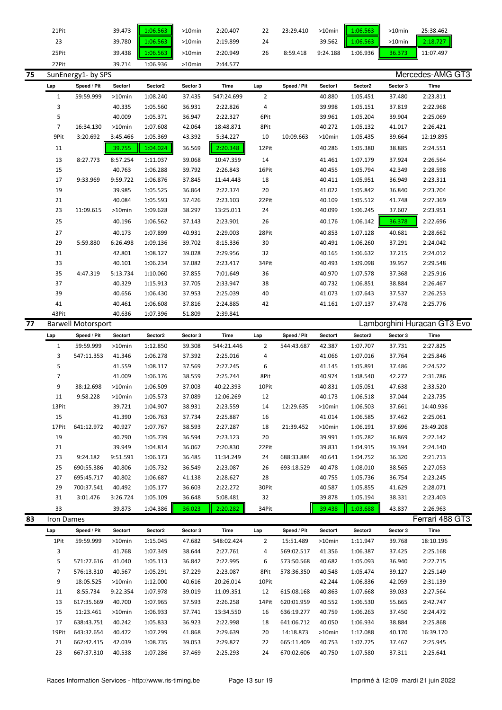| 75 | 27Pit<br>SunEnergy1- by SPS | 39.714 | 1:06.936 | $>10$ min | 2:44.577 |    |           |           |          |           | Mercedes-AMG GT3 |
|----|-----------------------------|--------|----------|-----------|----------|----|-----------|-----------|----------|-----------|------------------|
|    | 25Pit                       | 39.438 | 06.563   | >10min    | 2:20.949 | 26 | 8:59.418  | 9:24.188  | 1:06.936 | 36.373    | 11:07.497        |
|    | 23                          | 39.780 | :06.563  | $>10$ min | 2:19.899 | 24 |           | 39.562    | 1:06.563 | $>10$ min | 2:18.727         |
|    | 21Pit                       | 39.473 | 06.563   | $>10$ min | 2:20.407 | 22 | 23:29.410 | $>10$ min | 1:06.563 | $>10$ min | 25:38.462        |

|    | Lap            | Speed / Pit               | Sector1   | Sector2  | Sector 3 | Time       | Lap            | Speed / Pit | Sector1 | Sector2  | Sector 3 | Time                        |
|----|----------------|---------------------------|-----------|----------|----------|------------|----------------|-------------|---------|----------|----------|-----------------------------|
|    | $1\,$          | 59:59.999                 | $>10$ min | 1:08.240 | 37.435   | 547:24.699 | $\overline{2}$ |             | 40.880  | 1:05.451 | 37.480   | 2:23.811                    |
|    | 3              |                           | 40.335    | 1:05.560 | 36.931   | 2:22.826   | 4              |             | 39.998  | 1:05.151 | 37.819   | 2:22.968                    |
|    | 5              |                           | 40.009    | 1:05.371 | 36.947   | 2:22.327   | 6Pit           |             | 39.961  | 1:05.204 | 39.904   | 2:25.069                    |
|    | $\overline{7}$ | 16:34.130                 | $>10$ min | 1:07.608 | 42.064   | 18:48.871  | 8Pit           |             | 40.272  | 1:05.132 | 41.017   | 2:26.421                    |
|    | 9Pit           | 3:20.692                  | 3:45.466  | 1:05.369 | 43.392   | 5:34.227   | 10             | 10:09.663   | >10min  | 1:05.435 | 39.664   | 12:19.895                   |
|    | 11             |                           | 39.755    | 1:04.024 | 36.569   | 2:20.348   | 12Pit          |             | 40.286  | 1:05.380 | 38.885   | 2:24.551                    |
|    | 13             | 8:27.773                  | 8:57.254  | 1:11.037 | 39.068   | 10:47.359  | 14             |             | 41.461  | 1:07.179 | 37.924   | 2:26.564                    |
|    | 15             |                           | 40.763    | 1:06.288 | 39.792   | 2:26.843   | 16Pit          |             | 40.455  | 1:05.794 | 42.349   | 2:28.598                    |
|    | 17             | 9:33.969                  | 9:59.722  | 1:06.876 | 37.845   | 11:44.443  | 18             |             | 40.411  | 1:05.951 | 36.949   | 2:23.311                    |
|    | 19             |                           | 39.985    | 1:05.525 | 36.864   | 2:22.374   | 20             |             | 41.022  | 1:05.842 | 36.840   | 2:23.704                    |
|    | 21             |                           | 40.084    | 1:05.593 | 37.426   | 2:23.103   | 22Pit          |             | 40.109  | 1:05.512 | 41.748   | 2:27.369                    |
|    | 23             | 11:09.615                 | >10min    | 1:09.628 | 38.297   | 13:25.011  | 24             |             | 40.099  | 1:06.245 | 37.607   | 2:23.951                    |
|    | 25             |                           | 40.196    | 1:06.562 | 37.143   | 2:23.901   | 26             |             | 40.176  | 1:06.142 | 36.378   | 2:22.696                    |
|    | 27             |                           | 40.173    | 1:07.899 | 40.931   | 2:29.003   | 28Pit          |             | 40.853  | 1:07.128 | 40.681   | 2:28.662                    |
|    | 29             | 5:59.880                  | 6:26.498  | 1:09.136 | 39.702   | 8:15.336   | 30             |             | 40.491  | 1:06.260 | 37.291   | 2:24.042                    |
|    | 31             |                           | 42.801    | 1:08.127 | 39.028   | 2:29.956   | 32             |             | 40.165  | 1:06.632 | 37.215   | 2:24.012                    |
|    | 33             |                           | 40.101    | 1:06.234 | 37.082   | 2:23.417   | 34Pit          |             | 40.493  | 1:09.098 | 39.957   | 2:29.548                    |
|    | 35             | 4:47.319                  | 5:13.734  | 1:10.060 | 37.855   | 7:01.649   | 36             |             | 40.970  | 1:07.578 | 37.368   | 2:25.916                    |
|    | 37             |                           | 40.329    | 1:15.913 | 37.705   | 2:33.947   | 38             |             | 40.732  | 1:06.851 | 38.884   | 2:26.467                    |
|    | 39             |                           | 40.656    | 1:06.430 | 37.953   | 2:25.039   | 40             |             | 41.073  | 1:07.643 | 37.537   | 2:26.253                    |
|    | 41             |                           | 40.461    | 1:06.608 | 37.816   | 2:24.885   | 42             |             | 41.161  | 1:07.137 | 37.478   | 2:25.776                    |
|    | 43Pit          |                           | 40.636    | 1:07.396 | 51.809   | 2:39.841   |                |             |         |          |          |                             |
| 77 |                | <b>Barwell Motorsport</b> |           |          |          |            |                |             |         |          |          | Lamborghini Huracan GT3 Evo |
|    | Lap            | Speed / Pit               | Sector1   | Sector2  | Sector 3 | Time       | Lap            | Speed / Pit | Sector1 | Sector2  | Sector 3 | Time                        |
|    | $\mathbf{1}$   | 59:59.999                 | $>10$ min | 1:12.850 | 39.308   | 544:21.446 | $\overline{2}$ | 544:43.687  | 42.387  | 1:07.707 | 37.731   | 2:27.825                    |
|    | 3              | 547:11.353                | 41.346    | 1:06.278 | 37.392   | 2:25.016   | 4              |             | 41.066  | 1:07.016 | 37.764   | 2:25.846                    |
|    | 5              |                           | 41.559    | 1:08.117 | 37.569   | 2:27.245   | 6              |             | 41.145  | 1:05.891 | 37.486   | 2:24.522                    |
|    | 7              |                           | 41.009    | 1:06.176 | 38.559   | 2:25.744   | 8Pit           |             | 40.974  | 1:08.540 | 42.272   | 2:31.786                    |
|    | 9              | 38:12.698                 | >10min    | 1:06.509 | 37.003   | 40:22.393  | 10Pit          |             | 40.831  | 1:05.051 | 47.638   | 2:33.520                    |
|    | 11             | 9:58.228                  | >10min    | 1:05.573 | 37.089   | 12:06.269  | 12             |             | 40.173  | 1:06.518 | 37.044   | 2:23.735                    |
|    | 13Pit          |                           | 39.721    | 1:04.907 | 38.931   | 2:23.559   | 14             | 12:29.635   | >10min  | 1:06.503 | 37.661   | 14:40.936                   |
|    | 15             |                           | 41.390    | 1:06.763 | 37.734   | 2:25.887   | 16             |             | 41.014  | 1:06.585 | 37.462   | 2:25.061                    |
|    | 17Pit          | 641:12.972                | 40.927    | 1:07.767 | 38.593   | 2:27.287   | 18             | 21:39.452   | >10min  | 1:06.191 | 37.696   | 23:49.208                   |
|    | 19             |                           | 40.790    | 1:05.739 | 36.594   | 2:23.123   | 20             |             | 39.991  | 1:05.282 | 36.869   | 2:22.142                    |
|    | 21             |                           | 39.949    | 1:04.814 | 36.067   | 2:20.830   | 22Pit          |             | 39.831  | 1:04.915 | 39.394   | 2:24.140                    |
|    | 23             | 9:24.182                  | 9:51.591  | 1:06.173 | 36.485   | 11:34.249  | 24             | 688:33.884  | 40.641  | 1:04.752 | 36.320   | 2:21.713                    |
|    | 25             | 690:55.386                | 40.806    | 1:05.732 | 36.549   | 2:23.087   | 26             | 693:18.529  | 40.478  | 1:08.010 | 38.565   | 2:27.053                    |
|    | 27             | 695:45.717                | 40.802    | 1:06.687 | 41.138   | 2:28.627   | 28             |             | 40.755  | 1:05.736 | 36.754   | 2:23.245                    |
|    | 29             | 700:37.541                | 40.492    | 1:05.177 | 36.603   | 2:22.272   | 30Pit          |             | 40.587  | 1:05.855 | 41.629   | 2:28.071                    |
|    | 31             | 3:01.476                  | 3:26.724  | 1:05.109 | 36.648   | 5:08.481   | 32             |             | 39.878  | 1:05.194 | 38.331   | 2:23.403                    |
|    | 33             |                           | 39.873    | 1:04.386 | 36.023   | 2:20.282   | 34Pit          |             | 39.438  | 1:03.688 | 43.837   | 2:26.963                    |
| 83 | Iron Dames     |                           |           |          |          |            |                |             |         |          |          | Ferrari 488 GT3             |
|    |                | Chood / Dit               | 0.0101    | 0.0101   | Contor 2 | Time       |                |             |         |          | Sooter 2 | Timo                        |

| Lap   | Speed / Pit | Sector1   | Sector2  | Sector 3 | Time       | Lap            | Speed / Pit | Sector1   | Sector2  | Sector 3 | Time      |
|-------|-------------|-----------|----------|----------|------------|----------------|-------------|-----------|----------|----------|-----------|
| 1Pit  | 59:59.999   | $>10$ min | 1:15.045 | 47.682   | 548:02.424 | $\overline{2}$ | 15:51.489   | $>10$ min | 1:11.947 | 39.768   | 18:10.196 |
| 3     |             | 41.768    | 1:07.349 | 38.644   | 2:27.761   | 4              | 569:02.517  | 41.356    | 1:06.387 | 37.425   | 2:25.168  |
| 5.    | 571:27.616  | 41.040    | 1:05.113 | 36.842   | 2:22.995   | 6              | 573:50.568  | 40.682    | 1:05.093 | 36.940   | 2:22.715  |
|       | 576:13.310  | 40.567    | 1:05.291 | 37.229   | 2:23.087   | 8Pit           | 578:36.350  | 40.548    | 1:05.474 | 39.127   | 2:25.149  |
| 9     | 18:05.525   | $>10$ min | 1:12.000 | 40.616   | 20:26.014  | 10Pit          |             | 42.244    | 1:06.836 | 42.059   | 2:31.139  |
| 11    | 8:55.734    | 9:22.354  | 1:07.978 | 39.019   | 11:09.351  | 12             | 615:08.168  | 40.863    | 1:07.668 | 39.033   | 2:27.564  |
| 13    | 617:35.669  | 40.700    | 1:07.965 | 37.593   | 2:26.258   | 14Pit          | 620:01.959  | 40.552    | 1:06.530 | 55.665   | 2:42.747  |
| 15    | 11:23.461   | $>10$ min | 1:06.933 | 37.741   | 13:34.550  | 16             | 636:19.277  | 40.759    | 1:06.263 | 37.450   | 2:24.472  |
| 17    | 638:43.751  | 40.242    | 1:05.833 | 36.923   | 2:22.998   | 18             | 641:06.712  | 40.050    | 1:06.934 | 38.884   | 2:25.868  |
| 19Pit | 643:32.654  | 40.472    | 1:07.299 | 41.868   | 2:29.639   | 20             | 14:18.873   | >10min    | 1:12.088 | 40.170   | 16:39.170 |
| 21    | 662:42.415  | 42.039    | 1:08.735 | 39.053   | 2:29.827   | 22             | 665:11.409  | 40.753    | 1:07.725 | 37.467   | 2:25.945  |
| 23    | 667:37.310  | 40.538    | 1:07.286 | 37.469   | 2:25.293   | 24             | 670:02.606  | 40.750    | 1:07.580 | 37.311   | 2:25.641  |
|       |             |           |          |          |            |                |             |           |          |          |           |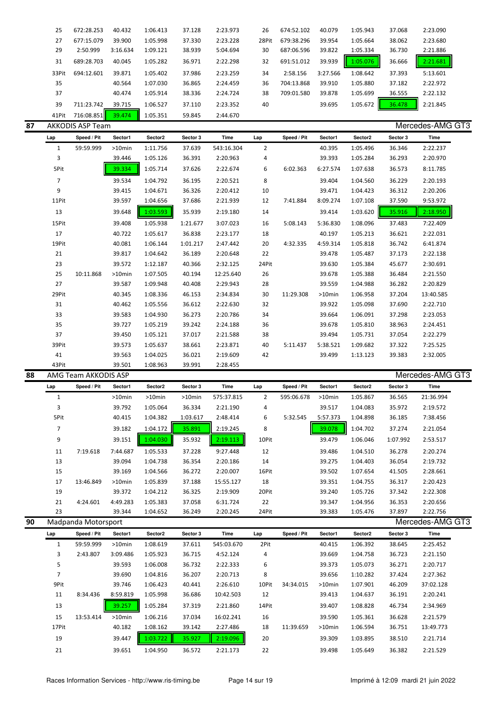| 25    | 672:28.253       | 40.432   | 1:06.413 | 37.128 | 2:23.973 | 26    | 674:52.102 | 40.079   | 1:05.943 | 37.068 | 2:23.090                    |
|-------|------------------|----------|----------|--------|----------|-------|------------|----------|----------|--------|-----------------------------|
| 27    | 677:15.079       | 39.900   | 1:05.998 | 37.330 | 2:23.228 | 28Pit | 679:38.296 | 39.954   | 1:05.664 | 38.062 | 2:23.680                    |
| 29    | 2:50.999         | 3:16.634 | 1:09.121 | 38.939 | 5:04.694 | 30    | 687:06.596 | 39.822   | 1:05.334 | 36.730 | 2:21.886                    |
| 31    | 689:28.703       | 40.045   | 1:05.282 | 36.971 | 2:22.298 | 32    | 691:51.012 | 39.939   | 1:05.076 | 36.666 | 2:21.681                    |
| 33Pit | 694:12.601       | 39.871   | 1:05.402 | 37.986 | 2:23.259 | 34    | 2:58.156   | 3:27.566 | 1:08.642 | 37.393 | 5:13.601                    |
| 35    |                  | 40.564   | 1:07.030 | 36.865 | 2:24.459 | 36    | 704:13.868 | 39.910   | 1:05.880 | 37.182 | 2:22.972                    |
| 37    |                  | 40.474   | 1:05.914 | 38.336 | 2:24.724 | 38    | 709:01.580 | 39.878   | 1:05.699 | 36.555 | 2:22.132                    |
| 39    | 711:23.742       | 39.715   | 1:06.527 | 37.110 | 2:23.352 | 40    |            | 39.695   | 1:05.672 | 36.478 | 2:21.845                    |
| 41Pit | 716:08.851       | 39.474   | 1:05.351 | 59.845 | 2:44.670 |       |            |          |          |        |                             |
|       | AVVODIC ACD Tonm |          |          |        |          |       |            |          |          |        | $M$ oroodoo $\Lambda$ $M$ C |

|  |  | í |
|--|--|---|

| 87 |                | <b>AKKODIS ASP Team</b> |           |          |          |            |       |             |           |          |          | Mercedes-AMG GT3 |  |
|----|----------------|-------------------------|-----------|----------|----------|------------|-------|-------------|-----------|----------|----------|------------------|--|
|    | Lap            | Speed / Pit             | Sector1   | Sector2  | Sector 3 | Time       | Lap   | Speed / Pit | Sector1   | Sector2  | Sector 3 | Time             |  |
|    | 1              | 59:59.999               | $>10$ min | 1:11.756 | 37.639   | 543:16.304 | 2     |             | 40.395    | 1:05.496 | 36.346   | 2:22.237         |  |
|    | 3              |                         | 39.446    | 1:05.126 | 36.391   | 2:20.963   | 4     |             | 39.393    | 1:05.284 | 36.293   | 2:20.970         |  |
|    | 5Pit           |                         | 39.334    | 1:05.714 | 37.626   | 2:22.674   | 6     | 6:02.363    | 6:27.574  | 1:07.638 | 36.573   | 8:11.785         |  |
|    | $\overline{7}$ |                         | 39.534    | 1:04.792 | 36.195   | 2:20.521   | 8     |             | 39.404    | 1:04.560 | 36.229   | 2:20.193         |  |
|    | 9              |                         | 39.415    | 1:04.671 | 36.326   | 2:20.412   | 10    |             | 39.471    | 1:04.423 | 36.312   | 2:20.206         |  |
|    | 11Pit          |                         | 39.597    | 1:04.656 | 37.686   | 2:21.939   | 12    | 7:41.884    | 8:09.274  | 1:07.108 | 37.590   | 9:53.972         |  |
|    | 13             |                         | 39.648    | 1:03.593 | 35.939   | 2:19.180   | 14    |             | 39.414    | 1:03.620 | 35.916   | 2:18.950         |  |
|    | 15Pit          |                         | 39.408    | 1:05.938 | 1:21.677 | 3:07.023   | 16    | 5:08.143    | 5:36.830  | 1:08.096 | 37.483   | 7:22.409         |  |
|    | 17             |                         | 40.722    | 1:05.617 | 36.838   | 2:23.177   | 18    |             | 40.197    | 1:05.213 | 36.621   | 2:22.031         |  |
|    | 19Pit          |                         | 40.081    | 1:06.144 | 1:01.217 | 2:47.442   | 20    | 4:32.335    | 4:59.314  | 1:05.818 | 36.742   | 6:41.874         |  |
|    | 21             |                         | 39.817    | 1:04.642 | 36.189   | 2:20.648   | 22    |             | 39.478    | 1:05.487 | 37.173   | 2:22.138         |  |
|    | 23             |                         | 39.572    | 1:12.187 | 40.366   | 2:32.125   | 24Pit |             | 39.630    | 1:05.384 | 45.677   | 2:30.691         |  |
|    | 25             | 10:11.868               | $>10$ min | 1:07.505 | 40.194   | 12:25.640  | 26    |             | 39.678    | 1:05.388 | 36.484   | 2:21.550         |  |
|    | 27             |                         | 39.587    | 1:09.948 | 40.408   | 2:29.943   | 28    |             | 39.559    | 1:04.988 | 36.282   | 2:20.829         |  |
|    | 29Pit          |                         | 40.345    | 1:08.336 | 46.153   | 2:34.834   | 30    | 11:29.308   | $>10$ min | 1:06.958 | 37.204   | 13:40.585        |  |
|    | 31             |                         | 40.462    | 1:05.556 | 36.612   | 2:22.630   | 32    |             | 39.922    | 1:05.098 | 37.690   | 2:22.710         |  |
|    | 33             |                         | 39.583    | 1:04.930 | 36.273   | 2:20.786   | 34    |             | 39.664    | 1:06.091 | 37.298   | 2:23.053         |  |
|    | 35             |                         | 39.727    | 1:05.219 | 39.242   | 2:24.188   | 36    |             | 39.678    | 1:05.810 | 38.963   | 2:24.451         |  |
|    | 37             |                         | 39.450    | 1:05.121 | 37.017   | 2:21.588   | 38    |             | 39.494    | 1:05.731 | 37.054   | 2:22.279         |  |
|    | 39Pit          |                         | 39.573    | 1:05.637 | 38.661   | 2:23.871   | 40    | 5:11.437    | 5:38.521  | 1:09.682 | 37.322   | 7:25.525         |  |
|    | 41             |                         | 39.563    | 1:04.025 | 36.021   | 2:19.609   | 42    |             | 39.499    | 1:13.123 | 39.383   | 2:32.005         |  |
|    | 43Pit          |                         | 39.501    | 1:08.963 | 39.991   | 2:28.455   |       |             |           |          |          |                  |  |

### 88 AMG Team AKKODIS ASP

| Mercedes-AMG GT3 |  |
|------------------|--|
|                  |  |

| Lap  | Speed / Pit | Sector1   | Sector2   | Sector 3  | Time       | Lap   | Speed / Pit | Sector1   | Sector <sub>2</sub> | Sector 3 | Time      |
|------|-------------|-----------|-----------|-----------|------------|-------|-------------|-----------|---------------------|----------|-----------|
|      |             | >10min    | $>10$ min | $>10$ min | 575:37.815 | 2     | 595:06.678  | $>10$ min | 1:05.867            | 36.565   | 21:36.994 |
| 3    |             | 39.792    | 1:05.064  | 36.334    | 2:21.190   | 4     |             | 39.517    | 1:04.083            | 35.972   | 2:19.572  |
| 5Pit |             | 40.415    | 1:04.382  | 1:03.617  | 2:48.414   | 6     | 5:32.545    | 5:57.373  | 1:04.898            | 36.185   | 7:38.456  |
| 7    |             | 39.182    | 1:04.172  | 35.891    | 2:19.245   | 8     |             | 39.078    | 1:04.702            | 37.274   | 2:21.054  |
| 9    |             | 39.151    | 1:04.030  | 35.932    | 2:19.113   | 10Pit |             | 39.479    | 1:06.046            | 1:07.992 | 2:53.517  |
| 11   | 7:19.618    | 7:44.687  | 1:05.533  | 37.228    | 9:27.448   | 12    |             | 39.486    | 1:04.510            | 36.278   | 2:20.274  |
| 13   |             | 39.094    | 1:04.738  | 36.354    | 2:20.186   | 14    |             | 39.275    | 1:04.403            | 36.054   | 2:19.732  |
| 15   |             | 39.169    | 1:04.566  | 36.272    | 2:20.007   | 16Pit |             | 39.502    | 1:07.654            | 41.505   | 2:28.661  |
| 17   | 13:46.849   | $>10$ min | 1:05.839  | 37.188    | 15:55.127  | 18    |             | 39.351    | 1:04.755            | 36.317   | 2:20.423  |
| 19   |             | 39.372    | 1:04.212  | 36.325    | 2:19.909   | 20Pit |             | 39.240    | 1:05.726            | 37.342   | 2:22.308  |
| 21   | 4:24.601    | 4:49.283  | 1:05.383  | 37.058    | 6:31.724   | 22    |             | 39.347    | 1:04.956            | 36.353   | 2:20.656  |
| 23   |             | 39.344    | 1:04.652  | 36.249    | 2:20.245   | 24Pit |             | 39.383    | 1:05.476            | 37.897   | 2:22.756  |

| 90 |       | Madpanda Motorsport |           |          |          |            |       |             |           |          |          | Mercedes-AMG GT3 |  |
|----|-------|---------------------|-----------|----------|----------|------------|-------|-------------|-----------|----------|----------|------------------|--|
|    | Lap   | Speed / Pit         | Sector1   | Sector2  | Sector 3 | Time       | Lap   | Speed / Pit | Sector1   | Sector2  | Sector 3 | Time             |  |
|    |       | 59:59.999           | $>10$ min | 1:08.619 | 37.611   | 545:03.670 | 2Pit  |             | 40.415    | 1:06.392 | 38.645   | 2:25.452         |  |
|    | 3     | 2:43.807            | 3:09.486  | 1:05.923 | 36.715   | 4:52.124   | 4     |             | 39.669    | 1:04.758 | 36.723   | 2:21.150         |  |
|    | 5     |                     | 39.593    | 1:06.008 | 36.732   | 2:22.333   | 6     |             | 39.373    | 1:05.073 | 36.271   | 2:20.717         |  |
|    | 7     |                     | 39.690    | 1:04.816 | 36.207   | 2:20.713   | 8     |             | 39.656    | 1:10.282 | 37.424   | 2:27.362         |  |
|    | 9Pit  |                     | 39.746    | 1:06.423 | 40.441   | 2:26.610   | 10Pit | 34:34.015   | $>10$ min | 1:07.901 | 46.209   | 37:02.128        |  |
|    | 11    | 8:34.436            | 8:59.819  | 1:05.998 | 36.686   | 10:42.503  | 12    |             | 39.413    | 1:04.637 | 36.191   | 2:20.241         |  |
|    | 13    |                     | 39.257    | 1:05.284 | 37.319   | 2:21.860   | 14Pit |             | 39.407    | 1:08.828 | 46.734   | 2:34.969         |  |
|    | 15    | 13:53.414           | $>10$ min | 1:06.216 | 37.034   | 16:02.241  | 16    |             | 39.590    | 1:05.361 | 36.628   | 2:21.579         |  |
|    | 17Pit |                     | 40.182    | 1:08.162 | 39.142   | 2:27.486   | 18    | 11:39.659   | $>10$ min | 1:06.594 | 36.751   | 13:49.773        |  |
|    | 19    |                     | 39.447    | 1:03.722 | 35.927   | 2:19.096   | 20    |             | 39.309    | 1:03.895 | 38.510   | 2:21.714         |  |
|    | 21    |                     | 39.651    | 1:04.950 | 36.572   | 2:21.173   | 22    |             | 39.498    | 1:05.649 | 36.382   | 2:21.529         |  |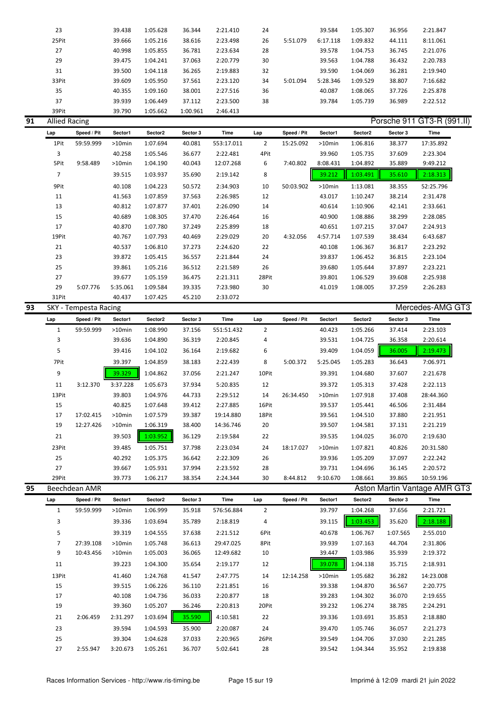| 23    | 39.438 | 1:05.628 | 36.344   | 2:21.410 | 24 |          | 39.584   | 1:05.307 | 36.956 | 2:21.847 |
|-------|--------|----------|----------|----------|----|----------|----------|----------|--------|----------|
| 25Pit | 39.666 | 1:05.216 | 38.616   | 2:23.498 | 26 | 5:51.079 | 6:17.118 | 1:09.832 | 44.111 | 8:11.061 |
| 27    | 40.998 | 1:05.855 | 36.781   | 2:23.634 | 28 |          | 39.578   | 1:04.753 | 36.745 | 2:21.076 |
| 29    | 39.475 | 1:04.241 | 37.063   | 2:20.779 | 30 |          | 39.563   | 1:04.788 | 36.432 | 2:20.783 |
| 31    | 39.500 | 1:04.118 | 36.265   | 2:19.883 | 32 |          | 39.590   | 1:04.069 | 36.281 | 2:19.940 |
| 33Pit | 39.609 | 1:05.950 | 37.561   | 2:23.120 | 34 | 5:01.094 | 5:28.346 | 1:09.529 | 38.807 | 7:16.682 |
| 35    | 40.355 | 1:09.160 | 38.001   | 2:27.516 | 36 |          | 40.087   | 1:08.065 | 37.726 | 2:25.878 |
| 37    | 39.939 | 1:06.449 | 37.112   | 2:23.500 | 38 |          | 39.784   | 1:05.739 | 36.989 | 2:22.512 |
| 39Pit | 39.790 | 1:05.662 | 1:00.961 | 2:46.413 |    |          |          |          |        |          |

## **Porsche 911 GT3-R (991.II) Porsche 911 GT3-R (991.II)**

|    | Lap            | Speed / Pit           | Sector1   | Sector2  | Sector 3 | Time        | Lap            | Speed / Pit | Sector1   | Sector2  | Sector 3 | Time             |  |
|----|----------------|-----------------------|-----------|----------|----------|-------------|----------------|-------------|-----------|----------|----------|------------------|--|
|    | 1Pit           | 59:59.999             | >10min    | 1:07.694 | 40.081   | 553:17.011  | $\overline{2}$ | 15:25.092   | $>10$ min | 1:06.816 | 38.377   | 17:35.892        |  |
|    | 3              |                       | 40.258    | 1:05.546 | 36.677   | 2:22.481    | 4Pit           |             | 39.960    | 1:05.735 | 37.609   | 2:23.304         |  |
|    | 5Pit           | 9:58.489              | >10min    | 1:04.190 | 40.043   | 12:07.268   | 6              | 7:40.802    | 8:08.431  | 1:04.892 | 35.889   | 9:49.212         |  |
|    | $\overline{7}$ |                       | 39.515    | 1:03.937 | 35.690   | 2:19.142    | 8              |             | 39.212    | 1:03.491 | 35.610   | 2:18.313         |  |
|    | 9Pit           |                       | 40.108    | 1:04.223 | 50.572   | 2:34.903    | 10             | 50:03.902   | $>10$ min | 1:13.081 | 38.355   | 52:25.796        |  |
|    | 11             |                       | 41.563    | 1:07.859 | 37.563   | 2:26.985    | 12             |             | 43.017    | 1:10.247 | 38.214   | 2:31.478         |  |
|    | 13             |                       | 40.812    | 1:07.877 | 37.401   | 2:26.090    | 14             |             | 40.614    | 1:10.906 | 42.141   | 2:33.661         |  |
|    | 15             |                       | 40.689    | 1:08.305 | 37.470   | 2:26.464    | 16             |             | 40.900    | 1:08.886 | 38.299   | 2:28.085         |  |
|    | 17             |                       | 40.870    | 1:07.780 | 37.249   | 2:25.899    | 18             |             | 40.651    | 1:07.215 | 37.047   | 2:24.913         |  |
|    | 19Pit          |                       | 40.767    | 1:07.793 | 40.469   | 2:29.029    | 20             | 4:32.056    | 4:57.714  | 1:07.539 | 38.434   | 6:43.687         |  |
|    | 21             |                       | 40.537    | 1:06.810 | 37.273   | 2:24.620    | 22             |             | 40.108    | 1:06.367 | 36.817   | 2:23.292         |  |
|    | 23             |                       | 39.872    | 1:05.415 | 36.557   | 2:21.844    | 24             |             | 39.837    | 1:06.452 | 36.815   | 2:23.104         |  |
|    | 25             |                       | 39.861    | 1:05.216 | 36.512   | 2:21.589    | 26             |             | 39.680    | 1:05.644 | 37.897   | 2:23.221         |  |
|    | 27             |                       | 39.677    | 1:05.159 | 36.475   | 2:21.311    | 28Pit          |             | 39.801    | 1:06.529 | 39.608   | 2:25.938         |  |
|    | 29             | 5:07.776              | 5:35.061  | 1:09.584 | 39.335   | 7:23.980    | 30             |             | 41.019    | 1:08.005 | 37.259   | 2:26.283         |  |
|    | 31Pit          |                       | 40.437    | 1:07.425 | 45.210   | 2:33.072    |                |             |           |          |          |                  |  |
|    |                |                       |           |          |          |             |                |             |           |          |          |                  |  |
| 93 |                | SKY - Tempesta Racing |           |          |          |             |                |             |           |          |          | Mercedes-AMG GT3 |  |
|    | Lap            | Speed / Pit           | Sector1   | Sector2  | Sector 3 | <b>Time</b> | Lap            | Speed / Pit | Sector1   | Sector2  | Sector 3 | Time             |  |
|    | $\mathbf{1}$   | 59:59.999             | >10min    | 1:08.990 | 37.156   | 551:51.432  | $\overline{2}$ |             | 40.423    | 1:05.266 | 37.414   | 2:23.103         |  |
|    | 3              |                       | 39.636    | 1:04.890 | 36.319   | 2:20.845    | 4              |             | 39.531    | 1:04.725 | 36.358   | 2:20.614         |  |
|    | 5              |                       | 39.416    | 1:04.102 | 36.164   | 2:19.682    | 6              |             | 39.409    | 1:04.059 | 36.005   | 2:19.473         |  |
|    | 7Pit           |                       | 39.397    | 1:04.859 | 38.183   | 2:22.439    | 8              | 5:00.372    | 5:25.045  | 1:05.283 | 36.643   | 7:06.971         |  |
|    | 9              |                       | 39.329    | 1:04.862 | 37.056   | 2:21.247    | 10Pit          |             | 39.391    | 1:04.680 | 37.607   | 2:21.678         |  |
|    | 11             | 3:12.370              | 3:37.228  | 1:05.673 | 37.934   | 5:20.835    | 12             |             | 39.372    | 1:05.313 | 37.428   | 2:22.113         |  |
|    | 13Pit          |                       | 39.803    | 1:04.976 | 44.733   | 2:29.512    | 14             | 26:34.450   | $>10$ min | 1:07.918 | 37.408   | 28:44.360        |  |
|    | 15             |                       | 40.825    | 1:07.648 | 39.412   | 2:27.885    | 16Pit          |             | 39.537    | 1:05.441 | 46.506   | 2:31.484         |  |
|    | 17             | 17:02.415             | $>10$ min | 1:07.579 | 39.387   | 19:14.880   | 18Pit          |             | 39.561    | 1:04.510 | 37.880   | 2:21.951         |  |
|    | 19             | 12:27.426             | $>10$ min | 1:06.319 | 38.400   | 14:36.746   | $20\,$         |             | 39.507    | 1:04.581 | 37.131   | 2:21.219         |  |
|    | 21             |                       | 39.503    | 1:03.952 | 36.129   | 2:19.584    | 22             |             | 39.535    | 1:04.025 | 36.070   | 2:19.630         |  |
|    | 23Pit          |                       | 39.485    | 1:05.751 | 37.798   | 2:23.034    | 24             | 18:17.027   | >10min    | 1:07.821 | 40.826   | 20:31.580        |  |
|    | 25             |                       | 40.292    | 1:05.375 | 36.642   | 2:22.309    | 26             |             | 39.936    | 1:05.209 | 37.097   | 2:22.242         |  |

**95** Beechdean AMR **Aston Martin Vantage AMR GT3** 

| Lap   | Speed / Pit | Sector1   | Sector2  | Sector 3 | Time       | Lap            | Speed / Pit | Sector1 | Sector2  | Sector 3 | Time      |
|-------|-------------|-----------|----------|----------|------------|----------------|-------------|---------|----------|----------|-----------|
| 1     | 59:59.999   | >10min    | 1:06.999 | 35.918   | 576:56.884 | $\overline{2}$ |             | 39.797  | 1:04.268 | 37.656   | 2:21.721  |
| 3     |             | 39.336    | 1:03.694 | 35.789   | 2:18.819   | 4              |             | 39.115  | 1:03.453 | 35.620   | 2:18.188  |
| 5     |             | 39.319    | 1:04.555 | 37.638   | 2:21.512   | 6Pit           |             | 40.678  | 1:06.767 | 1:07.565 | 2:55.010  |
| 7     | 27:39.108   | $>10$ min | 1:05.748 | 36.613   | 29:47.025  | 8Pit           |             | 39.939  | 1:07.163 | 44.704   | 2:31.806  |
| 9     | 10:43.456   | >10min    | 1:05.003 | 36.065   | 12:49.682  | 10             |             | 39.447  | 1:03.986 | 35.939   | 2:19.372  |
| 11    |             | 39.223    | 1:04.300 | 35.654   | 2:19.177   | 12             |             | 39.078  | 1:04.138 | 35.715   | 2:18.931  |
| 13Pit |             | 41.460    | 1:24.768 | 41.547   | 2:47.775   | 14             | 12:14.258   | >10min  | 1:05.682 | 36.282   | 14:23.008 |
| 15    |             | 39.515    | 1:06.226 | 36.110   | 2:21.851   | 16             |             | 39.338  | 1:04.870 | 36.567   | 2:20.775  |
| 17    |             | 40.108    | 1:04.736 | 36.033   | 2:20.877   | 18             |             | 39.283  | 1:04.302 | 36.070   | 2:19.655  |
| 19    |             | 39.360    | 1:05.207 | 36.246   | 2:20.813   | 20Pit          |             | 39.232  | 1:06.274 | 38.785   | 2:24.291  |
| 21    | 2:06.459    | 2:31.297  | 1:03.694 | 35.590   | 4:10.581   | 22             |             | 39.336  | 1:03.691 | 35.853   | 2:18.880  |
| 23    |             | 39.594    | 1:04.593 | 35.900   | 2:20.087   | 24             |             | 39.470  | 1:05.746 | 36.057   | 2:21.273  |
| 25    |             | 39.304    | 1:04.628 | 37.033   | 2:20.965   | 26Pit          |             | 39.549  | 1:04.706 | 37.030   | 2:21.285  |
| 27    | 2:55.947    | 3:20.673  | 1:05.261 | 36.707   | 5:02.641   | 28             |             | 39.542  | 1:04.344 | 35.952   | 2:19.838  |

29Pit 39.773 1:06.217 38.354 2:24.344 30 8:44.812 9:10.670 1:08.661 39.865 10:59.196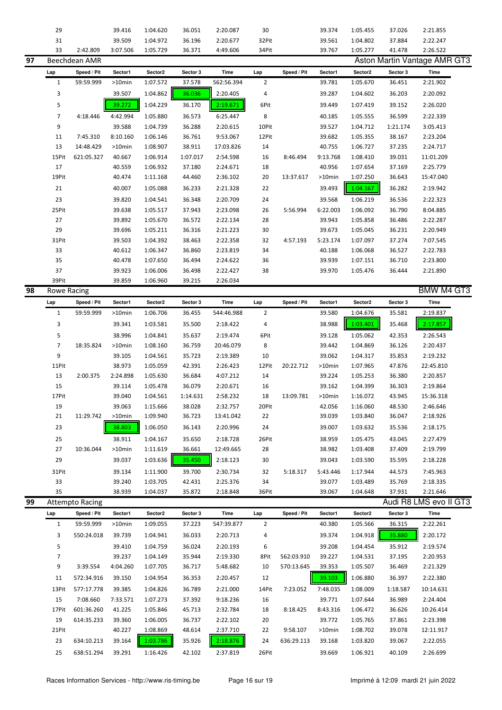|    | 29           |                        | 39.416    | 1:04.620 | 36.051   | 2:20.087   | 30             |             | 39.374   | 1:05.455 | 37.026   | 2:21.855                            |  |
|----|--------------|------------------------|-----------|----------|----------|------------|----------------|-------------|----------|----------|----------|-------------------------------------|--|
|    | 31           |                        | 39.509    | 1:04.972 | 36.196   | 2:20.677   | 32Pit          |             | 39.561   | 1:04.802 | 37.884   | 2:22.247                            |  |
|    | 33           | 2:42.809               | 3:07.506  | 1:05.729 | 36.371   | 4:49.606   | 34Pit          |             | 39.767   | 1:05.277 | 41.478   | 2:26.522                            |  |
|    |              |                        |           |          |          |            |                |             |          |          |          |                                     |  |
| 97 |              | Beechdean AMR          |           |          |          |            |                |             |          |          |          | <b>Aston Martin Vantage AMR GT3</b> |  |
|    | Lap          | Speed / Pit            | Sector1   | Sector2  | Sector 3 | Time       | Lap            | Speed / Pit | Sector1  | Sector2  | Sector 3 | Time                                |  |
|    | $\mathbf{1}$ | 59:59.999              | $>10$ min | 1:07.572 | 37.578   | 562:56.394 | 2              |             | 39.781   | 1:05.670 | 36.451   | 2:21.902                            |  |
|    | 3            |                        | 39.507    | 1:04.862 | 36.036   | 2:20.405   | 4              |             | 39.287   | 1:04.602 | 36.203   | 2:20.092                            |  |
|    | 5            |                        | 39.272    | 1:04.229 | 36.170   | 2:19.671   | 6Pit           |             | 39.449   | 1:07.419 | 39.152   | 2:26.020                            |  |
|    |              |                        |           |          |          |            |                |             |          |          |          |                                     |  |
|    | 7            | 4:18.446               | 4:42.994  | 1:05.880 | 36.573   | 6:25.447   | 8              |             | 40.185   | 1:05.555 | 36.599   | 2:22.339                            |  |
|    | 9            |                        | 39.588    | 1:04.739 | 36.288   | 2:20.615   | 10Pit          |             | 39.527   | 1:04.712 | 1:21.174 | 3:05.413                            |  |
|    | 11           | 7:45.310               | 8:10.160  | 1:06.146 | 36.761   | 9:53.067   | 12Pit          |             | 39.682   | 1:05.355 | 38.167   | 2:23.204                            |  |
|    | 13           | 14:48.429              | $>10$ min | 1:08.907 | 38.911   | 17:03.826  | 14             |             | 40.755   | 1:06.727 | 37.235   | 2:24.717                            |  |
|    | 15Pit        | 621:05.327             | 40.667    | 1:06.914 | 1:07.017 | 2:54.598   | 16             | 8:46.494    | 9:13.768 | 1:08.410 | 39.031   | 11:01.209                           |  |
|    | 17           |                        | 40.559    | 1:06.932 | 37.180   | 2:24.671   | 18             |             | 40.956   | 1:07.654 | 37.169   | 2:25.779                            |  |
|    | 19Pit        |                        | 40.474    | 1:11.168 | 44.460   | 2:36.102   | 20             | 13:37.617   | >10min   | 1:07.250 | 36.643   | 15:47.040                           |  |
|    |              |                        |           |          |          |            |                |             |          |          |          |                                     |  |
|    | 21           |                        | 40.007    | 1:05.088 | 36.233   | 2:21.328   | 22             |             | 39.493   | 1:04.167 | 36.282   | 2:19.942                            |  |
|    | 23           |                        | 39.820    | 1:04.541 | 36.348   | 2:20.709   | 24             |             | 39.568   | 1:06.219 | 36.536   | 2:22.323                            |  |
|    | 25Pit        |                        | 39.638    | 1:05.517 | 37.943   | 2:23.098   | 26             | 5:56.994    | 6:22.003 | 1:06.092 | 36.790   | 8:04.885                            |  |
|    | 27           |                        | 39.892    | 1:05.670 | 36.572   | 2:22.134   | 28             |             | 39.943   | 1:05.858 | 36.486   | 2:22.287                            |  |
|    | 29           |                        | 39.696    | 1:05.211 | 36.316   | 2:21.223   | 30             |             | 39.673   | 1:05.045 | 36.231   | 2:20.949                            |  |
|    | 31Pit        |                        | 39.503    | 1:04.392 | 38.463   | 2:22.358   | 32             | 4:57.193    | 5:23.174 | 1:07.097 | 37.274   | 7:07.545                            |  |
|    | 33           |                        | 40.612    | 1:06.347 | 36.860   | 2:23.819   | 34             |             | 40.188   | 1:06.068 | 36.527   | 2:22.783                            |  |
|    |              |                        |           |          |          |            |                |             |          |          |          |                                     |  |
|    | 35           |                        | 40.478    | 1:07.650 | 36.494   | 2:24.622   | 36             |             | 39.939   | 1:07.151 | 36.710   | 2:23.800                            |  |
|    | 37           |                        | 39.923    | 1:06.006 | 36.498   | 2:22.427   | 38             |             | 39.970   | 1:05.476 | 36.444   | 2:21.890                            |  |
|    | 39Pit        |                        | 39.859    | 1:06.960 | 39.215   | 2:26.034   |                |             |          |          |          |                                     |  |
| 98 | Rowe Racing  |                        |           |          |          |            |                |             |          |          |          | <b>BMW M4 GT3</b>                   |  |
|    | Lap          | Speed / Pit            | Sector1   | Sector2  | Sector 3 | Time       | Lap            | Speed / Pit | Sector1  | Sector2  | Sector 3 | <b>Time</b>                         |  |
|    | $\mathbf{1}$ | 59:59.999              | $>10$ min | 1:06.706 | 36.455   | 544:46.988 | $\overline{2}$ |             | 39.580   | 1:04.676 | 35.581   | 2:19.837                            |  |
|    | 3            |                        | 39.341    | 1:03.581 | 35.500   | 2:18.422   | 4              |             | 38.988   | 1:03.401 | 35.468   | 2:17.857                            |  |
|    | 5            |                        | 38.996    | 1:04.841 | 35.637   | 2:19.474   | 6Pit           |             | 39.128   | 1:05.062 | 42.353   | 2:26.543                            |  |
|    |              |                        |           |          |          |            |                |             |          |          |          |                                     |  |
|    | 7            | 18:35.824              | $>10$ min | 1:08.160 | 36.759   | 20:46.079  | 8              |             | 39.442   | 1:04.869 | 36.126   | 2:20.437                            |  |
|    | 9            |                        | 39.105    | 1:04.561 | 35.723   | 2:19.389   | 10             |             | 39.062   | 1:04.317 | 35.853   | 2:19.232                            |  |
|    | 11Pit        |                        | 38.973    | 1:05.059 | 42.391   | 2:26.423   | 12Pit          | 20:22.712   | >10min   | 1:07.965 | 47.876   | 22:45.810                           |  |
|    | 13           | 2:00.375               | 2:24.898  | 1:05.630 | 36.684   | 4:07.212   | 14             |             | 39.224   | 1:05.253 | 36.380   | 2:20.857                            |  |
|    | 15           |                        | 39.114    | 1:05.478 | 36.079   | 2:20.671   | 16             |             | 39.162   | 1:04.399 | 36.303   | 2:19.864                            |  |
|    | 17Pit        |                        | 39.040    | 1:04.561 | 1:14.631 | 2:58.232   | 18             | 13:09.781   | >10min   | 1:16.072 | 43.945   | 15:36.318                           |  |
|    | 19           |                        | 39.063    | 1:15.666 | 38.028   | 2:32.757   | 20Pit          |             | 42.056   | 1:16.060 | 48.530   | 2:46.646                            |  |
|    | 21           | 11:29.742              | >10min    | 1:09.940 | 36.723   | 13:41.042  | 22             |             | 39.039   | 1:03.840 | 36.047   | 2:18.926                            |  |
|    | 23           |                        | 38.803    | 1:06.050 | 36.143   | 2:20.996   | 24             |             | 39.007   | 1:03.632 | 35.536   | 2:18.175                            |  |
|    |              |                        |           |          |          |            |                |             |          |          |          |                                     |  |
|    | 25           |                        | 38.911    | 1:04.167 | 35.650   | 2:18.728   | 26Pit          |             | 38.959   | 1:05.475 | 43.045   | 2:27.479                            |  |
|    | 27           | 10:36.044              | >10min    | 1:11.619 | 36.661   | 12:49.665  | 28             |             | 38.982   | 1:03.408 | 37.409   | 2:19.799                            |  |
|    | 29           |                        | 39.037    | 1:03.636 | 35.450   | 2:18.123   | 30             |             | 39.043   | 1:03.590 | 35.595   | 2:18.228                            |  |
|    | 31Pit        |                        | 39.134    | 1:11.900 | 39.700   | 2:30.734   | 32             | 5:18.317    | 5:43.446 | 1:17.944 | 44.573   | 7:45.963                            |  |
|    | 33           |                        | 39.240    | 1:03.705 | 42.431   | 2:25.376   | 34             |             | 39.077   | 1:03.489 | 35.769   | 2:18.335                            |  |
|    | 35           |                        | 38.939    | 1:04.037 | 35.872   | 2:18.848   | 36Pit          |             | 39.067   | 1:04.648 | 37.931   | 2:21.646                            |  |
| 99 |              | <b>Attempto Racing</b> |           |          |          |            |                |             |          |          |          | Audi R8 LMS evo II GT3              |  |
|    | Lap          | Speed / Pit            | Sector1   | Sector2  | Sector 3 | Time       | Lap            | Speed / Pit | Sector1  | Sector2  | Sector 3 | Time                                |  |
|    | $\mathbf{1}$ | 59:59.999              | >10min    | 1:09.055 | 37.223   | 547:39.877 | $\overline{2}$ |             | 40.380   | 1:05.566 | 36.315   | 2:22.261                            |  |
|    |              |                        |           |          |          |            |                |             |          |          |          |                                     |  |
|    | 3            | 550:24.018             | 39.739    | 1:04.941 | 36.033   | 2:20.713   | 4              |             | 39.374   | 1:04.918 | 35.880   | 2:20.172                            |  |
|    | 5            |                        | 39.410    | 1:04.759 | 36.024   | 2:20.193   | 6              |             | 39.208   | 1:04.454 | 35.912   | 2:19.574                            |  |
|    | 7            |                        | 39.237    | 1:04.149 | 35.944   | 2:19.330   | 8Pit           | 562:03.910  | 39.227   | 1:04.531 | 37.195   | 2:20.953                            |  |
|    | 9            | 3:39.554               | 4:04.260  | 1:07.705 | 36.717   | 5:48.682   | 10             | 570:13.645  | 39.353   | 1:05.507 | 36.469   | 2:21.329                            |  |
|    | 11           | 572:34.916             | 39.150    | 1:04.954 | 36.353   | 2:20.457   | 12             |             | 39.103   | 1:06.880 | 36.397   | 2:22.380                            |  |
|    | 13Pit        | 577:17.778             | 39.385    | 1:04.826 | 36.789   | 2:21.000   | 14Pit          | 7:23.052    | 7:48.035 | 1:08.009 | 1:18.587 | 10:14.631                           |  |
|    | 15           | 7:08.660               | 7:33.571  | 1:07.273 | 37.392   | 9:18.236   | 16             |             | 39.771   | 1:07.644 | 36.989   | 2:24.404                            |  |
|    |              |                        |           |          |          |            |                |             |          |          |          |                                     |  |
|    | 17Pit        | 601:36.260             | 41.225    | 1:05.846 | 45.713   | 2:32.784   | 18             | 8:18.425    | 8:43.316 | 1:06.472 | 36.626   | 10:26.414                           |  |
|    | 19           | 614:35.233             | 39.360    | 1:06.005 | 36.737   | 2:22.102   | 20             |             | 39.772   | 1:05.765 | 37.861   | 2:23.398                            |  |
|    | 21Pit        |                        | 40.227    | 1:08.869 | 48.614   | 2:37.710   | 22             | 9:58.107    | >10min   | 1:08.702 | 39.078   | 12:11.917                           |  |
|    | 23           | 634:10.213             | 39.164    | 1:03.786 | 35.926   | 2:18.876   | 24             | 636:29.113  | 39.168   | 1:03.820 | 39.067   | 2:22.055                            |  |
|    | 25           | 638:51.294             | 39.291    | 1:16.426 | 42.102   | 2:37.819   | 26Pit          |             | 39.669   | 1:06.921 | 40.109   | 2:26.699                            |  |
|    |              |                        |           |          |          |            |                |             |          |          |          |                                     |  |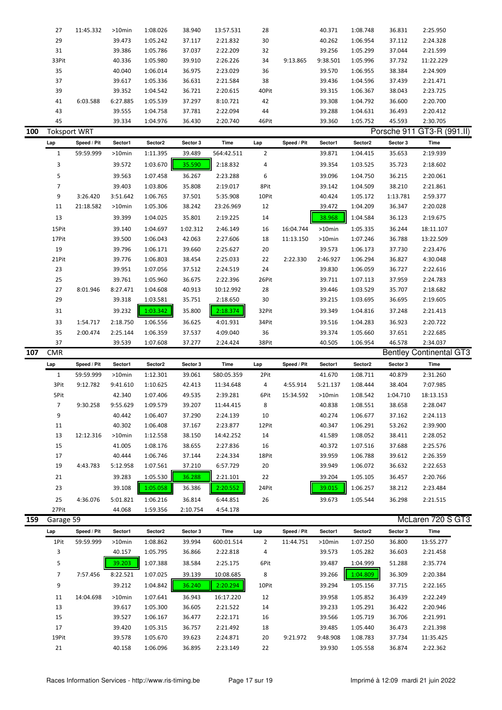|     | 27                  | 11:45.332   | $>10$ min | 1:08.026 | 38.940   | 13:57.531  | 28             |             | 40.371    | 1:08.748 | 36.831   | 2:25.950                       |
|-----|---------------------|-------------|-----------|----------|----------|------------|----------------|-------------|-----------|----------|----------|--------------------------------|
|     | 29                  |             | 39.473    | 1:05.242 | 37.117   | 2:21.832   | 30             |             | 40.262    | 1:06.954 | 37.112   | 2:24.328                       |
|     | 31                  |             | 39.386    | 1:05.786 | 37.037   | 2:22.209   | 32             |             | 39.256    | 1:05.299 | 37.044   | 2:21.599                       |
|     | 33Pit               |             | 40.336    | 1:05.980 | 39.910   | 2:26.226   | 34             | 9:13.865    | 9:38.501  | 1:05.996 | 37.732   | 11:22.229                      |
|     |                     |             |           |          |          |            |                |             |           |          |          |                                |
|     | 35                  |             | 40.040    | 1:06.014 | 36.975   | 2:23.029   | 36             |             | 39.570    | 1:06.955 | 38.384   | 2:24.909                       |
|     | 37                  |             | 39.617    | 1:05.336 | 36.631   | 2:21.584   | 38             |             | 39.436    | 1:04.596 | 37.439   | 2:21.471                       |
|     | 39                  |             | 39.352    | 1:04.542 | 36.721   | 2:20.615   | 40Pit          |             | 39.315    | 1:06.367 | 38.043   | 2:23.725                       |
|     | 41                  | 6:03.588    | 6:27.885  | 1:05.539 | 37.297   | 8:10.721   | 42             |             | 39.308    | 1:04.792 | 36.600   | 2:20.700                       |
|     | 43                  |             | 39.555    | 1:04.758 | 37.781   | 2:22.094   | 44             |             | 39.288    | 1:04.631 | 36.493   | 2:20.412                       |
|     | 45                  |             | 39.334    | 1:04.976 | 36.430   | 2:20.740   | 46Pit          |             | 39.360    | 1:05.752 | 45.593   | 2:30.705                       |
| 100 | <b>Toksport WRT</b> |             |           |          |          |            |                |             |           |          |          | Porsche 911 GT3-R (991.II)     |
|     |                     | Speed / Pit | Sector1   | Sector2  | Sector 3 | Time       | Lap            | Speed / Pit | Sector1   | Sector2  | Sector 3 | Time                           |
|     | Lap                 |             |           |          |          |            |                |             |           |          |          |                                |
|     | $\mathbf{1}$        | 59:59.999   | >10min    | 1:11.395 | 39.489   | 564:42.511 | $\overline{2}$ |             | 39.871    | 1:04.415 | 35.653   | 2:19.939                       |
|     | 3                   |             | 39.572    | 1:03.670 | 35.590   | 2:18.832   | 4              |             | 39.354    | 1:03.525 | 35.723   | 2:18.602                       |
|     | 5                   |             | 39.563    | 1:07.458 | 36.267   | 2:23.288   | 6              |             | 39.096    | 1:04.750 | 36.215   | 2:20.061                       |
|     | $\overline{7}$      |             | 39.403    | 1:03.806 | 35.808   | 2:19.017   | 8Pit           |             | 39.142    | 1:04.509 | 38.210   | 2:21.861                       |
|     | 9                   | 3:26.420    | 3:51.642  | 1:06.765 | 37.501   | 5:35.908   | 10Pit          |             | 40.424    | 1:05.172 | 1:13.781 | 2:59.377                       |
|     | 11                  | 21:18.582   | $>10$ min | 1:05.306 | 38.242   | 23:26.969  | 12             |             | 39.472    | 1:04.209 | 36.347   | 2:20.028                       |
|     |                     |             |           |          |          |            |                |             |           |          |          |                                |
|     | 13                  |             | 39.399    | 1:04.025 | 35.801   | 2:19.225   | 14             |             | 38.968    | 1:04.584 | 36.123   | 2:19.675                       |
|     | 15Pit               |             | 39.140    | 1:04.697 | 1:02.312 | 2:46.149   | 16             | 16:04.744   | >10min    | 1:05.335 | 36.244   | 18:11.107                      |
|     | 17Pit               |             | 39.500    | 1:06.043 | 42.063   | 2:27.606   | 18             | 11:13.150   | >10min    | 1:07.246 | 36.788   | 13:22.509                      |
|     | 19                  |             | 39.796    | 1:06.171 | 39.660   | 2:25.627   | 20             |             | 39.573    | 1:06.173 | 37.730   | 2:23.476                       |
|     | 21Pit               |             | 39.776    | 1:06.803 | 38.454   | 2:25.033   | 22             | 2:22.330    | 2:46.927  | 1:06.294 | 36.827   | 4:30.048                       |
|     | 23                  |             | 39.951    | 1:07.056 | 37.512   | 2:24.519   | 24             |             | 39.830    | 1:06.059 | 36.727   | 2:22.616                       |
|     | 25                  |             | 39.761    | 1:05.960 | 36.675   | 2:22.396   | 26Pit          |             | 39.711    | 1:07.113 | 37.959   | 2:24.783                       |
|     | 27                  | 8:01.946    | 8:27.471  | 1:04.608 | 40.913   | 10:12.992  | 28             |             | 39.446    | 1:03.529 | 35.707   | 2:18.682                       |
|     |                     |             |           |          |          |            |                |             |           |          |          |                                |
|     | 29                  |             | 39.318    | 1:03.581 | 35.751   | 2:18.650   | 30             |             | 39.215    | 1:03.695 | 36.695   | 2:19.605                       |
|     | 31                  |             | 39.232    | 1:03.342 | 35.800   | 2:18.374   | 32Pit          |             | 39.349    | 1:04.816 | 37.248   | 2:21.413                       |
|     | 33                  | 1:54.717    | 2:18.750  | 1:06.556 | 36.625   | 4:01.931   | 34Pit          |             | 39.516    | 1:04.283 | 36.923   | 2:20.722                       |
|     |                     |             |           |          |          |            |                |             |           |          |          |                                |
|     | 35                  | 2:00.474    | 2:25.144  | 1:06.359 | 37.537   | 4:09.040   | 36             |             | 39.374    | 1:05.660 | 37.651   | 2:22.685                       |
|     | 37                  |             |           |          |          | 2:24.424   | 38Pit          |             | 40.505    |          |          |                                |
|     |                     |             | 39.539    | 1:07.608 | 37.277   |            |                |             |           | 1:06.954 | 46.578   | 2:34.037                       |
| 107 | <b>CMR</b>          |             |           |          |          |            |                |             |           |          |          | <b>Bentley Continental GT3</b> |
|     | Lap                 | Speed / Pit | Sector1   | Sector2  | Sector 3 | Time       | Lap            | Speed / Pit | Sector1   | Sector2  | Sector 3 | Time                           |
|     | $\mathbf{1}$        | 59:59.999   | >10min    | 1:12.301 | 39.061   | 580:05.359 | 2Pit           |             | 41.670    | 1:08.711 | 40.879   | 2:31.260                       |
|     | 3Pit                | 9:12.782    | 9:41.610  | 1:10.625 | 42.413   | 11:34.648  | 4              | 4:55.914    | 5:21.137  | 1:08.444 | 38.404   | 7:07.985                       |
|     | 5Pit                |             | 42.340    | 1:07.406 | 49.535   | 2:39.281   | 6Pit           | 15:34.592   | $>10$ min | 1:08.542 | 1:04.710 | 18:13.153                      |
|     | $\overline{7}$      | 9:30.258    | 9:55.629  | 1:09.579 | 39.207   | 11:44.415  | 8              |             | 40.838    | 1:08.551 | 38.658   | 2:28.047                       |
|     | 9                   |             | 40.442    | 1:06.407 | 37.290   | 2:24.139   | 10             |             | 40.274    | 1:06.677 | 37.162   | 2:24.113                       |
|     |                     |             | 40.302    | 1:06.408 |          |            |                |             | 40.347    |          |          | 2:39.900                       |
|     | 11                  |             |           |          | 37.167   | 2:23.877   | 12Pit          |             |           | 1:06.291 | 53.262   |                                |
|     | 13                  | 12:12.316   | >10min    | 1:12.558 | 38.150   | 14:42.252  | 14             |             | 41.589    | 1:08.052 | 38.411   | 2:28.052                       |
|     | 15                  |             | 41.005    | 1:08.176 | 38.655   | 2:27.836   | 16             |             | 40.372    | 1:07.516 | 37.688   | 2:25.576                       |
|     | 17                  |             | 40.444    | 1:06.746 | 37.144   | 2:24.334   | 18Pit          |             | 39.959    | 1:06.788 | 39.612   | 2:26.359                       |
|     | 19                  | 4:43.783    | 5:12.958  | 1:07.561 | 37.210   | 6:57.729   | 20             |             | 39.949    | 1:06.072 | 36.632   | 2:22.653                       |
|     | 21                  |             | 39.283    | 1:05.530 | 36.288   | 2:21.101   | 22             |             | 39.204    | 1:05.105 | 36.457   | 2:20.766                       |
|     | 23                  |             | 39.108    | 1:05.058 | 36.386   | 2:20.552   | 24Pit          |             | 39.015    | 1:06.257 | 38.212   | 2:23.484                       |
|     |                     |             |           |          |          |            |                |             |           |          |          |                                |
|     | 25                  | 4:36.076    | 5:01.821  | 1:06.216 | 36.814   | 6:44.851   | 26             |             | 39.673    | 1:05.544 | 36.298   | 2:21.515                       |
|     | 27Pit               |             | 44.068    | 1:59.356 | 2:10.754 | 4:54.178   |                |             |           |          |          |                                |
| 159 | Garage 59           |             |           |          |          |            |                |             |           |          |          | McLaren 720 S GT3              |
|     | Lap                 | Speed / Pit | Sector1   | Sector2  | Sector 3 | Time       | Lap            | Speed / Pit | Sector1   | Sector2  | Sector 3 | Time                           |
|     | 1Pit                | 59:59.999   | >10min    | 1:08.862 | 39.994   | 600:01.514 | $\overline{2}$ | 11:44.751   | >10min    | 1:07.250 | 36.800   | 13:55.277                      |
|     | 3                   |             | 40.157    | 1:05.795 | 36.866   | 2:22.818   | 4              |             | 39.573    | 1:05.282 | 36.603   | 2:21.458                       |
|     | 5                   |             | 39.203    | 1:07.388 | 38.584   | 2:25.175   | 6Pit           |             | 39.487    | 1:04.999 | 51.288   | 2:35.774                       |
|     |                     |             |           |          |          |            |                |             |           |          |          |                                |
|     | 7                   | 7:57.456    | 8:22.521  | 1:07.025 | 39.139   | 10:08.685  | 8              |             | 39.266    | 1:04.809 | 36.309   | 2:20.384                       |
|     | 9                   |             | 39.212    | 1:04.842 | 36.240   | 2:20.294   | 10Pit          |             | 39.294    | 1:05.156 | 37.715   | 2:22.165                       |
|     | 11                  | 14:04.698   | >10min    | 1:07.641 | 36.943   | 16:17.220  | 12             |             | 39.958    | 1:05.852 | 36.439   | 2:22.249                       |
|     | 13                  |             | 39.617    | 1:05.300 | 36.605   | 2:21.522   | 14             |             | 39.233    | 1:05.291 | 36.422   | 2:20.946                       |
|     | 15                  |             | 39.527    | 1:06.167 | 36.477   | 2:22.171   | 16             |             | 39.566    | 1:05.719 | 36.706   | 2:21.991                       |

19Pit 39.578 1:05.670 39.623 2:24.871 20 9:21.972 9:48.908 1:08.783 37.734 11:35.425 21 40.158 1:06.096 36.895 2:23.149 22 39.930 1:05.558 36.874 2:22.362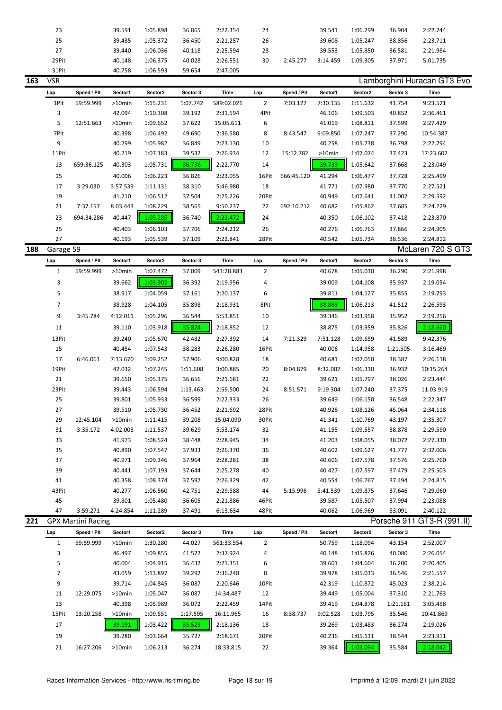| 23    | 39.591 | 1:05.898 | 36.865 | 2:22.354 | 24 |          | 39.541   | 1:06.299 | 36.904 | 2:22.744 |  |
|-------|--------|----------|--------|----------|----|----------|----------|----------|--------|----------|--|
| 25    | 39.435 | 1:05.372 | 36.450 | 2:21.257 | 26 |          | 39.608   | 1:05.247 | 38.856 | 2:23.711 |  |
| 27    | 39.440 | 1:06.036 | 40.118 | 2:25.594 | 28 |          | 39.553   | 1:05.850 | 36.581 | 2:21.984 |  |
| 29Pit | 40.148 | 1:06.375 | 40.028 | 2:26.551 | 30 | 2:45.277 | 3:14.459 | 1:09.305 | 37.971 | 5:01.735 |  |
| 31Pit | 40.758 | 1:06.593 | 59.654 | 2:47.005 |    |          |          |          |        |          |  |

| 163 | <b>VSR</b> |             |          |          |          |            |                |             |           |          |          | Lamborghini Huracan GT3 Evo |  |
|-----|------------|-------------|----------|----------|----------|------------|----------------|-------------|-----------|----------|----------|-----------------------------|--|
|     | Lap        | Speed / Pit | Sector1  | Sector2  | Sector 3 | Time       | Lap            | Speed / Pit | Sector1   | Sector2  | Sector 3 | Time                        |  |
|     | 1Pit       | 59:59.999   | >10min   | 1:15.231 | 1:07.742 | 589:02.021 | $\overline{2}$ | 7:03.127    | 7:30.135  | 1:11.632 | 41.754   | 9:23.521                    |  |
|     | 3          |             | 42.094   | 1:10.308 | 39.192   | 2:31.594   | 4Pit           |             | 46.106    | 1:09.503 | 40.852   | 2:36.461                    |  |
|     | 5          | 12:51.663   | >10min   | 1:09.652 | 37.622   | 15:05.611  | 6              |             | 41.019    | 1:08.811 | 37.599   | 2:27.429                    |  |
|     | 7Pit       |             | 40.398   | 1:06.492 | 49.690   | 2:36.580   | 8              | 8:43.547    | 9:09.850  | 1:07.247 | 37.290   | 10:54.387                   |  |
|     | 9          |             | 40.299   | 1:05.982 | 36.849   | 2:23.130   | 10             |             | 40.258    | 1:05.738 | 36.798   | 2:22.794                    |  |
|     | 11Pit      |             | 40.219   | 1:07.183 | 39.532   | 2:26.934   | 12             | 15:12.782   | $>10$ min | 1:07.074 | 37.423   | 17:23.602                   |  |
|     | 13         | 659:36.125  | 40.303   | 1:05.731 | 36.736   | 2:22.770   | 14             |             | 39.739    | 1:05.642 | 37.668   | 2:23.049                    |  |
|     | 15         |             | 40.006   | 1:06.223 | 36.826   | 2:23.055   | 16Pit          | 666:45.120  | 41.294    | 1:06.477 | 37.728   | 2:25.499                    |  |
|     | 17         | 3:29.030    | 3:57.539 | 1:11.131 | 38.310   | 5:46.980   | 18             |             | 41.771    | 1:07.980 | 37.770   | 2:27.521                    |  |
|     | 19         |             | 41.210   | 1:06.512 | 37.504   | 2:25.226   | 20Pit          |             | 40.949    | 1:07.641 | 41.002   | 2:29.592                    |  |
|     | 21         | 7:37.157    | 8:03.443 | 1:08.229 | 38.565   | 9:50.237   | 22             | 692:10.212  | 40.682    | 1:05.862 | 37.685   | 2:24.229                    |  |
|     | 23         | 694:34.286  | 40.447   | 1:05.285 | 36.740   | 2:22.472   | 24             |             | 40.350    | 1:06.102 | 37.418   | 2:23.870                    |  |
|     | 25         |             | 40.403   | 1:06.103 | 37.706   | 2:24.212   | 26             |             | 40.276    | 1:06.763 | 37.866   | 2:24.905                    |  |
|     | 27         |             | 40.193   | 1:05.539 | 37.109   | 2:22.841   | 28Pit          |             | 40.542    | 1:05.734 | 38.536   | 2:24.812                    |  |

| Garage 59      |                           |           |          |          |            |                |             |          |          |          | McLaren 720 S GT3          |
|----------------|---------------------------|-----------|----------|----------|------------|----------------|-------------|----------|----------|----------|----------------------------|
| Lap            | Speed / Pit               | Sector1   | Sector2  | Sector 3 | Time       | Lap            | Speed / Pit | Sector1  | Sector2  | Sector 3 | Time                       |
| 1              | 59:59.999                 | $>10$ min | 1:07.472 | 37.009   | 543:28.883 | $\overline{2}$ |             | 40.678   | 1:05.030 | 36.290   | 2:21.998                   |
| 3              |                           | 39.662    | 1:03.902 | 36.392   | 2:19.956   | 4              |             | 39.009   | 1:04.108 | 35.937   | 2:19.054                   |
| 5              |                           | 38.917    | 1:04.059 | 37.161   | 2:20.137   | 6              |             | 39.811   | 1:04.127 | 35.855   | 2:19.793                   |
| $\overline{7}$ |                           | 38.928    | 1:04.105 | 35.898   | 2:18.931   | 8Pit           |             | 38.868   | 1:06.213 | 41.512   | 2:26.593                   |
| 9              | 3:45.784                  | 4:12.011  | 1:05.296 | 36.544   | 5:53.851   | 10             |             | 39.346   | 1:03.958 | 35.952   | 2:19.256                   |
| 11             |                           | 39.110    | 1:03.918 | 35.824   | 2:18.852   | 12             |             | 38.875   | 1:03.959 | 35.826   | 2:18.660                   |
| 13Pit          |                           | 39.240    | 1:05.670 | 42.482   | 2:27.392   | 14             | 7:21.329    | 7:51.128 | 1:09.659 | 41.589   | 9:42.376                   |
| 15             |                           | 40.454    | 1:07.543 | 38.283   | 2:26.280   | 16Pit          |             | 40.006   | 1:14.958 | 1:21.505 | 3:16.469                   |
| 17             | 6:46.061                  | 7:13.670  | 1:09.252 | 37.906   | 9:00.828   | 18             |             | 40.681   | 1:07.050 | 38.387   | 2:26.118                   |
| 19Pit          |                           | 42.032    | 1:07.245 | 1:11.608 | 3:00.885   | 20             | 8:04.879    | 8:32.002 | 1:06.330 | 36.932   | 10:15.264                  |
| 21             |                           | 39.650    | 1:05.375 | 36.656   | 2:21.681   | 22             |             | 39.621   | 1:05.797 | 38.026   | 2:23.444                   |
| 23Pit          |                           | 39.443    | 1:06.594 | 1:13.463 | 2:59.500   | 24             | 8:51.571    | 9:19.304 | 1:07.240 | 37.375   | 11:03.919                  |
| 25             |                           | 39.801    | 1:05.933 | 36.599   | 2:22.333   | 26             |             | 39.649   | 1:06.150 | 36.548   | 2:22.347                   |
| 27             |                           | 39.510    | 1:05.730 | 36.452   | 2:21.692   | 28Pit          |             | 40.928   | 1:08.126 | 45.064   | 2:34.118                   |
| 29             | 12:45.104                 | $>10$ min | 1:11.415 | 39.208   | 15:04.090  | 30Pit          |             | 41.341   | 1:10.769 | 43.197   | 2:35.307                   |
| 31             | 3:35.172                  | 4:02.008  | 1:11.537 | 39.629   | 5:53.174   | 32             |             | 41.155   | 1:09.557 | 38.878   | 2:29.590                   |
| 33             |                           | 41.973    | 1:08.524 | 38.448   | 2:28.945   | 34             |             | 41.203   | 1:08.055 | 38.072   | 2:27.330                   |
| 35             |                           | 40.890    | 1:07.547 | 37.933   | 2:26.370   | 36             |             | 40.602   | 1:09.627 | 41.777   | 2:32.006                   |
| 37             |                           | 40.971    | 1:09.346 | 37.964   | 2:28.281   | 38             |             | 40.606   | 1:07.578 | 37.576   | 2:25.760                   |
| 39             |                           | 40.441    | 1:07.193 | 37.644   | 2:25.278   | 40             |             | 40.427   | 1:07.597 | 37.479   | 2:25.503                   |
| 41             |                           | 40.358    | 1:08.374 | 37.597   | 2:26.329   | 42             |             | 40.554   | 1:06.767 | 37.494   | 2:24.815                   |
| 43Pit          |                           | 40.277    | 1:06.560 | 42.751   | 2:29.588   | 44             | 5:15.996    | 5:41.539 | 1:09.875 | 37.646   | 7:29.060                   |
| 45             |                           | 39.801    | 1:05.480 | 36.605   | 2:21.886   | 46Pit          |             | 39.587   | 1:05.507 | 37.994   | 2:23.088                   |
| 47             | 3:59.271                  | 4:24.854  | 1:11.289 | 37.491   | 6:13.634   | 48Pit          |             | 40.062   | 1:06.969 | 53.091   | 2:40.122                   |
|                | <b>GPX Martini Racing</b> |           |          |          |            |                |             |          |          |          | Porsche 911 GT3-R (991.II) |

| Lap   | Speed / Pit | Sector1   | Sector2  | Sector 3 | Time       | Lap            | Speed / Pit | Sector1  | Sector2  | Sector 3 | Time      |
|-------|-------------|-----------|----------|----------|------------|----------------|-------------|----------|----------|----------|-----------|
| 1     | 59:59.999   | $>10$ min | 1:30.280 | 44.027   | 561:33.554 | $\overline{2}$ |             | 50.759   | 1:18.094 | 43.154   | 2:52.007  |
| 3     |             | 46.497    | 1:09.855 | 41.572   | 2:37.924   | 4              |             | 40.148   | 1:05.826 | 40.080   | 2:26.054  |
| 5     |             | 40.004    | 1:04.915 | 36.432   | 2:21.351   | 6              |             | 39.601   | 1:04.604 | 36.200   | 2:20.405  |
|       |             | 43.059    | 1:13.897 | 39.292   | 2:36.248   | 8              |             | 39.978   | 1:05.033 | 36.546   | 2:21.557  |
| 9     |             | 39.714    | 1:04.845 | 36.087   | 2:20.646   | 10Pit          |             | 42.319   | 1:10.872 | 45.023   | 2:38.214  |
| 11    | 12:29.075   | $>10$ min | 1:05.047 | 36.087   | 14:34.487  | 12             |             | 39.449   | 1:05.004 | 37.310   | 2:21.763  |
| 13    |             | 40.398    | 1:05.989 | 36.072   | 2:22.459   | 14Pit          |             | 39.419   | 1:04.878 | 1:21.161 | 3:05.458  |
| 15Pit | 13:20.258   | $>10$ min | 1:09.551 | 1:17.595 | 16:11.965  | 16             | 8:38.737    | 9:02.528 | 1:03.795 | 35.546   | 10:41.869 |
| 17    |             | 39.191    | 1:03.422 | 35.523   | 2:18.136   | 18             |             | 39.269   | 1:03.483 | 36.274   | 2:19.026  |
| 19    |             | 39.280    | 1:03.664 | 35.727   | 2:18.671   | 20Pit          |             | 40.236   | 1:05.131 | 38.544   | 2:23.911  |
| 21    | 16:27.206   | $>10$ min | 1:06.213 | 36.274   | 18:33.815  | 22             |             | 39.364   | 1:03.094 | 35.584   | 2:18.042  |